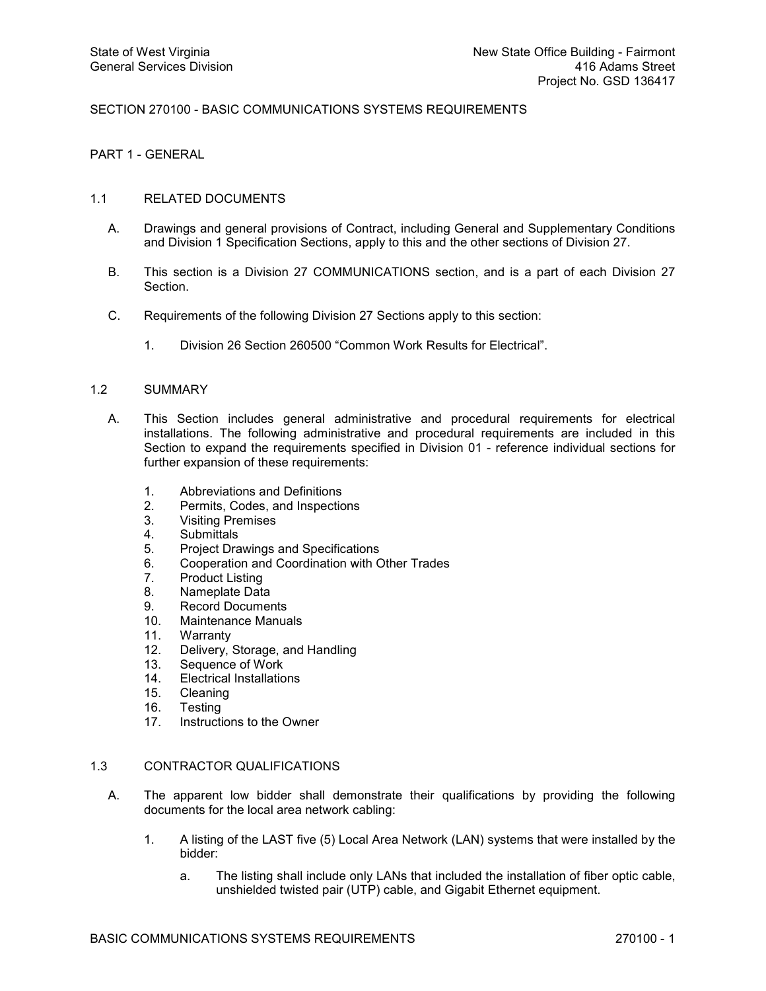# SECTION 270100 - BASIC COMMUNICATIONS SYSTEMS REQUIREMENTS

PART 1 GENERAL

# 1.1 RELATED DOCUMENTS

- A. Drawings and general provisions of Contract, including General and Supplementary Conditions and Division 1 Specification Sections, apply to this and the other sections of Division 27.
- B. This section is a Division 27 COMMUNICATIONS section, and is a part of each Division 27 Section.
- C. Requirements of the following Division 27 Sections apply to this section:
	- 1. Division 26 Section 260500 "Common Work Results for Electrical".

# 1.2 SUMMARY

- A. This Section includes general administrative and procedural requirements for electrical installations. The following administrative and procedural requirements are included in this Section to expand the requirements specified in Division 01 - reference individual sections for further expansion of these requirements:
	- 1. Abbreviations and Definitions
	- 2. Permits, Codes, and Inspections
	- 3. Visiting Premises
	- 4. Submittals
	- 5. Project Drawings and Specifications
	- 6. Cooperation and Coordination with Other Trades<br>7. Product Listing
	- **Product Listing**
	- 8. Nameplate Data
	- 9. Record Documents<br>10. Maintenance Manua
	- Maintenance Manuals
	- 11. Warranty
	- 12. Delivery, Storage, and Handling
	- 13. Sequence of Work
	- 14. Electrical Installations
	- 15. Cleaning
	- 16. Testing
	- 17. Instructions to the Owner

# 1.3 CONTRACTOR QUALIFICATIONS

- A. The apparent low bidder shall demonstrate their qualifications by providing the following documents for the local area network cabling:
	- 1. A listing of the LAST five (5) Local Area Network (LAN) systems that were installed by the bidder:
		- a. The listing shall include only LANs that included the installation of fiber optic cable, unshielded twisted pair (UTP) cable, and Gigabit Ethernet equipment.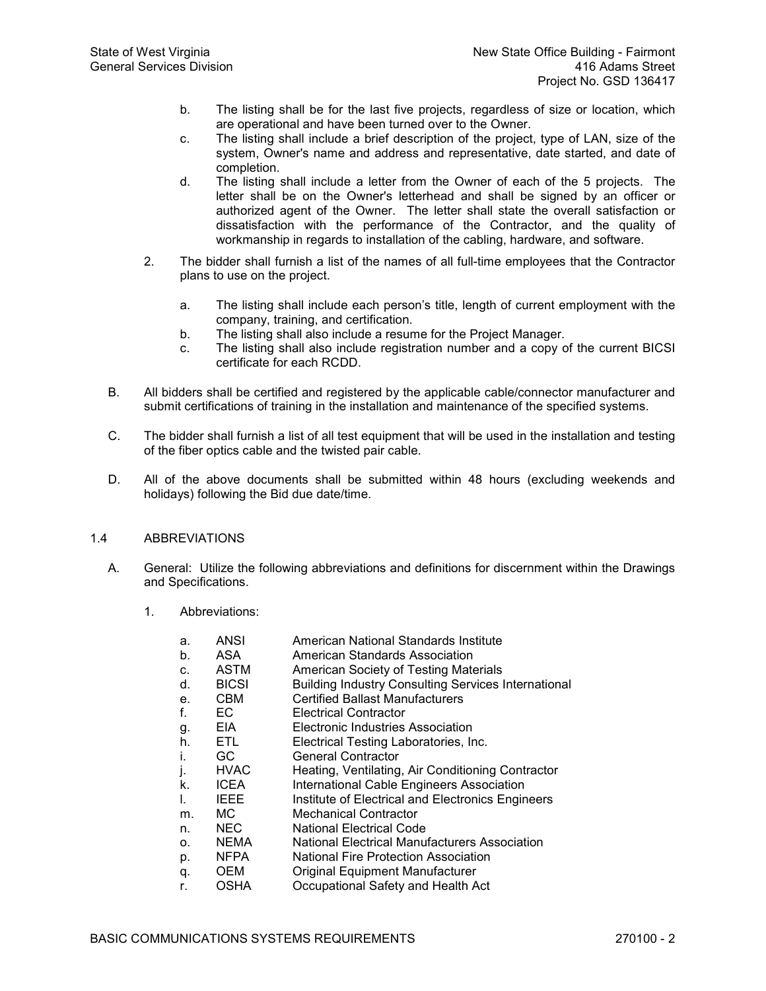- b. The listing shall be for the last five projects, regardless of size or location, which are operational and have been turned over to the Owner.
- c. The listing shall include a brief description of the project, type of LAN, size of the system, Owner's name and address and representative, date started, and date of completion.
- d. The listing shall include a letter from the Owner of each of the 5 projects. The letter shall be on the Owner's letterhead and shall be signed by an officer or authorized agent of the Owner. The letter shall state the overall satisfaction or dissatisfaction with the performance of the Contractor, and the quality of workmanship in regards to installation of the cabling, hardware, and software.
- 2. The bidder shall furnish a list of the names of all full-time employees that the Contractor plans to use on the project.
	- a. The listing shall include each person's title, length of current employment with the company, training, and certification.
	- b. The listing shall also include a resume for the Project Manager.
	- c. The listing shall also include registration number and a copy of the current BICSI certificate for each RCDD.
- B. All bidders shall be certified and registered by the applicable cable/connector manufacturer and submit certifications of training in the installation and maintenance of the specified systems.
- C. The bidder shall furnish a list of all test equipment that will be used in the installation and testing of the fiber optics cable and the twisted pair cable.
- D. All of the above documents shall be submitted within 48 hours (excluding weekends and holidays) following the Bid due date/time.

# 1.4 ABBREVIATIONS

- A. General: Utilize the following abbreviations and definitions for discernment within the Drawings and Specifications.
	- 1. Abbreviations:

| a. | ANSI         | American National Standards Institute                      |
|----|--------------|------------------------------------------------------------|
| b. | ASA          | American Standards Association                             |
| C. | <b>ASTM</b>  | American Society of Testing Materials                      |
| d. | <b>BICSI</b> | <b>Building Industry Consulting Services International</b> |
| е. | <b>CBM</b>   | <b>Certified Ballast Manufacturers</b>                     |
| f. | EC.          | Electrical Contractor                                      |
| g. | EIA.         | Electronic Industries Association                          |
| h. | ETL.         | Electrical Testing Laboratories, Inc.                      |
| Τ. | GC.          | General Contractor                                         |
| J. | <b>HVAC</b>  | Heating, Ventilating, Air Conditioning Contractor          |
| k. | <b>ICEA</b>  | <b>International Cable Engineers Association</b>           |
| L. | <b>IEEE</b>  | Institute of Electrical and Electronics Engineers          |
| m. | МC           | Mechanical Contractor                                      |
| n. | <b>NEC</b>   | National Electrical Code                                   |
| 0. | <b>NEMA</b>  | <b>National Electrical Manufacturers Association</b>       |
| p. | <b>NFPA</b>  | <b>National Fire Protection Association</b>                |
| q. | <b>OEM</b>   | Original Equipment Manufacturer                            |
| r. | <b>OSHA</b>  | Occupational Safety and Health Act                         |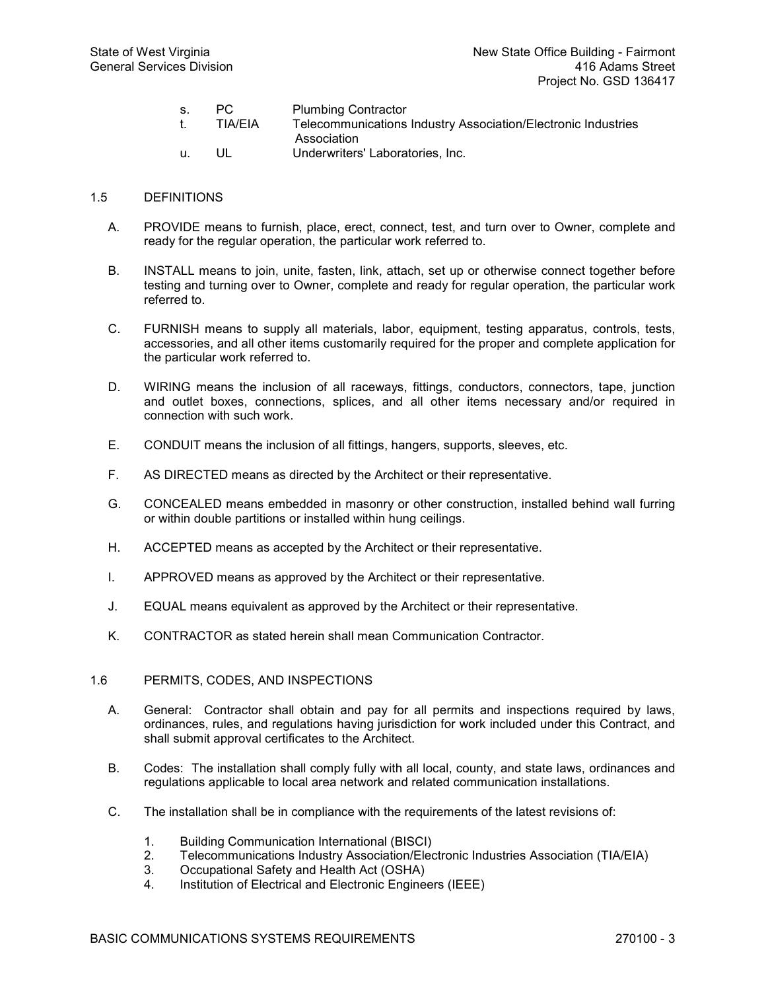- s. PC Plumbing Contractor<br>t. TIA/EIA Telecommunications
- t. TIA/EIA Telecommunications Industry Association/Electronic Industries Association
- u. UL Underwriters' Laboratories, Inc.

# 1.5 DEFINITIONS

- A. PROVIDE means to furnish, place, erect, connect, test, and turn over to Owner, complete and ready for the regular operation, the particular work referred to.
- B. INSTALL means to join, unite, fasten, link, attach, set up or otherwise connect together before testing and turning over to Owner, complete and ready for regular operation, the particular work referred to.
- C. FURNISH means to supply all materials, labor, equipment, testing apparatus, controls, tests, accessories, and all other items customarily required for the proper and complete application for the particular work referred to.
- D. WIRING means the inclusion of all raceways, fittings, conductors, connectors, tape, junction and outlet boxes, connections, splices, and all other items necessary and/or required in connection with such work.
- E. CONDUIT means the inclusion of all fittings, hangers, supports, sleeves, etc.
- F. AS DIRECTED means as directed by the Architect or their representative.
- G. CONCEALED means embedded in masonry or other construction, installed behind wall furring or within double partitions or installed within hung ceilings.
- H. ACCEPTED means as accepted by the Architect or their representative.
- I. APPROVED means as approved by the Architect or their representative.
- J. EQUAL means equivalent as approved by the Architect or their representative.
- K. CONTRACTOR as stated herein shall mean Communication Contractor.

# 1.6 PERMITS, CODES, AND INSPECTIONS

- A. General: Contractor shall obtain and pay for all permits and inspections required by laws, ordinances, rules, and regulations having jurisdiction for work included under this Contract, and shall submit approval certificates to the Architect.
- B. Codes: The installation shall comply fully with all local, county, and state laws, ordinances and regulations applicable to local area network and related communication installations.
- C. The installation shall be in compliance with the requirements of the latest revisions of:
	- 1. Building Communication International (BISCI)<br>2. Telecommunications Industry Association/Elec
	- 2. Telecommunications Industry Association/Electronic Industries Association (TIA/EIA)
	- 3. Occupational Safety and Health Act (OSHA)
	- 4. Institution of Electrical and Electronic Engineers (IEEE)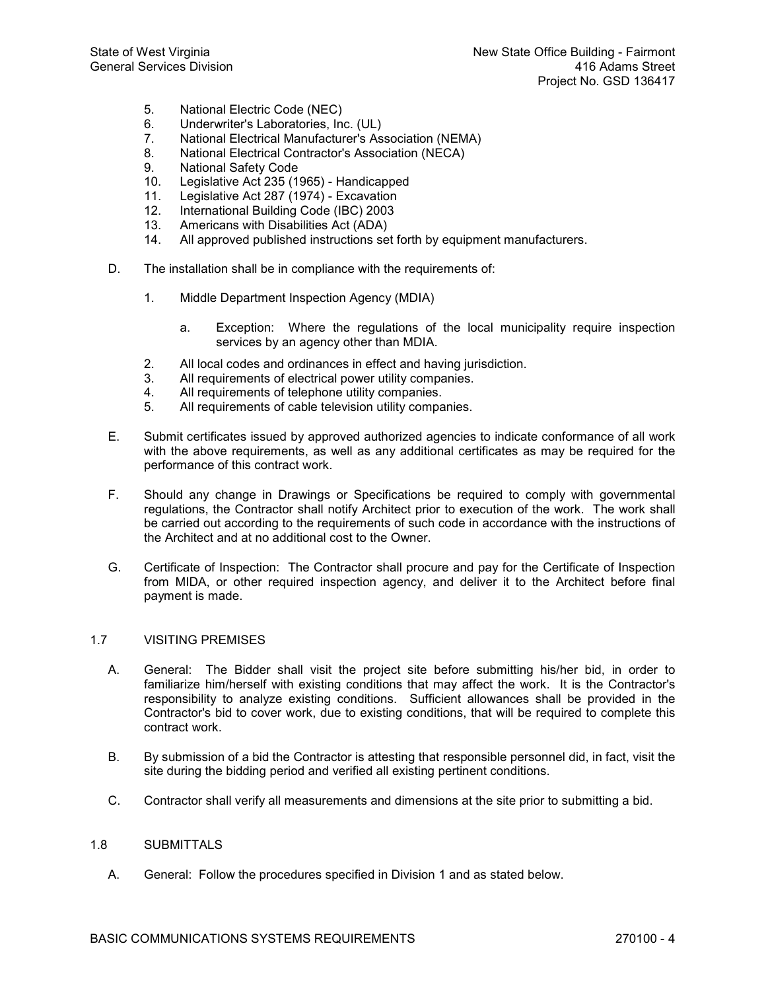- 5. National Electric Code (NEC)<br>6. Underwriter's Laboratories, Inc
- 6. Underwriter's Laboratories, Inc. (UL)<br>7. National Electrical Manufacturer's As
- 7. National Electrical Manufacturer's Association (NEMA)
- 8. National Electrical Contractor's Association (NECA)
- 9. National Safety Code
- 10. Legislative Act 235 (1965) Handicapped
- 11. Legislative Act 287 (1974) Excavation
- 12. International Building Code (IBC) 2003
- 13. Americans with Disabilities Act (ADA)
- 14. All approved published instructions set forth by equipment manufacturers.
- D. The installation shall be in compliance with the requirements of:
	- 1. Middle Department Inspection Agency (MDIA)
		- a. Exception: Where the regulations of the local municipality require inspection services by an agency other than MDIA.
	- 2. All local codes and ordinances in effect and having jurisdiction.
	- 3. All requirements of electrical power utility companies.
	- 4. All requirements of telephone utility companies.<br>5. All requirements of cable television utility companies
	- All requirements of cable television utility companies.
- E. Submit certificates issued by approved authorized agencies to indicate conformance of all work with the above requirements, as well as any additional certificates as may be required for the performance of this contract work.
- F. Should any change in Drawings or Specifications be required to comply with governmental regulations, the Contractor shall notify Architect prior to execution of the work. The work shall be carried out according to the requirements of such code in accordance with the instructions of the Architect and at no additional cost to the Owner.
- G. Certificate of Inspection: The Contractor shall procure and pay for the Certificate of Inspection from MIDA, or other required inspection agency, and deliver it to the Architect before final payment is made.

# 1.7 VISITING PREMISES

- A. General: The Bidder shall visit the project site before submitting his/her bid, in order to familiarize him/herself with existing conditions that may affect the work. It is the Contractor's responsibility to analyze existing conditions. Sufficient allowances shall be provided in the Contractor's bid to cover work, due to existing conditions, that will be required to complete this contract work.
- B. By submission of a bid the Contractor is attesting that responsible personnel did, in fact, visit the site during the bidding period and verified all existing pertinent conditions.
- C. Contractor shall verify all measurements and dimensions at the site prior to submitting a bid.

# 1.8 SUBMITTALS

A. General: Follow the procedures specified in Division 1 and as stated below.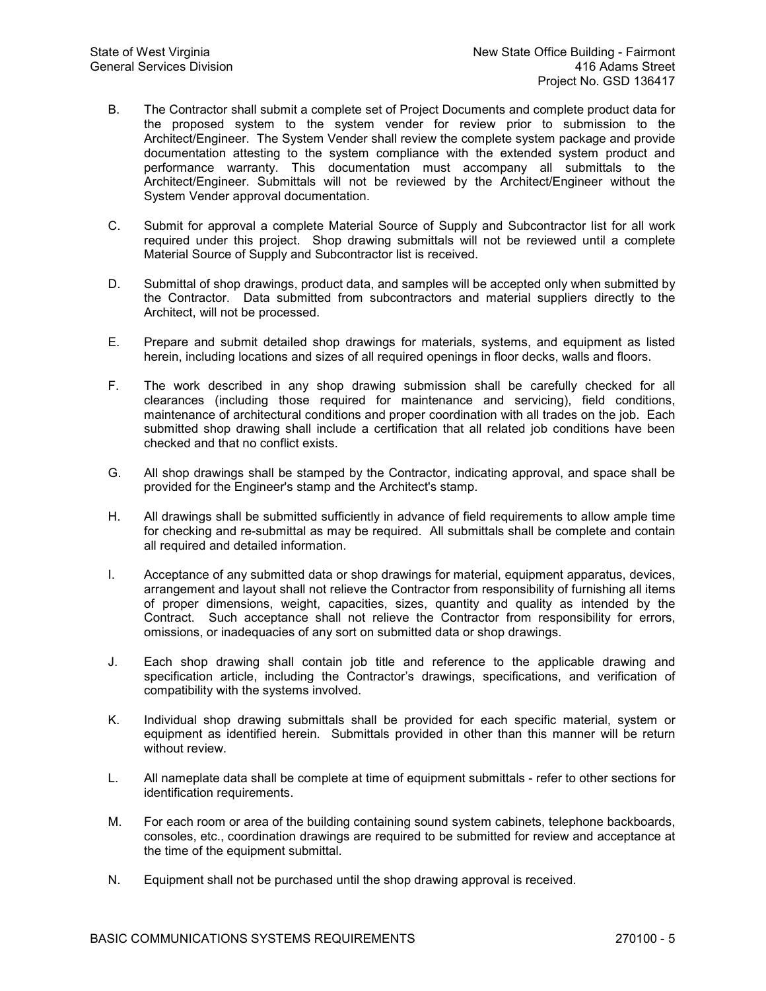- B. The Contractor shall submit a complete set of Project Documents and complete product data for the proposed system to the system vender for review prior to submission to the Architect/Engineer. The System Vender shall review the complete system package and provide documentation attesting to the system compliance with the extended system product and performance warranty. This documentation must accompany all submittals to the Architect/Engineer. Submittals will not be reviewed by the Architect/Engineer without the System Vender approval documentation.
- C. Submit for approval a complete Material Source of Supply and Subcontractor list for all work required under this project. Shop drawing submittals will not be reviewed until a complete Material Source of Supply and Subcontractor list is received.
- D. Submittal of shop drawings, product data, and samples will be accepted only when submitted by the Contractor. Data submitted from subcontractors and material suppliers directly to the Architect, will not be processed.
- E. Prepare and submit detailed shop drawings for materials, systems, and equipment as listed herein, including locations and sizes of all required openings in floor decks, walls and floors.
- F. The work described in any shop drawing submission shall be carefully checked for all clearances (including those required for maintenance and servicing), field conditions, maintenance of architectural conditions and proper coordination with all trades on the job. Each submitted shop drawing shall include a certification that all related job conditions have been checked and that no conflict exists.
- G. All shop drawings shall be stamped by the Contractor, indicating approval, and space shall be provided for the Engineer's stamp and the Architect's stamp.
- H. All drawings shall be submitted sufficiently in advance of field requirements to allow ample time for checking and re-submittal as may be required. All submittals shall be complete and contain all required and detailed information.
- I. Acceptance of any submitted data or shop drawings for material, equipment apparatus, devices, arrangement and layout shall not relieve the Contractor from responsibility of furnishing all items of proper dimensions, weight, capacities, sizes, quantity and quality as intended by the Contract. Such acceptance shall not relieve the Contractor from responsibility for errors, omissions, or inadequacies of any sort on submitted data or shop drawings.
- J. Each shop drawing shall contain job title and reference to the applicable drawing and specification article, including the Contractor's drawings, specifications, and verification of compatibility with the systems involved.
- K. Individual shop drawing submittals shall be provided for each specific material, system or equipment as identified herein. Submittals provided in other than this manner will be return without review.
- L. All nameplate data shall be complete at time of equipment submittals refer to other sections for identification requirements.
- M. For each room or area of the building containing sound system cabinets, telephone backboards, consoles, etc., coordination drawings are required to be submitted for review and acceptance at the time of the equipment submittal.
- N. Equipment shall not be purchased until the shop drawing approval is received.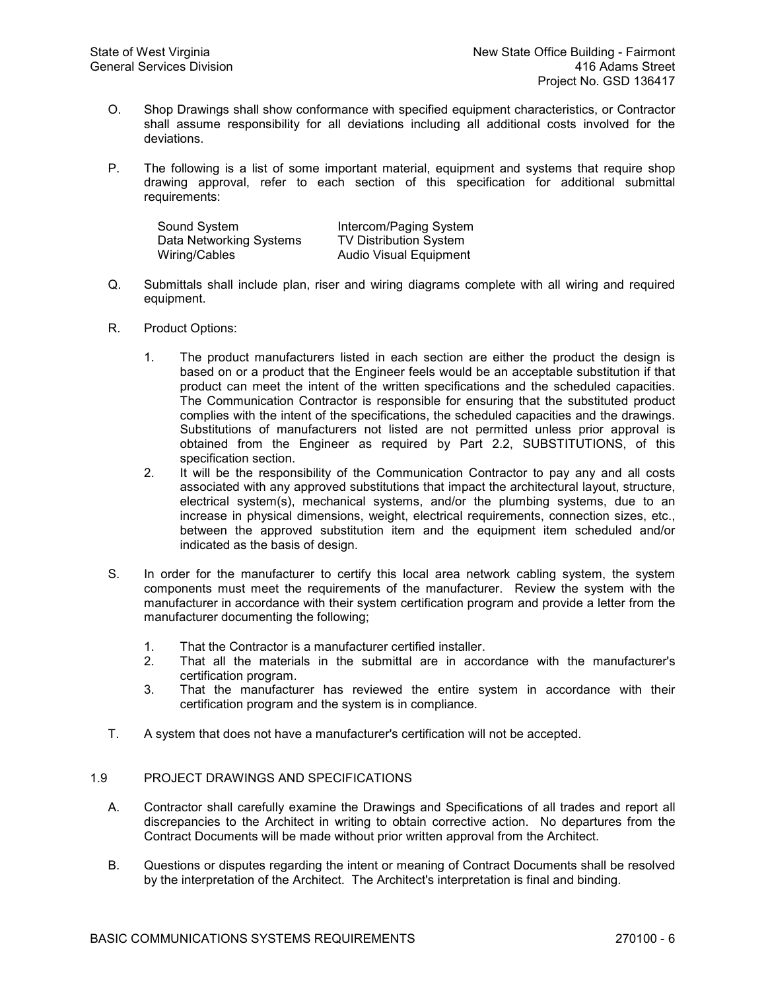- O. Shop Drawings shall show conformance with specified equipment characteristics, or Contractor shall assume responsibility for all deviations including all additional costs involved for the deviations.
- P. The following is a list of some important material, equipment and systems that require shop drawing approval, refer to each section of this specification for additional submittal requirements:

| Sound System            | Intercom/Paging System        |
|-------------------------|-------------------------------|
| Data Networking Systems | <b>TV Distribution System</b> |
| Wiring/Cables           | <b>Audio Visual Equipment</b> |

- Q. Submittals shall include plan, riser and wiring diagrams complete with all wiring and required equipment.
- R. Product Options:
	- 1. The product manufacturers listed in each section are either the product the design is based on or a product that the Engineer feels would be an acceptable substitution if that product can meet the intent of the written specifications and the scheduled capacities. The Communication Contractor is responsible for ensuring that the substituted product complies with the intent of the specifications, the scheduled capacities and the drawings. Substitutions of manufacturers not listed are not permitted unless prior approval is obtained from the Engineer as required by Part 2.2, SUBSTITUTIONS, of this specification section.
	- 2. It will be the responsibility of the Communication Contractor to pay any and all costs associated with any approved substitutions that impact the architectural layout, structure, electrical system(s), mechanical systems, and/or the plumbing systems, due to an increase in physical dimensions, weight, electrical requirements, connection sizes, etc., between the approved substitution item and the equipment item scheduled and/or indicated as the basis of design.
- S. In order for the manufacturer to certify this local area network cabling system, the system components must meet the requirements of the manufacturer. Review the system with the manufacturer in accordance with their system certification program and provide a letter from the manufacturer documenting the following;
	- 1. That the Contractor is a manufacturer certified installer.
	- 2. That all the materials in the submittal are in accordance with the manufacturer's certification program.
	- 3. That the manufacturer has reviewed the entire system in accordance with their certification program and the system is in compliance.
- T. A system that does not have a manufacturer's certification will not be accepted.

# 1.9 PROJECT DRAWINGS AND SPECIFICATIONS

- A. Contractor shall carefully examine the Drawings and Specifications of all trades and report all discrepancies to the Architect in writing to obtain corrective action. No departures from the Contract Documents will be made without prior written approval from the Architect.
- B. Questions or disputes regarding the intent or meaning of Contract Documents shall be resolved by the interpretation of the Architect. The Architect's interpretation is final and binding.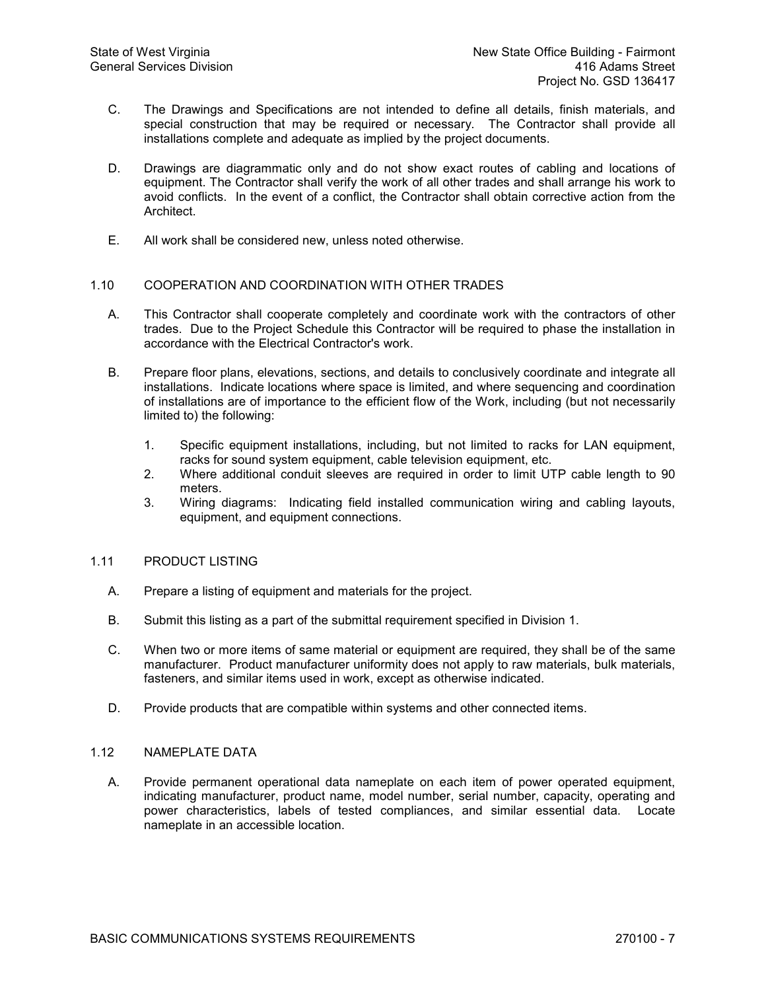- C. The Drawings and Specifications are not intended to define all details, finish materials, and special construction that may be required or necessary. The Contractor shall provide all installations complete and adequate as implied by the project documents.
- D. Drawings are diagrammatic only and do not show exact routes of cabling and locations of equipment. The Contractor shall verify the work of all other trades and shall arrange his work to avoid conflicts. In the event of a conflict, the Contractor shall obtain corrective action from the Architect.
- E. All work shall be considered new, unless noted otherwise.

# 1.10 COOPERATION AND COORDINATION WITH OTHER TRADES

- A. This Contractor shall cooperate completely and coordinate work with the contractors of other trades. Due to the Project Schedule this Contractor will be required to phase the installation in accordance with the Electrical Contractor's work.
- B. Prepare floor plans, elevations, sections, and details to conclusively coordinate and integrate all installations. Indicate locations where space is limited, and where sequencing and coordination of installations are of importance to the efficient flow of the Work, including (but not necessarily limited to) the following:
	- 1. Specific equipment installations, including, but not limited to racks for LAN equipment, racks for sound system equipment, cable television equipment, etc.
	- 2. Where additional conduit sleeves are required in order to limit UTP cable length to 90 meters.
	- 3. Wiring diagrams: Indicating field installed communication wiring and cabling layouts, equipment, and equipment connections.

# 1.11 PRODUCT LISTING

- A. Prepare a listing of equipment and materials for the project.
- B. Submit this listing as a part of the submittal requirement specified in Division 1.
- C. When two or more items of same material or equipment are required, they shall be of the same manufacturer. Product manufacturer uniformity does not apply to raw materials, bulk materials, fasteners, and similar items used in work, except as otherwise indicated.
- D. Provide products that are compatible within systems and other connected items.

# 1.12 NAMEPLATE DATA

A. Provide permanent operational data nameplate on each item of power operated equipment, indicating manufacturer, product name, model number, serial number, capacity, operating and power characteristics, labels of tested compliances, and similar essential data. Locate nameplate in an accessible location.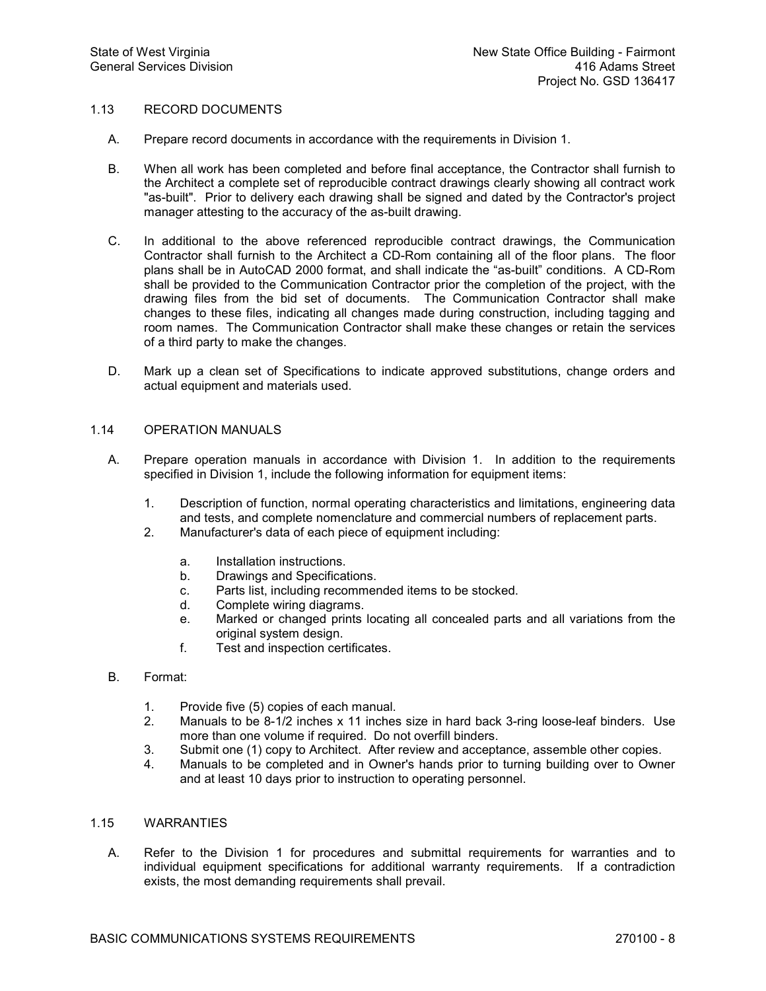# 1.13 RECORD DOCUMENTS

- A. Prepare record documents in accordance with the requirements in Division 1.
- B. When all work has been completed and before final acceptance, the Contractor shall furnish to the Architect a complete set of reproducible contract drawings clearly showing all contract work "as-built". Prior to delivery each drawing shall be signed and dated by the Contractor's project manager attesting to the accuracy of the as-built drawing.
- C. In additional to the above referenced reproducible contract drawings, the Communication Contractor shall furnish to the Architect a CD-Rom containing all of the floor plans. The floor plans shall be in AutoCAD 2000 format, and shall indicate the "as-built" conditions. A CD-Rom shall be provided to the Communication Contractor prior the completion of the project, with the drawing files from the bid set of documents. The Communication Contractor shall make changes to these files, indicating all changes made during construction, including tagging and room names. The Communication Contractor shall make these changes or retain the services of a third party to make the changes.
- D. Mark up a clean set of Specifications to indicate approved substitutions, change orders and actual equipment and materials used.

# 1.14 OPERATION MANUALS

- A. Prepare operation manuals in accordance with Division 1. In addition to the requirements specified in Division 1, include the following information for equipment items:
	- 1. Description of function, normal operating characteristics and limitations, engineering data and tests, and complete nomenclature and commercial numbers of replacement parts.
	- 2. Manufacturer's data of each piece of equipment including:
		- a. Installation instructions.
		- b. Drawings and Specifications.
		- c. Parts list, including recommended items to be stocked.
		- d. Complete wiring diagrams.<br>e. Marked or changed prints
		- Marked or changed prints locating all concealed parts and all variations from the original system design.
		- f. Test and inspection certificates.
- B. Format:
	- 1. Provide five (5) copies of each manual.
	- 2. Manuals to be 8-1/2 inches x 11 inches size in hard back 3-ring loose-leaf binders. Use more than one volume if required. Do not overfill binders.
	- 3. Submit one (1) copy to Architect. After review and acceptance, assemble other copies.
	- 4. Manuals to be completed and in Owner's hands prior to turning building over to Owner and at least 10 days prior to instruction to operating personnel.

#### 1.15 WARRANTIES

A. Refer to the Division 1 for procedures and submittal requirements for warranties and to individual equipment specifications for additional warranty requirements. If a contradiction exists, the most demanding requirements shall prevail.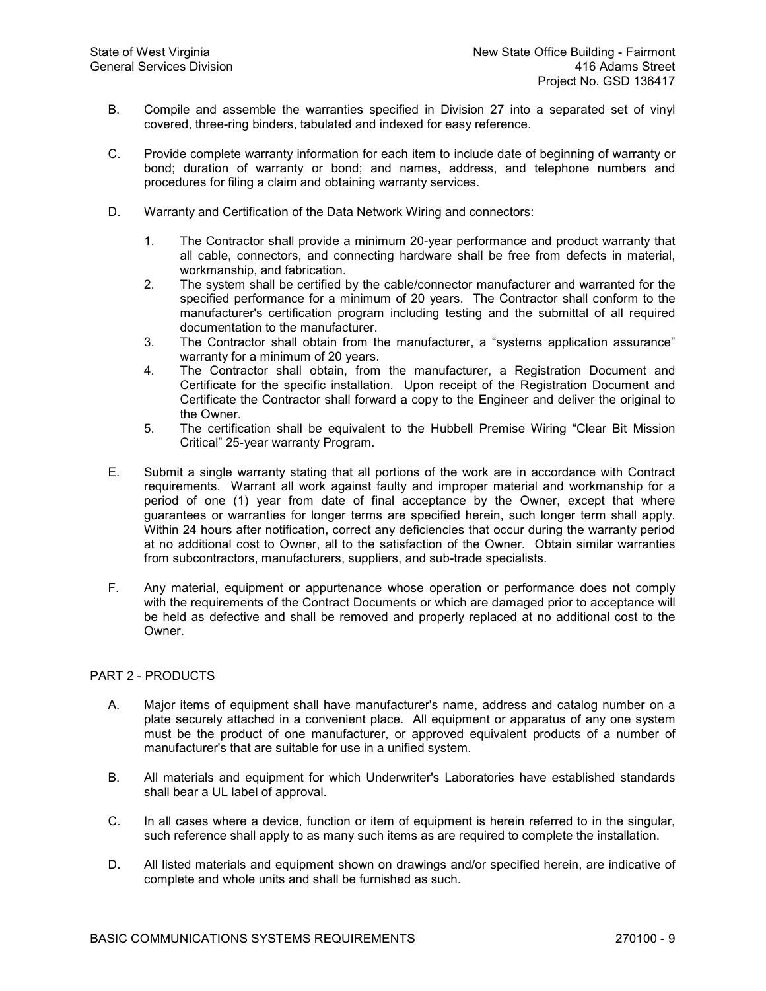- B. Compile and assemble the warranties specified in Division 27 into a separated set of vinyl covered, three-ring binders, tabulated and indexed for easy reference.
- C. Provide complete warranty information for each item to include date of beginning of warranty or bond; duration of warranty or bond; and names, address, and telephone numbers and procedures for filing a claim and obtaining warranty services.
- D. Warranty and Certification of the Data Network Wiring and connectors:
	- 1. The Contractor shall provide a minimum 20-year performance and product warranty that all cable, connectors, and connecting hardware shall be free from defects in material, workmanship, and fabrication.
	- 2. The system shall be certified by the cable/connector manufacturer and warranted for the specified performance for a minimum of 20 years. The Contractor shall conform to the manufacturer's certification program including testing and the submittal of all required documentation to the manufacturer.
	- 3. The Contractor shall obtain from the manufacturer, a "systems application assurance" warranty for a minimum of 20 years.
	- 4. The Contractor shall obtain, from the manufacturer, a Registration Document and Certificate for the specific installation. Upon receipt of the Registration Document and Certificate the Contractor shall forward a copy to the Engineer and deliver the original to the Owner.
	- 5. The certification shall be equivalent to the Hubbell Premise Wiring "Clear Bit Mission Critical" 25-year warranty Program.
- E. Submit a single warranty stating that all portions of the work are in accordance with Contract requirements. Warrant all work against faulty and improper material and workmanship for a period of one (1) year from date of final acceptance by the Owner, except that where guarantees or warranties for longer terms are specified herein, such longer term shall apply. Within 24 hours after notification, correct any deficiencies that occur during the warranty period at no additional cost to Owner, all to the satisfaction of the Owner. Obtain similar warranties from subcontractors, manufacturers, suppliers, and sub-trade specialists.
- F. Any material, equipment or appurtenance whose operation or performance does not comply with the requirements of the Contract Documents or which are damaged prior to acceptance will be held as defective and shall be removed and properly replaced at no additional cost to the Owner.

# PART 2 - PRODUCTS

- A. Major items of equipment shall have manufacturer's name, address and catalog number on a plate securely attached in a convenient place. All equipment or apparatus of any one system must be the product of one manufacturer, or approved equivalent products of a number of manufacturer's that are suitable for use in a unified system.
- B. All materials and equipment for which Underwriter's Laboratories have established standards shall bear a UL label of approval.
- C. In all cases where a device, function or item of equipment is herein referred to in the singular, such reference shall apply to as many such items as are required to complete the installation.
- D. All listed materials and equipment shown on drawings and/or specified herein, are indicative of complete and whole units and shall be furnished as such.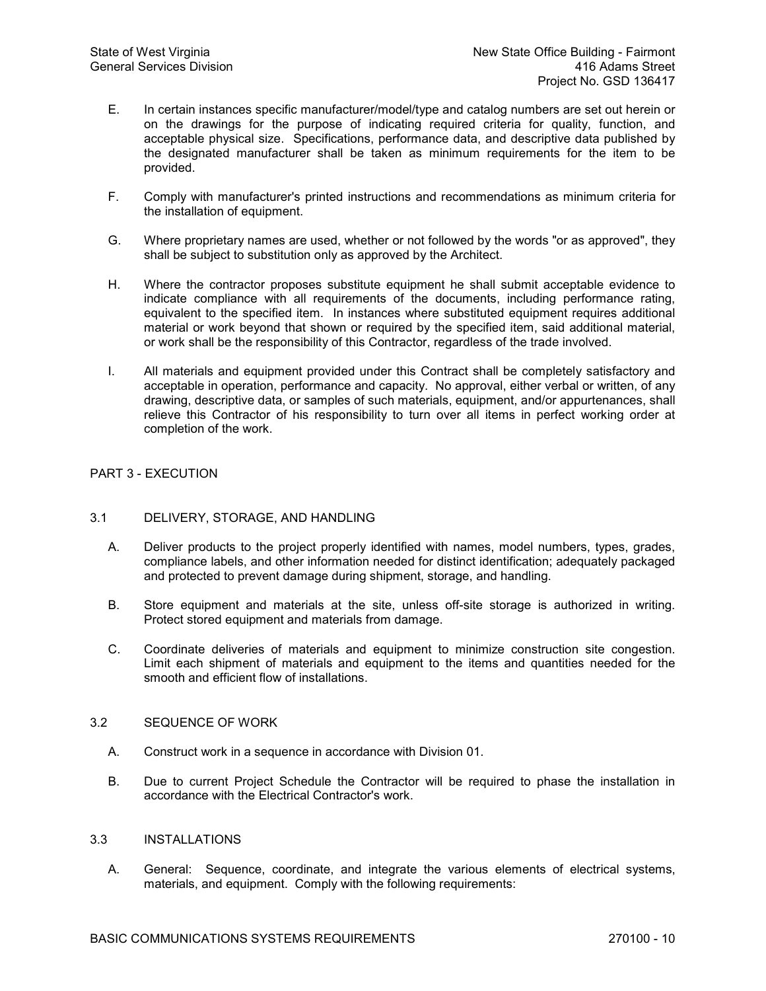- E. In certain instances specific manufacturer/model/type and catalog numbers are set out herein or on the drawings for the purpose of indicating required criteria for quality, function, and acceptable physical size. Specifications, performance data, and descriptive data published by the designated manufacturer shall be taken as minimum requirements for the item to be provided.
- F. Comply with manufacturer's printed instructions and recommendations as minimum criteria for the installation of equipment.
- G. Where proprietary names are used, whether or not followed by the words "or as approved", they shall be subject to substitution only as approved by the Architect.
- H. Where the contractor proposes substitute equipment he shall submit acceptable evidence to indicate compliance with all requirements of the documents, including performance rating, equivalent to the specified item. In instances where substituted equipment requires additional material or work beyond that shown or required by the specified item, said additional material, or work shall be the responsibility of this Contractor, regardless of the trade involved.
- I. All materials and equipment provided under this Contract shall be completely satisfactory and acceptable in operation, performance and capacity. No approval, either verbal or written, of any drawing, descriptive data, or samples of such materials, equipment, and/or appurtenances, shall relieve this Contractor of his responsibility to turn over all items in perfect working order at completion of the work.

# PART 3 - EXECUTION

# 3.1 DELIVERY, STORAGE, AND HANDLING

- A. Deliver products to the project properly identified with names, model numbers, types, grades, compliance labels, and other information needed for distinct identification; adequately packaged and protected to prevent damage during shipment, storage, and handling.
- B. Store equipment and materials at the site, unless off-site storage is authorized in writing. Protect stored equipment and materials from damage.
- C. Coordinate deliveries of materials and equipment to minimize construction site congestion. Limit each shipment of materials and equipment to the items and quantities needed for the smooth and efficient flow of installations.

# 3.2 SEQUENCE OF WORK

- A. Construct work in a sequence in accordance with Division 01.
- B. Due to current Project Schedule the Contractor will be required to phase the installation in accordance with the Electrical Contractor's work.

# 3.3 INSTALLATIONS

A. General: Sequence, coordinate, and integrate the various elements of electrical systems, materials, and equipment. Comply with the following requirements: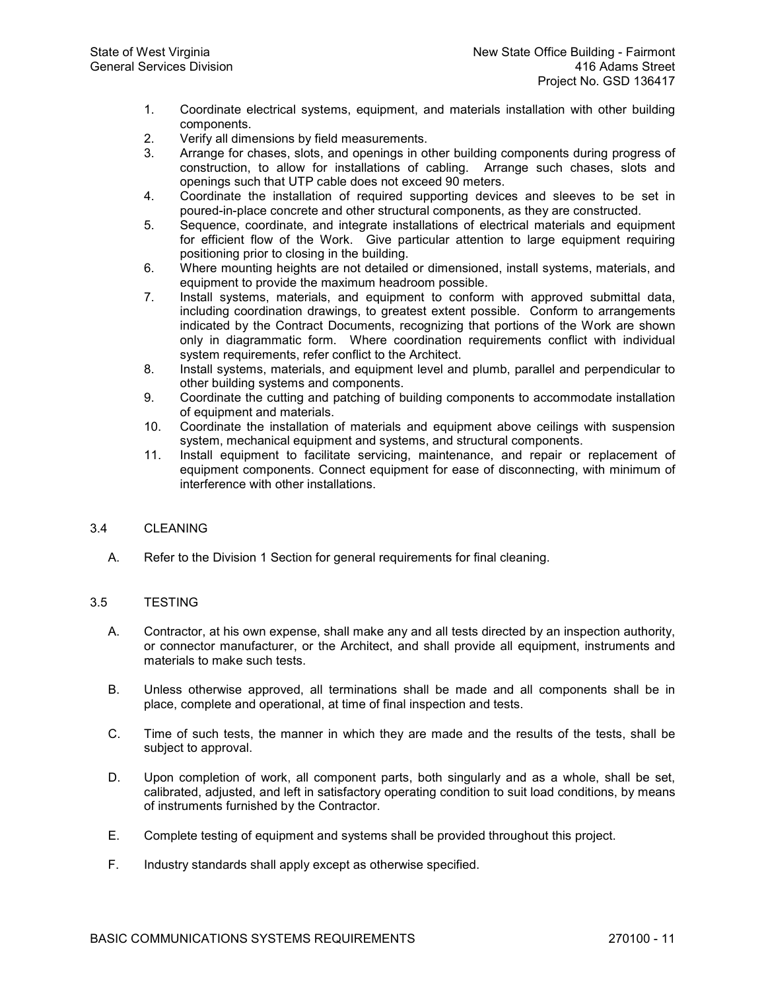- 1. Coordinate electrical systems, equipment, and materials installation with other building components.
- 2. Verify all dimensions by field measurements.
- 3. Arrange for chases, slots, and openings in other building components during progress of construction, to allow for installations of cabling. Arrange such chases, slots and openings such that UTP cable does not exceed 90 meters.
- 4. Coordinate the installation of required supporting devices and sleeves to be set in poured-in-place concrete and other structural components, as they are constructed.
- 5. Sequence, coordinate, and integrate installations of electrical materials and equipment for efficient flow of the Work. Give particular attention to large equipment requiring positioning prior to closing in the building.
- 6. Where mounting heights are not detailed or dimensioned, install systems, materials, and equipment to provide the maximum headroom possible.
- 7. Install systems, materials, and equipment to conform with approved submittal data, including coordination drawings, to greatest extent possible. Conform to arrangements indicated by the Contract Documents, recognizing that portions of the Work are shown only in diagrammatic form. Where coordination requirements conflict with individual system requirements, refer conflict to the Architect.
- 8. Install systems, materials, and equipment level and plumb, parallel and perpendicular to other building systems and components.
- 9. Coordinate the cutting and patching of building components to accommodate installation of equipment and materials.
- 10. Coordinate the installation of materials and equipment above ceilings with suspension system, mechanical equipment and systems, and structural components.
- 11. Install equipment to facilitate servicing, maintenance, and repair or replacement of equipment components. Connect equipment for ease of disconnecting, with minimum of interference with other installations.

# 3.4 CLEANING

A. Refer to the Division 1 Section for general requirements for final cleaning.

# 3.5 TESTING

- A. Contractor, at his own expense, shall make any and all tests directed by an inspection authority, or connector manufacturer, or the Architect, and shall provide all equipment, instruments and materials to make such tests.
- B. Unless otherwise approved, all terminations shall be made and all components shall be in place, complete and operational, at time of final inspection and tests.
- C. Time of such tests, the manner in which they are made and the results of the tests, shall be subject to approval.
- D. Upon completion of work, all component parts, both singularly and as a whole, shall be set, calibrated, adjusted, and left in satisfactory operating condition to suit load conditions, by means of instruments furnished by the Contractor.
- E. Complete testing of equipment and systems shall be provided throughout this project.
- F. Industry standards shall apply except as otherwise specified.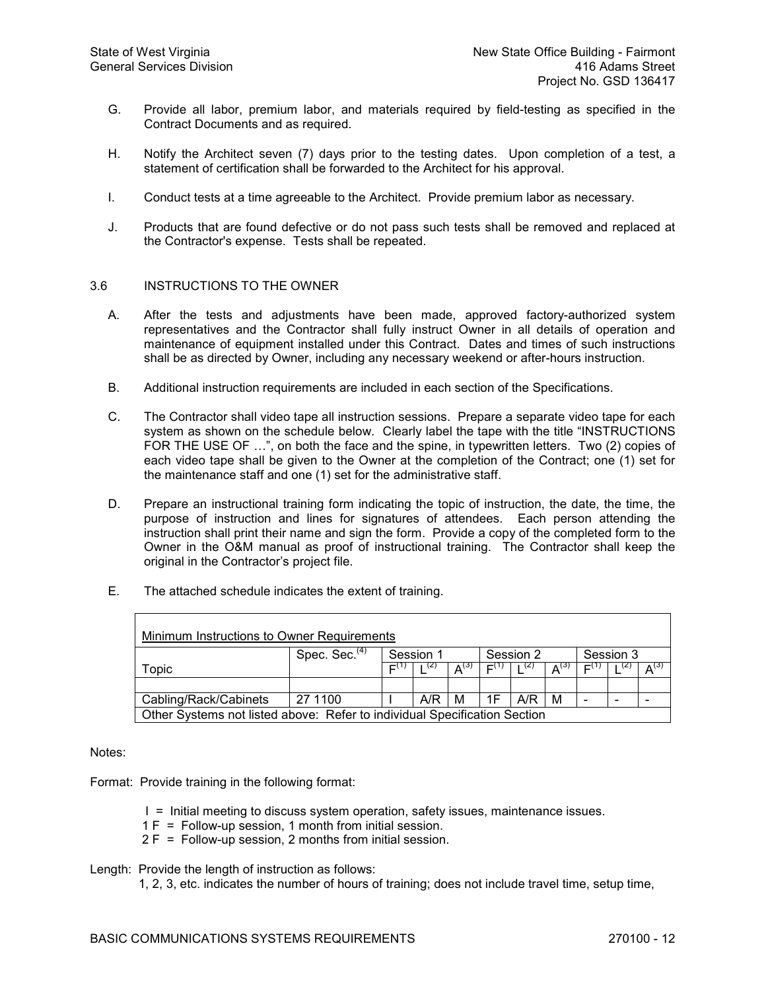- G. Provide all labor, premium labor, and materials required by field-testing as specified in the Contract Documents and as required.
- H. Notify the Architect seven (7) days prior to the testing dates. Upon completion of a test, a statement of certification shall be forwarded to the Architect for his approval.
- I. Conduct tests at a time agreeable to the Architect. Provide premium labor as necessary.
- J. Products that are found defective or do not pass such tests shall be removed and replaced at the Contractor's expense. Tests shall be repeated.

#### 3.6 INSTRUCTIONS TO THE OWNER

- A. After the tests and adjustments have been made, approved factory-authorized system representatives and the Contractor shall fully instruct Owner in all details of operation and maintenance of equipment installed under this Contract. Dates and times of such instructions shall be as directed by Owner, including any necessary weekend or after-hours instruction.
- B. Additional instruction requirements are included in each section of the Specifications.
- C. The Contractor shall video tape all instruction sessions. Prepare a separate video tape for each system as shown on the schedule below. Clearly label the tape with the title "INSTRUCTIONS FOR THE USE OF ...", on both the face and the spine, in typewritten letters. Two (2) copies of each video tape shall be given to the Owner at the completion of the Contract; one (1) set for the maintenance staff and one (1) set for the administrative staff.
- D. Prepare an instructional training form indicating the topic of instruction, the date, the time, the purpose of instruction and lines for signatures of attendees. Each person attending the instruction shall print their name and sign the form. Provide a copy of the completed form to the Owner in the O&M manual as proof of instructional training. The Contractor shall keep the original in the Contractor's project file.
- E. The attached schedule indicates the extent of training.

| Minimum Instructions to Owner Requirements                                |  |  |     |                 |             |  |                         |           |     |                |
|---------------------------------------------------------------------------|--|--|-----|-----------------|-------------|--|-------------------------|-----------|-----|----------------|
| Spec. Sec. <sup>(4)</sup><br>Session 3<br>Session 1<br>Session 2          |  |  |     |                 |             |  |                         |           |     |                |
| Topic                                                                     |  |  | (2) | $\Lambda^{(3)}$ | <b>C(1)</b> |  | $\mathbf{\Delta}^{(3)}$ | $E^{(1)}$ | (2) | $\Delta^{(3)}$ |
|                                                                           |  |  |     |                 |             |  |                         |           |     |                |
| 1F<br>27 1100<br>A/R<br>A/R<br>Cabling/Rack/Cabinets<br>M<br>M            |  |  |     |                 |             |  |                         |           |     |                |
| Other Systems not listed above: Refer to individual Specification Section |  |  |     |                 |             |  |                         |           |     |                |

#### Notes:

Format: Provide training in the following format:

- I = Initial meeting to discuss system operation, safety issues, maintenance issues.
- 1 F = Followup session, 1 month from initial session.
- 2 F = Followup session, 2 months from initial session.

Length: Provide the length of instruction as follows:

1, 2, 3, etc. indicates the number of hours of training; does not include travel time, setup time,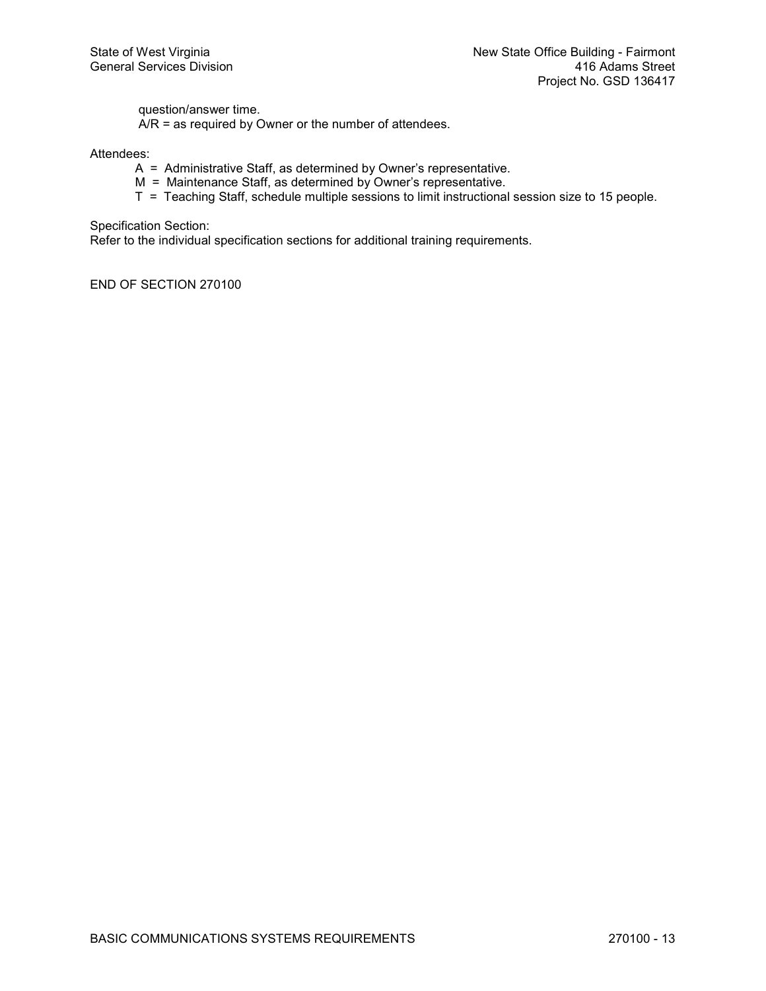question/answer time.

 $\overline{A/R}$  = as required by Owner or the number of attendees.

# Attendees:

- A = Administrative Staff, as determined by Owner's representative.
- M = Maintenance Staff, as determined by Owner's representative.
- T = Teaching Staff, schedule multiple sessions to limit instructional session size to 15 people.

Specification Section:

Refer to the individual specification sections for additional training requirements.

END OF SECTION 270100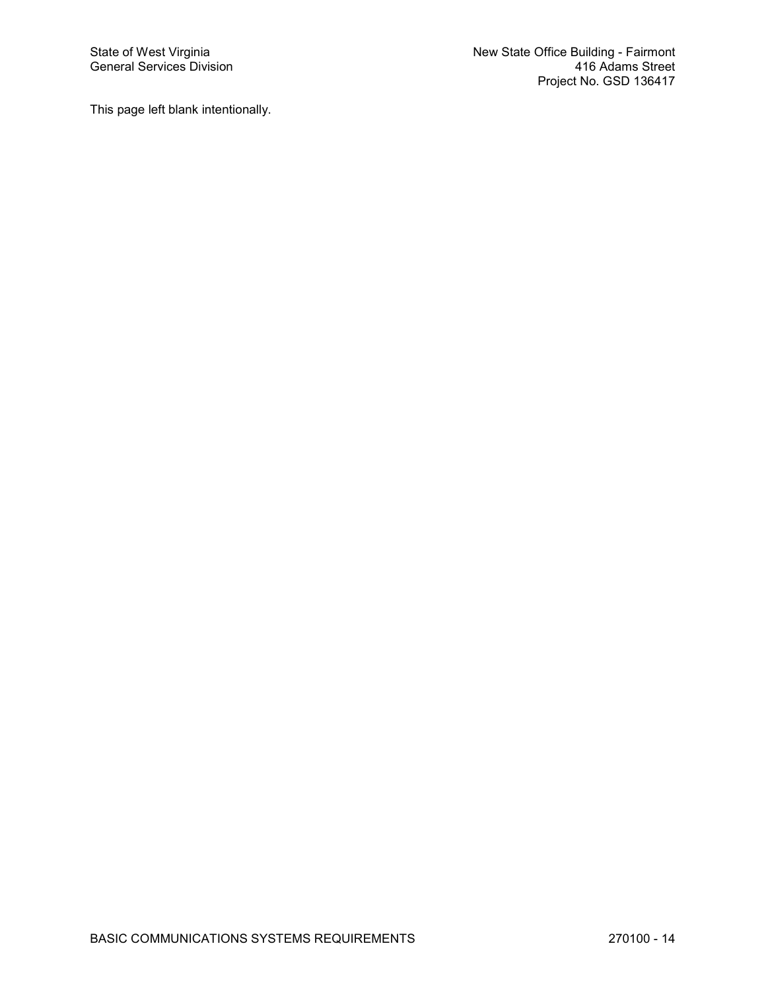This page left blank intentionally.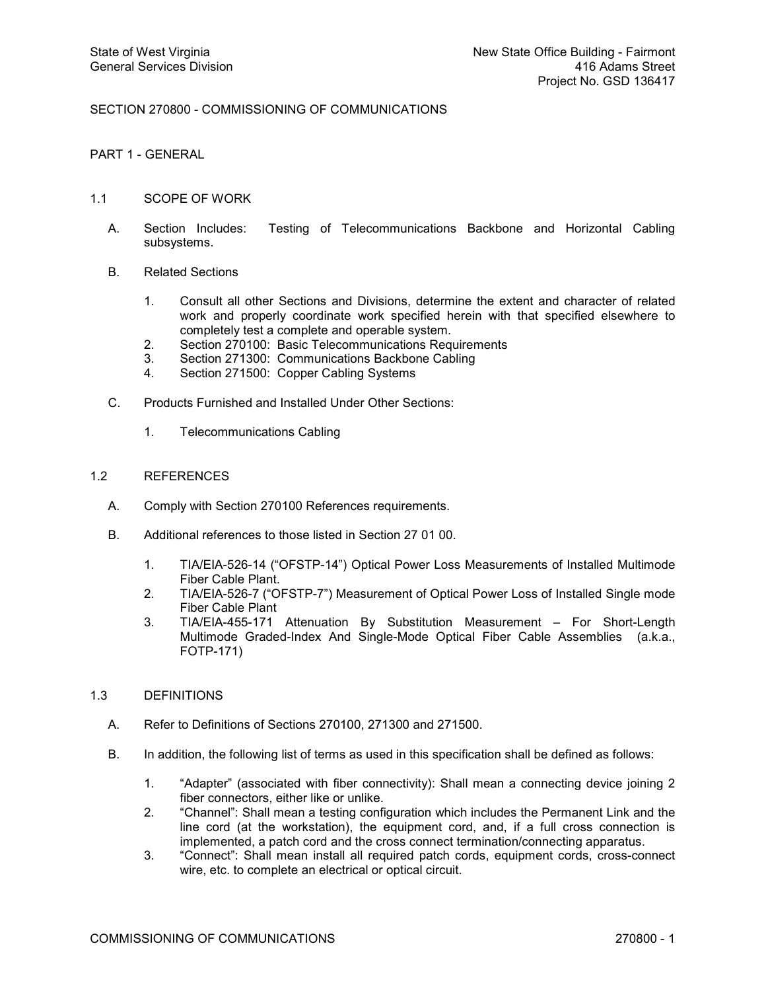# SECTION 270800 - COMMISSIONING OF COMMUNICATIONS

PART 1 GENERAL

# 1.1 SCOPE OF WORK

- A. Section Includes: Testing of Telecommunications Backbone and Horizontal Cabling subsystems.
- B. Related Sections
	- 1. Consult all other Sections and Divisions, determine the extent and character of related work and properly coordinate work specified herein with that specified elsewhere to completely test a complete and operable system.
	- 2. Section 270100: Basic Telecommunications Requirements
	- 3. Section 271300: Communications Backbone Cabling<br>4. Section 271500: Copper Cabling Systems
	- Section 271500: Copper Cabling Systems
- C. Products Furnished and Installed Under Other Sections:
	- 1. Telecommunications Cabling

# 1.2 REFERENCES

- A. Comply with Section 270100 References requirements.
- B. Additional references to those listed in Section 27 01 00.
	- 1. TIA/EIA-526-14 ("OFSTP-14") Optical Power Loss Measurements of Installed Multimode Fiber Cable Plant.
	- 2. TIA/EIA-526-7 ("OFSTP-7") Measurement of Optical Power Loss of Installed Single mode Fiber Cable Plant
	- 3. TIA/EIA-455-171 Attenuation By Substitution Measurement For Short-Length Multimode Graded-Index And Single-Mode Optical Fiber Cable Assemblies (a.k.a., FOTP-171)

# 1.3 DEFINITIONS

- A. Refer to Definitions of Sections 270100, 271300 and 271500.
- B. In addition, the following list of terms as used in this specification shall be defined as follows:
	- 1. "Adapter" (associated with fiber connectivity): Shall mean a connecting device joining 2 fiber connectors, either like or unlike.
	- 2. "Channel": Shall mean a testing configuration which includes the Permanent Link and the line cord (at the workstation), the equipment cord, and, if a full cross connection is implemented, a patch cord and the cross connect termination/connecting apparatus.
	- 3. "Connect": Shall mean install all required patch cords, equipment cords, crossconnect wire, etc. to complete an electrical or optical circuit.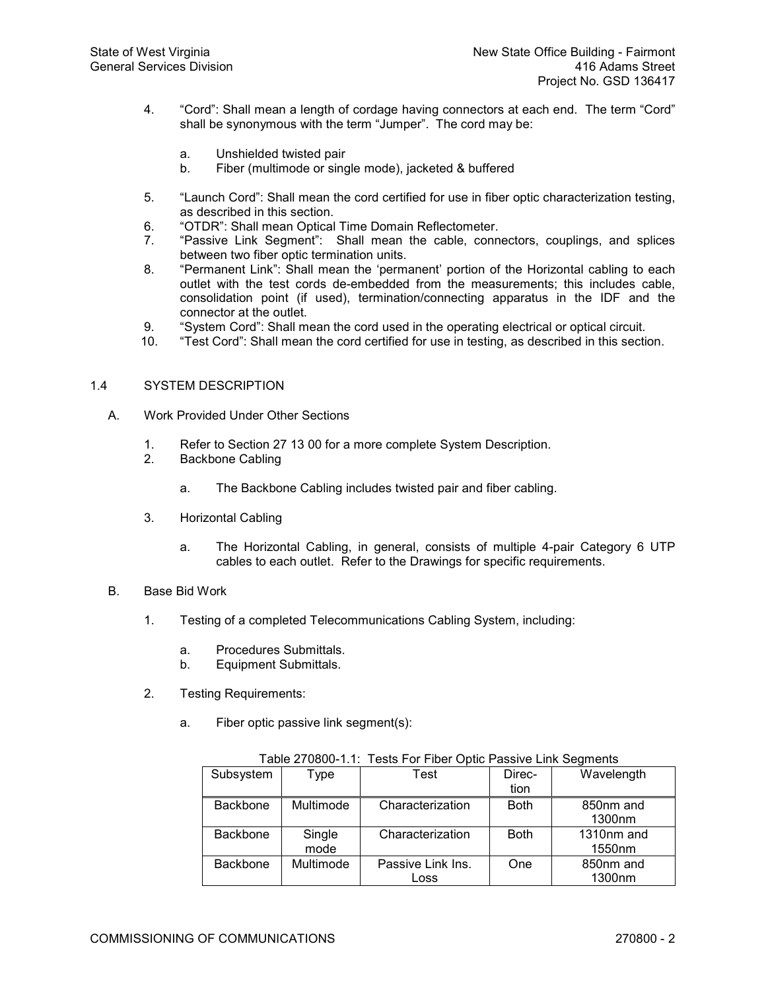- 4. "Cord": Shall mean a length of cordage having connectors at each end. The term "Cord" shall be synonymous with the term "Jumper". The cord may be:
	- a. Unshielded twisted pair
	- b. Fiber (multimode or single mode), jacketed & buffered
- 5. "Launch Cord": Shall mean the cord certified for use in fiber optic characterization testing, as described in this section.
- 6. "OTDR": Shall mean Optical Time Domain Reflectometer.
- 7. "Passive Link Segment": Shall mean the cable, connectors, couplings, and splices between two fiber optic termination units.
- 8. "Permanent Link": Shall mean the 'permanent' portion of the Horizontal cabling to each outlet with the test cords de-embedded from the measurements; this includes cable, consolidation point (if used), termination/connecting apparatus in the IDF and the connector at the outlet.
- 9. "System Cord": Shall mean the cord used in the operating electrical or optical circuit.<br>10. "Test Cord": Shall mean the cord certified for use in testing as described in this secti
- 10. "Test Cord": Shall mean the cord certified for use in testing, as described in this section.

# 1.4 SYSTEM DESCRIPTION

- A. Work Provided Under Other Sections
	- 1. Refer to Section 27 13 00 for a more complete System Description.
	- 2. Backbone Cabling
		- a. The Backbone Cabling includes twisted pair and fiber cabling.
	- 3. Horizontal Cabling
		- a. The Horizontal Cabling, in general, consists of multiple 4-pair Category 6 UTP cables to each outlet. Refer to the Drawings for specific requirements.
- B. Base Bid Work
	- 1. Testing of a completed Telecommunications Cabling System, including:
		- a. Procedures Submittals.
		- b. Equipment Submittals.
	- 2. Testing Requirements:
		- a. Fiber optic passive link segment(s):

|                 |           | $1000$ $\sigma$ $1.1$ . Toolo I of Tibol Optio I doolve Ellin Ocymento |             |                    |
|-----------------|-----------|------------------------------------------------------------------------|-------------|--------------------|
| Subsystem       | Type      | Test                                                                   | Direc-      | Wavelength         |
|                 |           |                                                                        | tion        |                    |
| <b>Backbone</b> | Multimode | Characterization                                                       | <b>Both</b> | 850nm and          |
|                 |           |                                                                        |             | 1300nm             |
| <b>Backbone</b> | Single    | Characterization                                                       | <b>Both</b> | 1310nm and         |
|                 | mode      |                                                                        |             | 1550 <sub>nm</sub> |
| <b>Backbone</b> | Multimode | Passive Link Ins.                                                      | One         | 850nm and          |
|                 |           | Loss                                                                   |             | 1300nm             |

Table 270800-1-1: Tests For Fiber Optic Passive Link Segments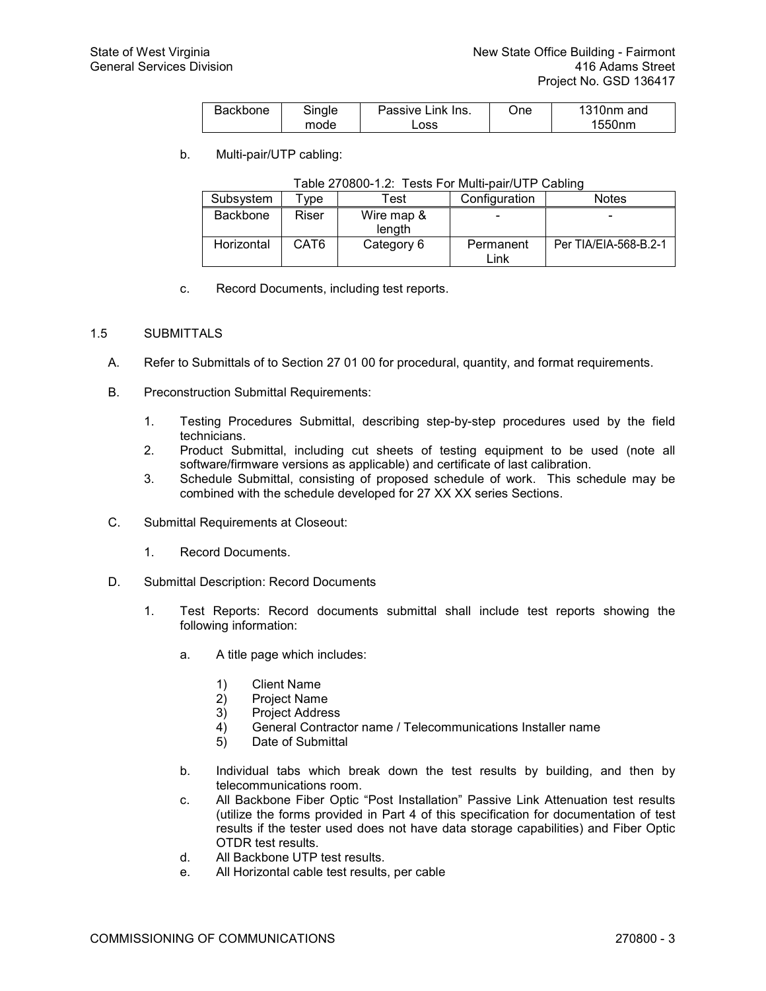| Backbone | Single | Passive Link Ins. | .<br>Jne | 1310nm and |
|----------|--------|-------------------|----------|------------|
|          | mode   | _oss              |          | 1550nm     |

b. Multi-pair/UTP cabling:

|  | Table 270800-1.2: Tests For Multi-pair/UTP Cabling |
|--|----------------------------------------------------|
|--|----------------------------------------------------|

| Subsystem  | $^{\mathsf{\tau}}$ vpe | Test                 | Configuration     | <b>Notes</b>          |
|------------|------------------------|----------------------|-------------------|-----------------------|
| Backbone   | Riser                  | Wire map &<br>length |                   |                       |
| Horizontal | CAT6                   | Category 6           | Permanent<br>∟ink | Per TIA/EIA-568-B.2-1 |

c. Record Documents, including test reports.

# 1.5 SUBMITTALS

- A. Refer to Submittals of to Section 27 01 00 for procedural, quantity, and format requirements.
- B. Preconstruction Submittal Requirements:
	- 1. Testing Procedures Submittal, describing stepbystep procedures used by the field technicians.
	- 2. Product Submittal, including cut sheets of testing equipment to be used (note all software/firmware versions as applicable) and certificate of last calibration.
	- 3. Schedule Submittal, consisting of proposed schedule of work. This schedule may be combined with the schedule developed for 27 XX XX series Sections.
- C. Submittal Requirements at Closeout:
	- 1. Record Documents.
- D. Submittal Description: Record Documents
	- 1. Test Reports: Record documents submittal shall include test reports showing the following information:
		- a. A title page which includes:
			- 1) Client Name<br>2) Project Name
			- Project Name
			- 3) Project Address
			- 4) General Contractor name / Telecommunications Installer name
			- 5) Date of Submittal
		- b. Individual tabs which break down the test results by building, and then by telecommunications room.
		- c. All Backbone Fiber Optic "Post Installation" Passive Link Attenuation test results (utilize the forms provided in Part 4 of this specification for documentation of test results if the tester used does not have data storage capabilities) and Fiber Optic OTDR test results.
		- d. All Backbone UTP test results.
		- e. All Horizontal cable test results, per cable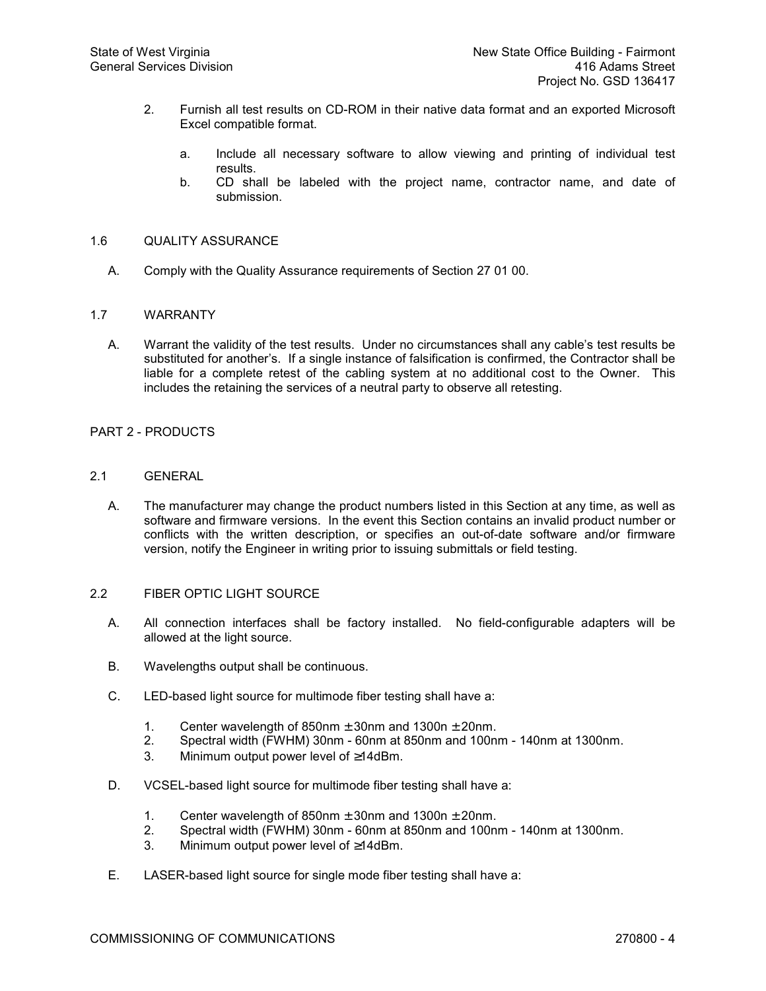- 2. Furnish all test results on CD-ROM in their native data format and an exported Microsoft Excel compatible format.
	- a. Include all necessary software to allow viewing and printing of individual test results.
	- b. CD shall be labeled with the project name, contractor name, and date of submission.

# 1.6 QUALITY ASSURANCE

A. Comply with the Quality Assurance requirements of Section 27 01 00.

#### 1.7 WARRANTY

A. Warrant the validity of the test results. Under no circumstances shall any cable's test results be substituted for another's. If a single instance of falsification is confirmed, the Contractor shall be liable for a complete retest of the cabling system at no additional cost to the Owner. This includes the retaining the services of a neutral party to observe all retesting.

# PART 2 - PRODUCTS

- 2.1 GENERAL
	- A. The manufacturer may change the product numbers listed in this Section at any time, as well as software and firmware versions. In the event this Section contains an invalid product number or conflicts with the written description, or specifies an out-of-date software and/or firmware version, notify the Engineer in writing prior to issuing submittals or field testing.

## 2.2 FIBER OPTIC LIGHT SOURCE

- A. All connection interfaces shall be factory installed. No field-configurable adapters will be allowed at the light source.
- B. Wavelengths output shall be continuous.
- C. LED-based light source for multimode fiber testing shall have a:
	- 1. Center wavelength of 850nm  $\pm$  30nm and 1300n  $\pm$  20nm.<br>2. Spectral width (FWHM) 30nm 60nm at 850nm and 100n
	- Spectral width (FWHM) 30nm 60nm at 850nm and 100nm 140nm at 1300nm.
	- 3. Minimum output power level of ≥14dBm.
- D. VCSEL-based light source for multimode fiber testing shall have a:
	- 1. Center wavelength of 850nm  $\pm$  30nm and 1300n  $\pm$  20nm.<br>2. Spectral width (FWHM) 30nm 60nm at 850nm and 100nm
	- Spectral width (FWHM) 30nm 60nm at 850nm and 100nm 140nm at 1300nm.
	- 3. Minimum output power level of ≥14dBm.
- E. LASER-based light source for single mode fiber testing shall have a: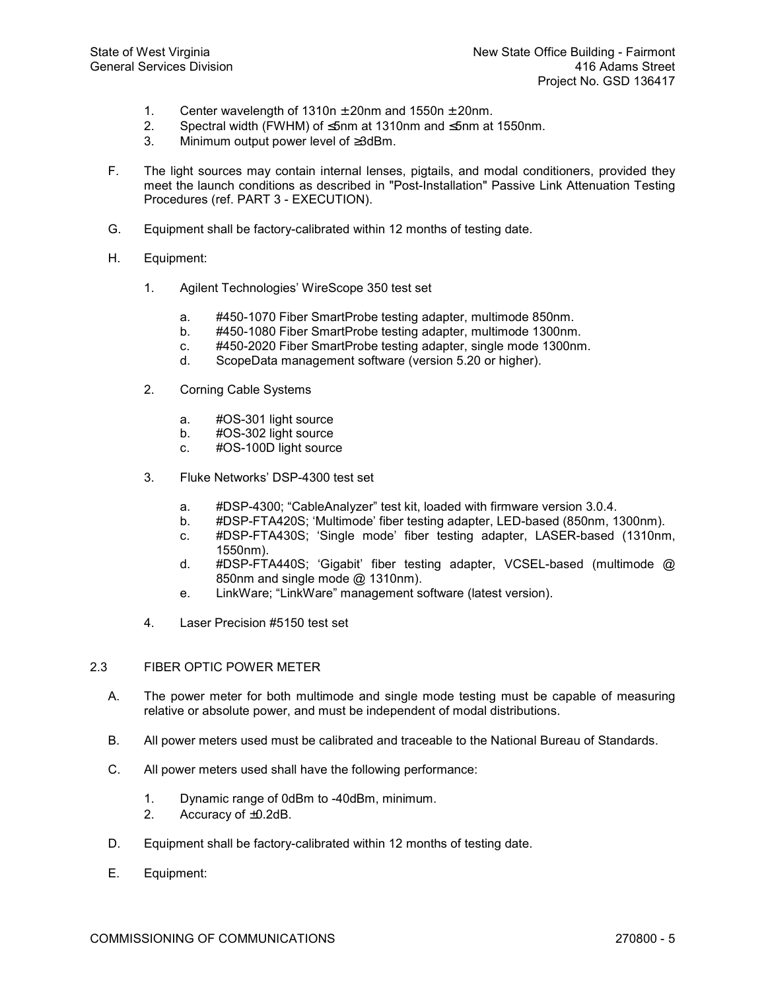- 1. Center wavelength of  $1310n \pm 20$ nm and  $1550n \pm 20$ nm.
- 2. Spectral width (FWHM) of ≤5nm at 1310nm and ≤5nm at 1550nm.
- 3. Minimum output power level of ≥3dBm.
- F. The light sources may contain internal lenses, pigtails, and modal conditioners, provided they meet the launch conditions as described in "Post-Installation" Passive Link Attenuation Testing Procedures (ref. PART 3 - EXECUTION).
- G. Equipment shall be factory-calibrated within 12 months of testing date.
- H. Equipment:
	- 1. Agilent Technologies' WireScope 350 test set
		- a. #450-1070 Fiber SmartProbe testing adapter, multimode 850nm.<br>b. #450-1080 Fiber SmartProbe testing adapter, multimode 1300nm
		- #450-1080 Fiber SmartProbe testing adapter, multimode 1300nm.
		- c. #4502020 Fiber SmartProbe testing adapter, single mode 1300nm.
		- d. ScopeData management software (version 5.20 or higher).
	- 2. Corning Cable Systems
		- a. #OS-301 light source
		- b. #OS-302 light source
		- c. #OS-100D light source
	- 3. Fluke Networks' DSP4300 test set
		- a. #DSP4300; "CableAnalyzer" test kit, loaded with firmware version 3.0.4.
		- b. #DSP-FTA420S; 'Multimode' fiber testing adapter, LED-based (850nm, 1300nm).
		- c. #DSP-FTA430S; 'Single mode' fiber testing adapter, LASER-based (1310nm, 1550nm).
		- d. #DSP-FTA440S; 'Gigabit' fiber testing adapter, VCSEL-based (multimode @ 850nm and single mode @ 1310nm).
		- e. LinkWare; "LinkWare" management software (latest version).
	- 4. Laser Precision #5150 test set

# 2.3 FIBER OPTIC POWER METER

- A. The power meter for both multimode and single mode testing must be capable of measuring relative or absolute power, and must be independent of modal distributions.
- B. All power meters used must be calibrated and traceable to the National Bureau of Standards.
- C. All power meters used shall have the following performance:
	- 1. Dynamic range of 0dBm to -40dBm, minimum.<br>2. Accuracy of  $\pm 0.2$ dB.
	- Accuracy of  $\pm$ 0.2dB.
- D. Equipment shall be factory-calibrated within 12 months of testing date.
- E. Equipment: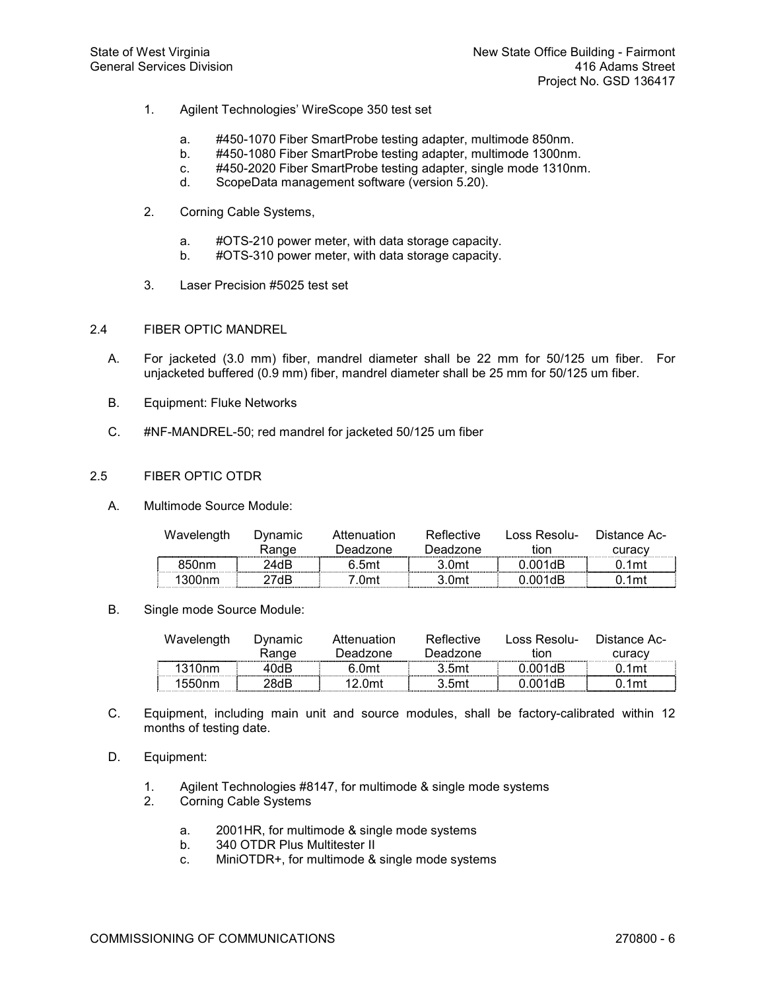- 1. Agilent Technologies' WireScope 350 test set
	- a. #450-1070 Fiber SmartProbe testing adapter, multimode 850nm.<br>b. #450-1080 Fiber SmartProbe testing adapter, multimode 1300nm
	- #450-1080 Fiber SmartProbe testing adapter, multimode 1300nm.
	- c. #450-2020 Fiber SmartProbe testing adapter, single mode 1310nm.<br>d. ScopeData management software (version 5.20).
	- ScopeData management software (version 5.20).
- 2. Corning Cable Systems,
	- a. #OTS-210 power meter, with data storage capacity.<br>b. #OTS-310 power meter, with data storage capacity.
	- #OTS-310 power meter, with data storage capacity.
- 3. Laser Precision #5025 test set

# 2.4 FIBER OPTIC MANDREL

- A. For jacketed (3.0 mm) fiber, mandrel diameter shall be 22 mm for 50/125 um fiber. For unjacketed buffered (0.9 mm) fiber, mandrel diameter shall be 25 mm for 50/125 um fiber.
- B. Equipment: Fluke Networks
- C. #NF-MANDREL-50; red mandrel for jacketed 50/125 um fiber

#### 2.5 FIBER OPTIC OTDR

A. Multimode Source Module:

| Wavelength | Dvnamic | Attenuation | Reflective | Loss Resolu- | Distance Ac- |
|------------|---------|-------------|------------|--------------|--------------|
|            | Range   | Deadzone    | Deadzone   | tion         | curacy       |
| 850nm      | 24dR    | 6.5mt       | 3 Omt      | 0.001dB      | 1mt          |
| 1300nm     | 27dR    | 7 Nmt       | 3 Omt      | 0.001dB      | ∣mt          |

B. Single mode Source Module:

| Wavelength | Dvnamic | Attenuation   | Reflective | Loss Resolu- | Distance Ac- |
|------------|---------|---------------|------------|--------------|--------------|
|            | Range   | Deadzone      | Deadzone   | tion         | curacy       |
| 1310nm     | 40dR    | 6 Omt         | 3 5mt      | 0.001dB      | mt           |
| +550nm     | 28dB    | <u>ግን በmt</u> | 3.5mt      | 001dB        |              |

- C. Equipment, including main unit and source modules, shall be factorycalibrated within 12 months of testing date.
- D. Equipment:
	- 1. Agilent Technologies #8147, for multimode & single mode systems<br>2. Corning Cable Systems
	- Corning Cable Systems
		- a. 2001HR, for multimode & single mode systems
		- 340 OTDR Plus Multitester II
		- c. MiniOTDR+, for multimode & single mode systems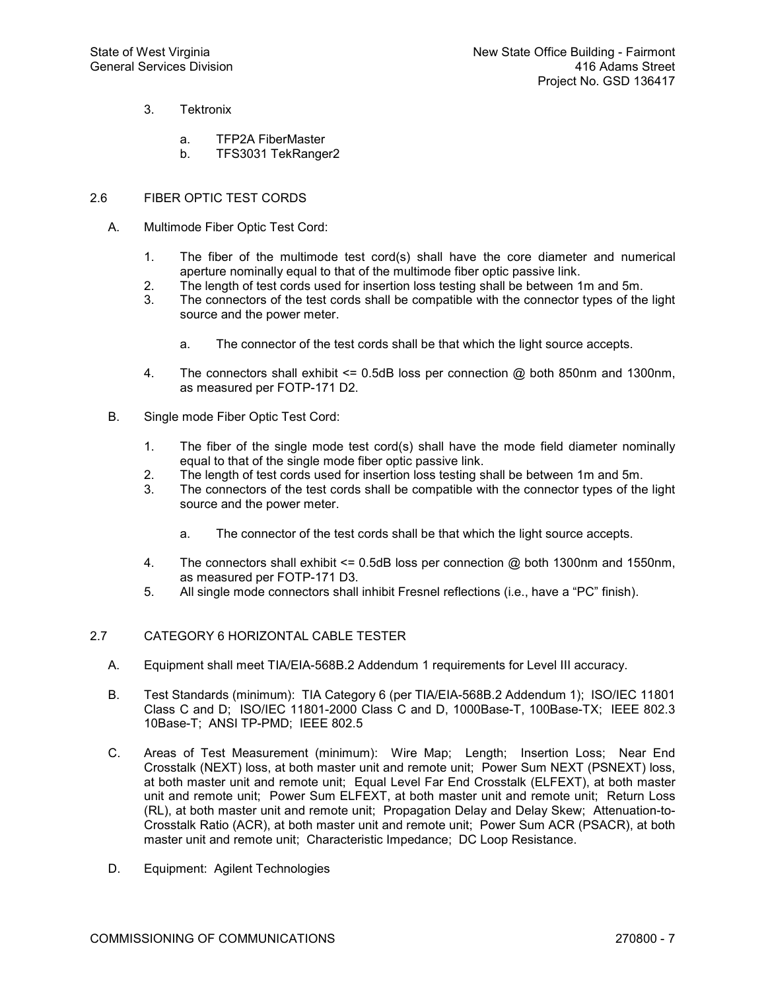- 3. Tektronix
	- a. TFP2A FiberMaster<br>b. TFS3031 TekRange
	- b. TFS3031 TekRanger2

# 2.6 FIBER OPTIC TEST CORDS

- A. Multimode Fiber Optic Test Cord:
	- 1. The fiber of the multimode test cord(s) shall have the core diameter and numerical aperture nominally equal to that of the multimode fiber optic passive link.
	- 2. The length of test cords used for insertion loss testing shall be between 1m and 5m.
	- 3. The connectors of the test cords shall be compatible with the connector types of the light source and the power meter.
		- a. The connector of the test cords shall be that which the light source accepts.
	- 4. The connectors shall exhibit <= 0.5dB loss per connection @ both 850nm and 1300nm, as measured per FOTP-171 D2.
- B. Single mode Fiber Optic Test Cord:
	- 1. The fiber of the single mode test cord(s) shall have the mode field diameter nominally equal to that of the single mode fiber optic passive link.
	- 2. The length of test cords used for insertion loss testing shall be between 1m and 5m.<br>3. The connectors of the test cords shall be compatible with the connector types of the
	- The connectors of the test cords shall be compatible with the connector types of the light source and the power meter.
		- a. The connector of the test cords shall be that which the light source accepts.
	- 4. The connectors shall exhibit <= 0.5dB loss per connection @ both 1300nm and 1550nm, as measured per FOTP-171 D3.
	- 5. All single mode connectors shall inhibit Fresnel reflections (i.e., have a "PC" finish).

# 2.7 CATEGORY 6 HORIZONTAL CABLE TESTER

- A. Equipment shall meet TIA/EIA-568B.2 Addendum 1 requirements for Level III accuracy.
- B. Test Standards (minimum): TIA Category 6 (per TIA/EIA-568B.2 Addendum 1); ISO/IEC 11801 Class C and D; ISO/IEC 11801-2000 Class C and D, 1000Base-T, 100Base-TX; IEEE 802.3 10Base-T; ANSI TP-PMD; IEEE 802.5
- C. Areas of Test Measurement (minimum): Wire Map; Length; Insertion Loss; Near End Crosstalk (NEXT) loss, at both master unit and remote unit; Power Sum NEXT (PSNEXT) loss, at both master unit and remote unit; Equal Level Far End Crosstalk (ELFEXT), at both master unit and remote unit; Power Sum ELFEXT, at both master unit and remote unit; Return Loss (RL), at both master unit and remote unit; Propagation Delay and Delay Skew; Attenuation-to-Crosstalk Ratio (ACR), at both master unit and remote unit; Power Sum ACR (PSACR), at both master unit and remote unit; Characteristic Impedance; DC Loop Resistance.
- D. Equipment: Agilent Technologies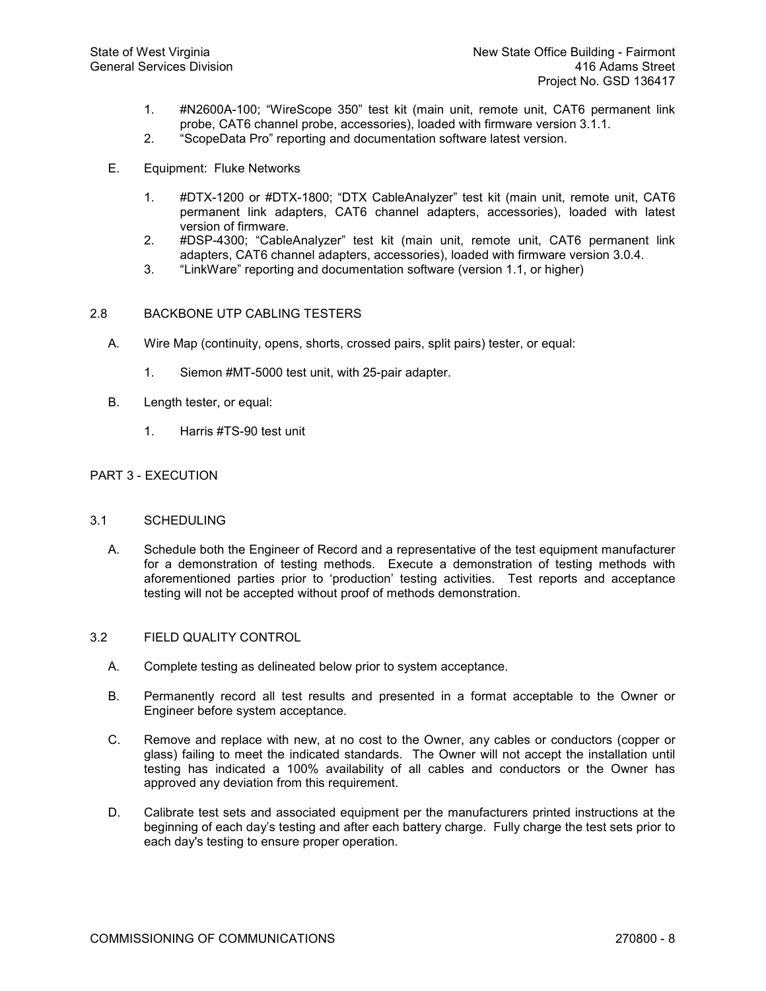- 1. #N2600A-100; "WireScope 350" test kit (main unit, remote unit, CAT6 permanent link probe, CAT6 channel probe, accessories), loaded with firmware version 3.1.1.
- 2. "ScopeData Pro" reporting and documentation software latest version.
- E. Equipment: Fluke Networks
	- 1. #DTX-1200 or #DTX-1800; "DTX CableAnalyzer" test kit (main unit, remote unit, CAT6 permanent link adapters, CAT6 channel adapters, accessories), loaded with latest version of firmware.
	- 2. #DSP-4300; "CableAnalyzer" test kit (main unit, remote unit, CAT6 permanent link adapters, CAT6 channel adapters, accessories), loaded with firmware version 3.0.4.
	- 3. "LinkWare" reporting and documentation software (version 1.1, or higher)

# 2.8 BACKBONE UTP CABLING TESTERS

- A. Wire Map (continuity, opens, shorts, crossed pairs, split pairs) tester, or equal:
	- 1. Siemon #MT-5000 test unit, with 25-pair adapter.
- B. Length tester, or equal:
	- 1. Harris #TS-90 test unit

# PART 3 - EXECUTION

#### 3.1 SCHEDULING

A. Schedule both the Engineer of Record and a representative of the test equipment manufacturer for a demonstration of testing methods. Execute a demonstration of testing methods with aforementioned parties prior to 'production' testing activities. Test reports and acceptance testing will not be accepted without proof of methods demonstration.

# 3.2 FIELD QUALITY CONTROL

- A. Complete testing as delineated below prior to system acceptance.
- B. Permanently record all test results and presented in a format acceptable to the Owner or Engineer before system acceptance.
- C. Remove and replace with new, at no cost to the Owner, any cables or conductors (copper or glass) failing to meet the indicated standards. The Owner will not accept the installation until testing has indicated a 100% availability of all cables and conductors or the Owner has approved any deviation from this requirement.
- D. Calibrate test sets and associated equipment per the manufacturers printed instructions at the beginning of each day's testing and after each battery charge. Fully charge the test sets prior to each day's testing to ensure proper operation.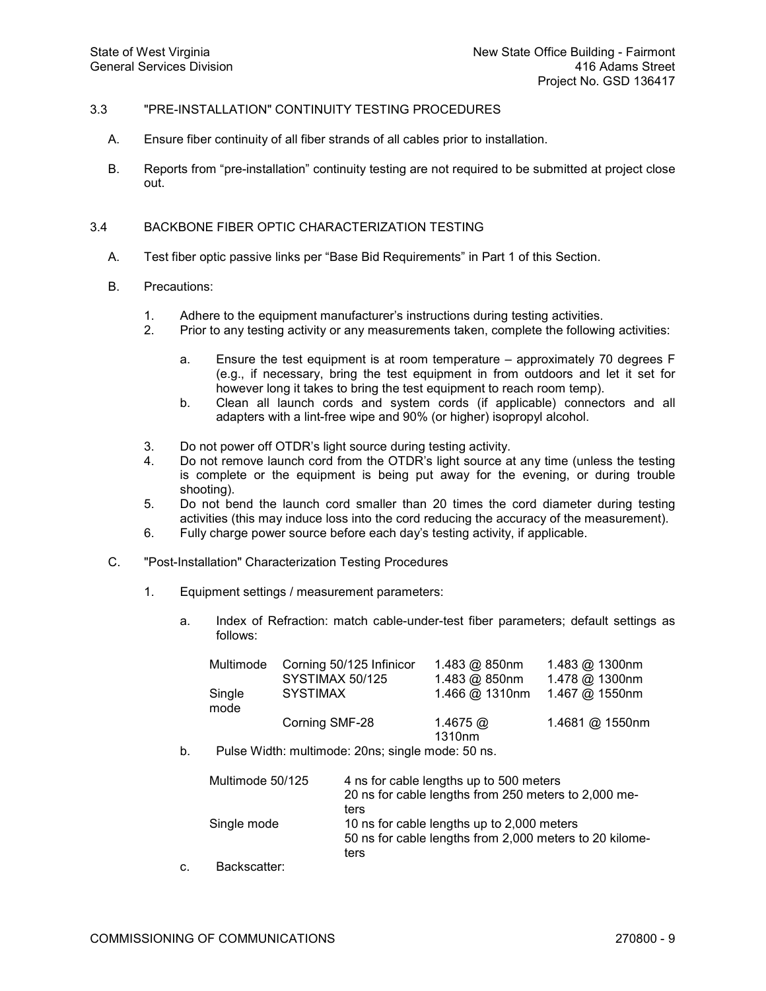# 3.3 "PREINSTALLATION" CONTINUITY TESTING PROCEDURES

- A. Ensure fiber continuity of all fiber strands of all cables prior to installation.
- B. Reports from "pre-installation" continuity testing are not required to be submitted at project close out.

# 3.4 BACKBONE FIBER OPTIC CHARACTERIZATION TESTING

- A. Test fiber optic passive links per "Base Bid Requirements" in Part 1 of this Section.
- B. Precautions:
	- 1. Adhere to the equipment manufacturer's instructions during testing activities.<br>2. Prior to any testing activity or any measurements taken, complete the following
	- Prior to any testing activity or any measurements taken, complete the following activities:
		- a. Ensure the test equipment is at room temperature approximately 70 degrees F (e.g., if necessary, bring the test equipment in from outdoors and let it set for however long it takes to bring the test equipment to reach room temp).
		- b. Clean all launch cords and system cords (if applicable) connectors and all adapters with a lint-free wipe and 90% (or higher) isopropyl alcohol.
	- 3. Do not power off OTDR's light source during testing activity.
	- 4. Do not remove launch cord from the OTDR's light source at any time (unless the testing is complete or the equipment is being put away for the evening, or during trouble shooting).
	- 5. Do not bend the launch cord smaller than 20 times the cord diameter during testing activities (this may induce loss into the cord reducing the accuracy of the measurement).
	- 6. Fully charge power source before each day's testing activity, if applicable.
- C. "Post-Installation" Characterization Testing Procedures
	- 1. Equipment settings / measurement parameters:
		- a. Index of Refraction: match cable-under-test fiber parameters; default settings as follows:

| Multimode      | Corning 50/125 Infinicor<br>SYSTIMAX 50/125 | $1.483$ @ 850nm<br>1.483 @ 850nm | 1.483 @ 1300nm<br>1.478 @ 1300nm |
|----------------|---------------------------------------------|----------------------------------|----------------------------------|
| Single<br>mode | <b>SYSTIMAX</b>                             | 1.466 @ 1310nm                   | 1.467 @ 1550nm                   |
|                | Corning SMF-28                              | 1.4675 $@$<br>1310nm             | 1.4681 @ 1550nm                  |

b. Pulse Width: multimode: 20ns; single mode: 50 ns.

| Multimode 50/125 | 4 ns for cable lengths up to 500 meters<br>20 ns for cable lengths from 250 meters to 2,000 me-<br>ters       |
|------------------|---------------------------------------------------------------------------------------------------------------|
| Single mode      | 10 ns for cable lengths up to 2,000 meters<br>50 ns for cable lengths from 2,000 meters to 20 kilome-<br>ters |

c. Backscatter: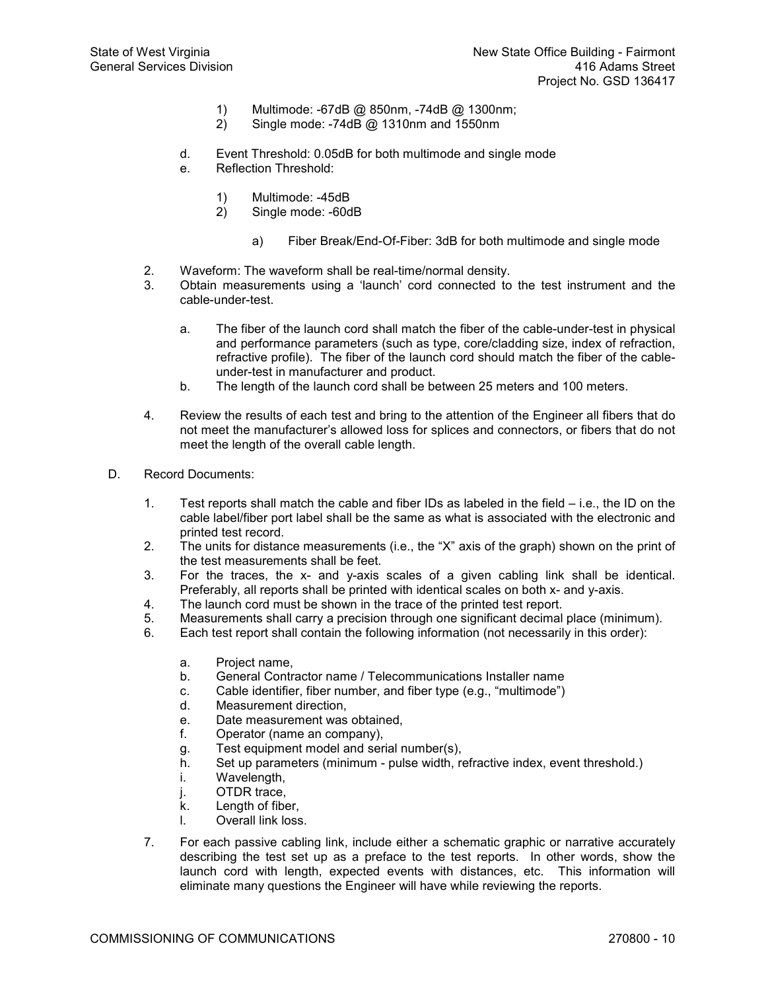- 1) Multimode: -67dB @ 850nm, -74dB @ 1300nm;<br>2) Single mode: -74dB @ 1310nm and 1550nm
- 2) Single mode: 74dB @ 1310nm and 1550nm
- d. Event Threshold: 0.05dB for both multimode and single mode
- e. Reflection Threshold:
	- 1) Multimode: -45dB<br>2) Single mode: -60d
	- Single mode: -60dB
		- a) Fiber Break/End-Of-Fiber: 3dB for both multimode and single mode
- 2. Waveform: The waveform shall be real-time/normal density.<br>3. Obtain measurements using a 'launch' cord connected to
- 3. Obtain measurements using a 'launch' cord connected to the test instrument and the cable-under-test.
	- a. The fiber of the launch cord shall match the fiber of the cable-under-test in physical and performance parameters (such as type, core/cladding size, index of refraction, refractive profile). The fiber of the launch cord should match the fiber of the cable under-test in manufacturer and product.
	- b. The length of the launch cord shall be between 25 meters and 100 meters.
- 4. Review the results of each test and bring to the attention of the Engineer all fibers that do not meet the manufacturer's allowed loss for splices and connectors, or fibers that do not meet the length of the overall cable length.
- D. Record Documents:
	- 1. Test reports shall match the cable and fiber IDs as labeled in the field i.e., the ID on the cable label/fiber port label shall be the same as what is associated with the electronic and printed test record.
	- 2. The units for distance measurements (i.e., the "X" axis of the graph) shown on the print of the test measurements shall be feet.
	- 3. For the traces, the x- and y-axis scales of a given cabling link shall be identical. Preferably, all reports shall be printed with identical scales on both x- and y-axis.
	- 4. The launch cord must be shown in the trace of the printed test report.
	- 5. Measurements shall carry a precision through one significant decimal place (minimum).
	- 6. Each test report shall contain the following information (not necessarily in this order):
		- a. Project name,
		- b. General Contractor name / Telecommunications Installer name
		- c. Cable identifier, fiber number, and fiber type (e.g., "multimode")<br>d. Measurement direction.
		- Measurement direction.
		- e. Date measurement was obtained,
		- f. Operator (name an company),
		- g. Test equipment model and serial number(s),
		- h. Set up parameters (minimum pulse width, refractive index, event threshold.) i. Wavelength,
		-
		- i. Wavelength,<br>i. OTDR trace, OTDR trace,
		- k. Length of fiber,
		- l. Overall link loss.
	- 7. For each passive cabling link, include either a schematic graphic or narrative accurately describing the test set up as a preface to the test reports. In other words, show the launch cord with length, expected events with distances, etc. This information will eliminate many questions the Engineer will have while reviewing the reports.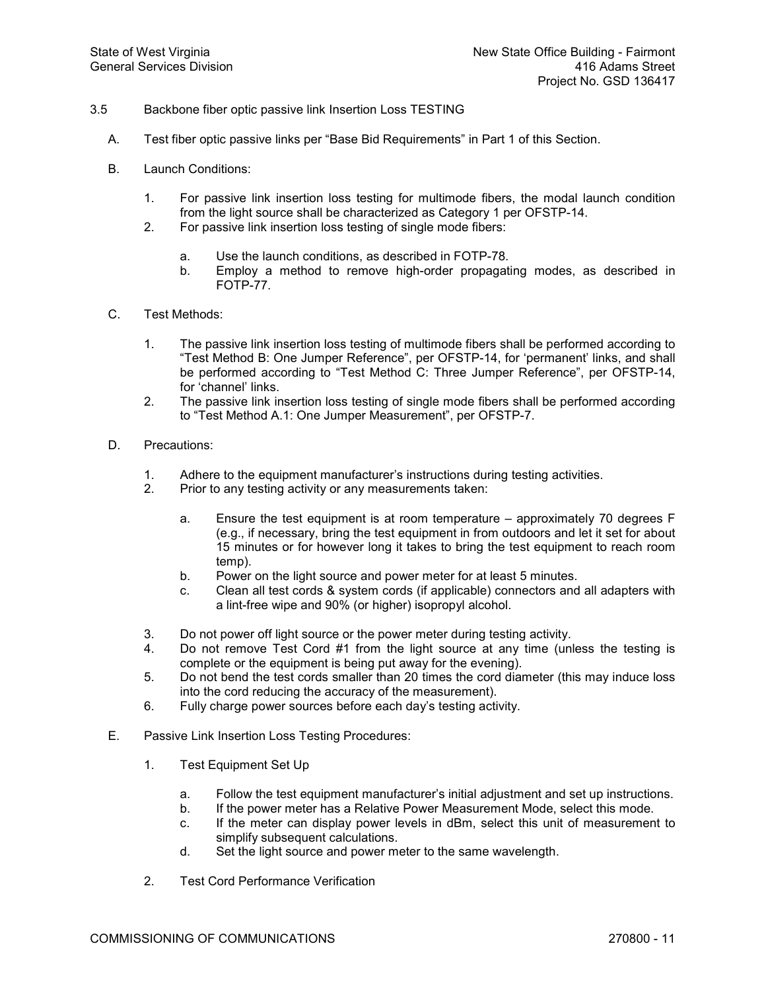- 3.5 Backbone fiber optic passive link Insertion Loss TESTING
	- A. Test fiber optic passive links per "Base Bid Requirements" in Part 1 of this Section.
	- B. Launch Conditions:
		- 1. For passive link insertion loss testing for multimode fibers, the modal launch condition from the light source shall be characterized as Category 1 per OFSTP-14.
		- 2. For passive link insertion loss testing of single mode fibers:
			- a. Use the launch conditions, as described in FOTP-78.
			- b. Employ a method to remove high-order propagating modes, as described in  $F$ OTP-77
	- C. Test Methods:
		- 1. The passive link insertion loss testing of multimode fibers shall be performed according to "Test Method B: One Jumper Reference", per OFSTP14, for 'permanent' links, and shall be performed according to "Test Method C: Three Jumper Reference", per OFSTP-14, for 'channel' links.
		- 2. The passive link insertion loss testing of single mode fibers shall be performed according to "Test Method A.1: One Jumper Measurement", per OFSTP-7.
	- D. Precautions:
		- 1. Adhere to the equipment manufacturer's instructions during testing activities.<br>2. Prior to any testing activity or any measurements taken:
		- Prior to any testing activity or any measurements taken:
			- a. Ensure the test equipment is at room temperature approximately 70 degrees F (e.g., if necessary, bring the test equipment in from outdoors and let it set for about 15 minutes or for however long it takes to bring the test equipment to reach room temp).
			- b. Power on the light source and power meter for at least 5 minutes.
			- c. Clean all test cords & system cords (if applicable) connectors and all adapters with a lint-free wipe and 90% (or higher) isopropyl alcohol.
		- 3. Do not power off light source or the power meter during testing activity.
		- 4. Do not remove Test Cord #1 from the light source at any time (unless the testing is complete or the equipment is being put away for the evening).
		- 5. Do not bend the test cords smaller than 20 times the cord diameter (this may induce loss into the cord reducing the accuracy of the measurement).
		- 6. Fully charge power sources before each day's testing activity.
	- E. Passive Link Insertion Loss Testing Procedures:
		- 1. Test Equipment Set Up
			- a. Follow the test equipment manufacturer's initial adjustment and set up instructions.
			- b. If the power meter has a Relative Power Measurement Mode, select this mode.
			- c. If the meter can display power levels in dBm, select this unit of measurement to simplify subsequent calculations.
			- d. Set the light source and power meter to the same wavelength.
		- 2. Test Cord Performance Verification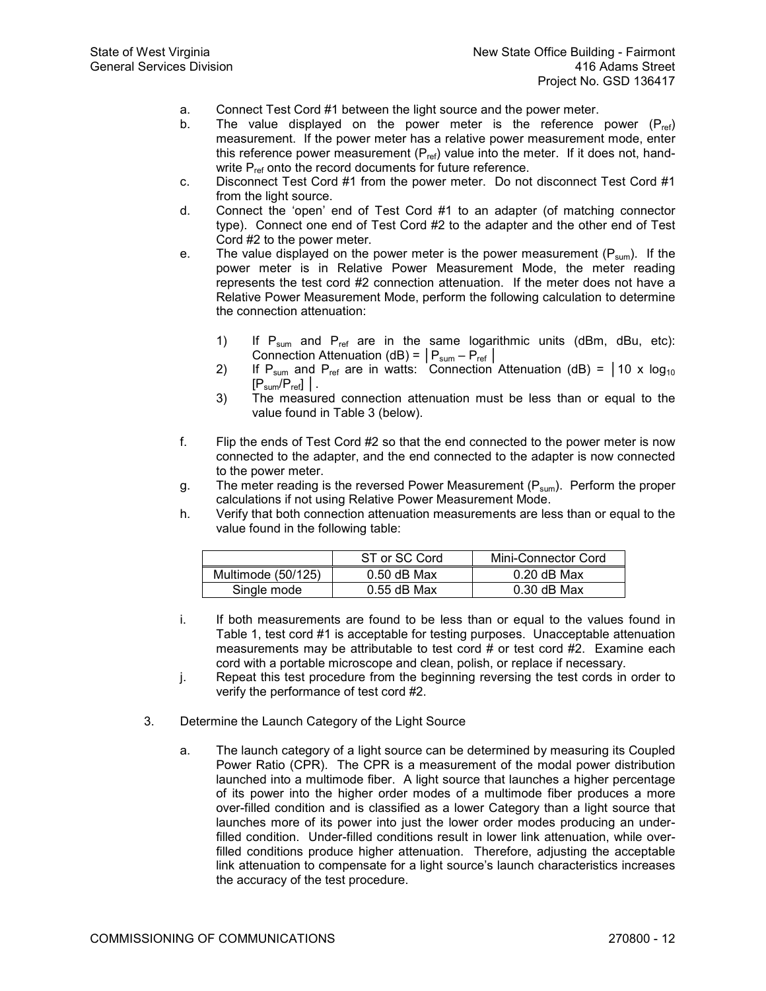- a. Connect Test Cord #1 between the light source and the power meter.<br>b. The value displayed on the power meter is the reference
- The value displayed on the power meter is the reference power ( $P_{ref}$ ) measurement. If the power meter has a relative power measurement mode, enter this reference power measurement ( $P_{ref}$ ) value into the meter. If it does not, handwrite P<sub>ref</sub> onto the record documents for future reference.
- c. Disconnect Test Cord #1 from the power meter. Do not disconnect Test Cord #1 from the light source.
- d. Connect the 'open' end of Test Cord #1 to an adapter (of matching connector type). Connect one end of Test Cord #2 to the adapter and the other end of Test Cord #2 to the power meter.
- e. The value displayed on the power meter is the power measurement  $(P_{\text{sum}})$ . If the power meter is in Relative Power Measurement Mode, the meter reading represents the test cord #2 connection attenuation. If the meter does not have a Relative Power Measurement Mode, perform the following calculation to determine the connection attenuation:
	- 1) If  $P_{sum}$  and  $P_{ref}$  are in the same logarithmic units (dBm, dBu, etc): Connection Attenuation (dB) =  $|P_{sum} - P_{ref}|$
	- 2) If  $P_{sum}$  and  $P_{ref}$  are in watts: Connection Attenuation (dB) =  $\vert$  10 x log<sub>10</sub>  $[P_{sum}/P_{ref}]$  |.
	- 3) The measured connection attenuation must be less than or equal to the value found in Table 3 (below).
- f. Flip the ends of Test Cord #2 so that the end connected to the power meter is now connected to the adapter, and the end connected to the adapter is now connected to the power meter.
- g. The meter reading is the reversed Power Measurement  $(P_{sum})$ . Perform the proper calculations if not using Relative Power Measurement Mode.
- h. Verify that both connection attenuation measurements are less than or equal to the value found in the following table:

|                    | ST or SC Cord | Mini-Connector Cord |
|--------------------|---------------|---------------------|
| Multimode (50/125) | $0.50$ dB Max | $0.20$ dB Max       |
| Single mode        | $0.55$ dB Max | $0.30$ dB Max       |

- i. If both measurements are found to be less than or equal to the values found in Table 1, test cord #1 is acceptable for testing purposes. Unacceptable attenuation measurements may be attributable to test cord # or test cord #2. Examine each cord with a portable microscope and clean, polish, or replace if necessary.
- j. Repeat this test procedure from the beginning reversing the test cords in order to verify the performance of test cord #2.
- 3. Determine the Launch Category of the Light Source
	- a. The launch category of a light source can be determined by measuring its Coupled Power Ratio (CPR). The CPR is a measurement of the modal power distribution launched into a multimode fiber. A light source that launches a higher percentage of its power into the higher order modes of a multimode fiber produces a more over-filled condition and is classified as a lower Category than a light source that launches more of its power into just the lower order modes producing an under filled condition. Under-filled conditions result in lower link attenuation, while overfilled conditions produce higher attenuation. Therefore, adjusting the acceptable link attenuation to compensate for a light source's launch characteristics increases the accuracy of the test procedure.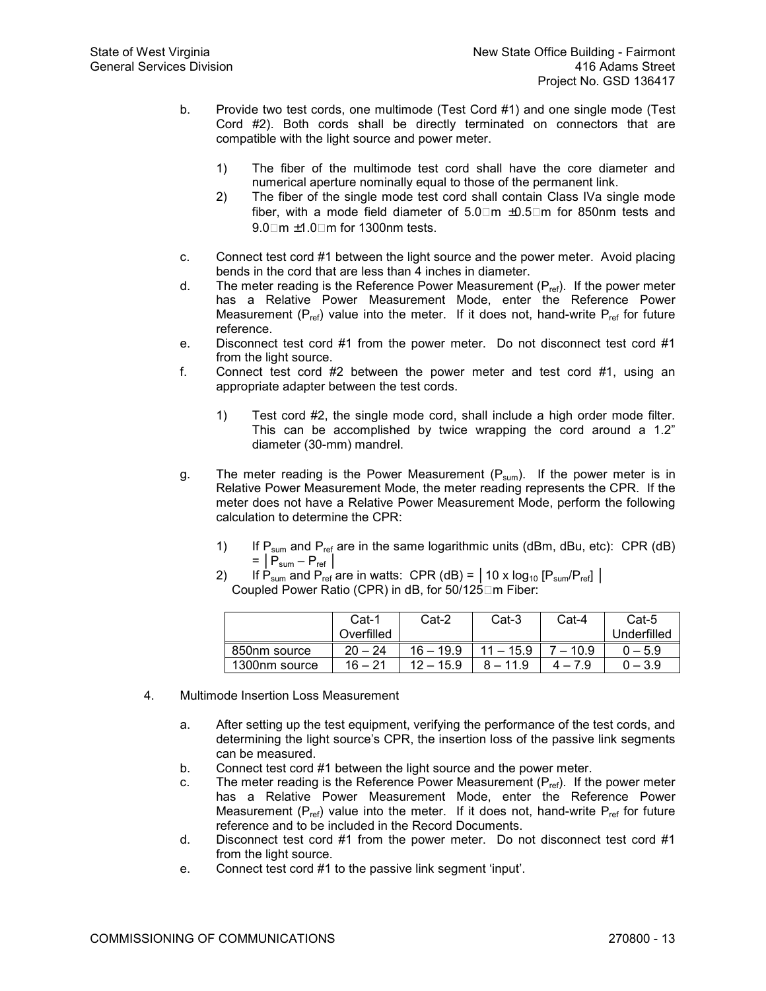- b. Provide two test cords, one multimode (Test Cord #1) and one single mode (Test Cord #2). Both cords shall be directly terminated on connectors that are compatible with the light source and power meter.
	- 1) The fiber of the multimode test cord shall have the core diameter and numerical aperture nominally equal to those of the permanent link.
	- 2) The fiber of the single mode test cord shall contain Class IVa single mode fiber, with a mode field diameter of  $5.0\text{ cm} \pm 0.5\text{ cm}$  for 850nm tests and  $9.0\Box$ m  $\pm$ 1.0 $\Box$ m for 1300nm tests.
- c. Connect test cord #1 between the light source and the power meter. Avoid placing bends in the cord that are less than 4 inches in diameter.
- d. The meter reading is the Reference Power Measurement  $(P_{ref})$ . If the power meter has a Relative Power Measurement Mode, enter the Reference Power Measurement ( $P_{ref}$ ) value into the meter. If it does not, hand-write  $P_{ref}$  for future reference.
- e. Disconnect test cord #1 from the power meter. Do not disconnect test cord #1 from the light source.
- f. Connect test cord #2 between the power meter and test cord #1, using an appropriate adapter between the test cords.
	- 1) Test cord #2, the single mode cord, shall include a high order mode filter. This can be accomplished by twice wrapping the cord around a 1.2" diameter (30-mm) mandrel.
- g. The meter reading is the Power Measurement  $(P_{sum})$ . If the power meter is in Relative Power Measurement Mode, the meter reading represents the CPR. If the meter does not have a Relative Power Measurement Mode, perform the following calculation to determine the CPR:
	- 1) If  $P_{sum}$  and  $P_{ref}$  are in the same logarithmic units (dBm, dBu, etc): CPR (dB)  $= |P_{sum} - P_{ref}|$
	- 2) If  $P_{sum}$  and  $P_{ref}$  are in watts: CPR (dB) =  $|10 \times log_{10} [P_{sum}/P_{ref}]|$ Coupled Power Ratio (CPR) in dB, for  $50/125 \Box m$  Fiber:

|               | Cat-1      | Cat-2       | Cat-3       | Cat-4   | Cat-5       |
|---------------|------------|-------------|-------------|---------|-------------|
|               | Overfilled |             |             |         | Underfilled |
| 850nm source  | $20 - 24$  | $16 - 19.9$ | $11 - 15.9$ | $-10.9$ | ) – 5.9     |
| 1300nm source | $16 - 21$  | $12 - 15.9$ | $8 - 11.9$  | 4 – 7 9 | $0 - 3.9$   |

- 4. Multimode Insertion Loss Measurement
	- a. After setting up the test equipment, verifying the performance of the test cords, and determining the light source's CPR, the insertion loss of the passive link segments can be measured.
	- b. Connect test cord #1 between the light source and the power meter.
	- c. The meter reading is the Reference Power Measurement  $(P_{ref})$ . If the power meter has a Relative Power Measurement Mode, enter the Reference Power Measurement ( $P_{ref}$ ) value into the meter. If it does not, hand-write  $P_{ref}$  for future reference and to be included in the Record Documents.
	- d. Disconnect test cord #1 from the power meter. Do not disconnect test cord #1 from the light source.
	- e. Connect test cord #1 to the passive link segment 'input'.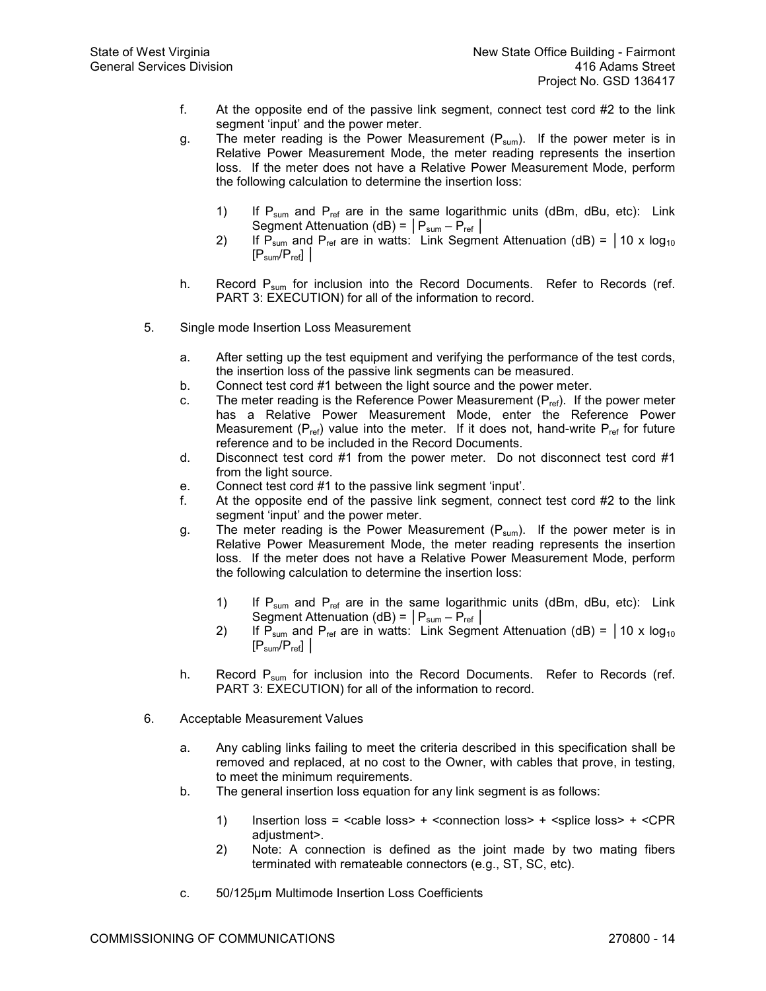- f. At the opposite end of the passive link segment, connect test cord #2 to the link segment 'input' and the power meter.
- g. The meter reading is the Power Measurement  $(P_{sum})$ . If the power meter is in Relative Power Measurement Mode, the meter reading represents the insertion loss. If the meter does not have a Relative Power Measurement Mode, perform the following calculation to determine the insertion loss:
	- 1) If  $P_{sum}$  and  $P_{ref}$  are in the same logarithmic units (dBm, dBu, etc): Link Segment Attenuation (dB) =  $|P_{sum} - P_{ref}|$
	- 2) If P<sub>sum</sub> and P<sub>ref</sub> are in watts: Link Segment Attenuation (dB) =  $\vert$  10 x log<sub>10</sub>  $[P_{sum}/P_{ref}]$
- h. Record P<sub>sum</sub> for inclusion into the Record Documents. Refer to Records (ref. PART 3: EXECUTION) for all of the information to record.
- 5. Single mode Insertion Loss Measurement
	- a. After setting up the test equipment and verifying the performance of the test cords, the insertion loss of the passive link segments can be measured.
	- b. Connect test cord #1 between the light source and the power meter.
	- c. The meter reading is the Reference Power Measurement  $(P_{ref})$ . If the power meter has a Relative Power Measurement Mode, enter the Reference Power Measurement ( $P_{ref}$ ) value into the meter. If it does not, hand-write  $P_{ref}$  for future reference and to be included in the Record Documents.
	- d. Disconnect test cord #1 from the power meter. Do not disconnect test cord #1 from the light source.
	- e. Connect test cord #1 to the passive link segment 'input'.
	- f. At the opposite end of the passive link segment, connect test cord #2 to the link segment 'input' and the power meter.
	- g. The meter reading is the Power Measurement  $(P_{sum})$ . If the power meter is in Relative Power Measurement Mode, the meter reading represents the insertion loss. If the meter does not have a Relative Power Measurement Mode, perform the following calculation to determine the insertion loss:
		- 1) If  $P_{sum}$  and  $P_{ref}$  are in the same logarithmic units (dBm, dBu, etc): Link Segment Attenuation (dB) =  $|P_{sum} - P_{ref}|$
		- 2) If P<sub>sum</sub> and P<sub>ref</sub> are in watts: Link Segment Attenuation (dB) =  $\vert$  10 x log<sub>10</sub>  $[P_{sum}/P_{ref}]$
	- h. Record P<sub>sum</sub> for inclusion into the Record Documents. Refer to Records (ref. PART 3: EXECUTION) for all of the information to record.
- 6. Acceptable Measurement Values
	- a. Any cabling links failing to meet the criteria described in this specification shall be removed and replaced, at no cost to the Owner, with cables that prove, in testing, to meet the minimum requirements.
	- b. The general insertion loss equation for any link segment is as follows:
		- 1) Insertion loss = <cable loss> + <connection loss> + <splice loss> + <CPR adiustment>.
		- 2) Note: A connection is defined as the joint made by two mating fibers terminated with remateable connectors (e.g., ST, SC, etc).
	- c. 50/125um Multimode Insertion Loss Coefficients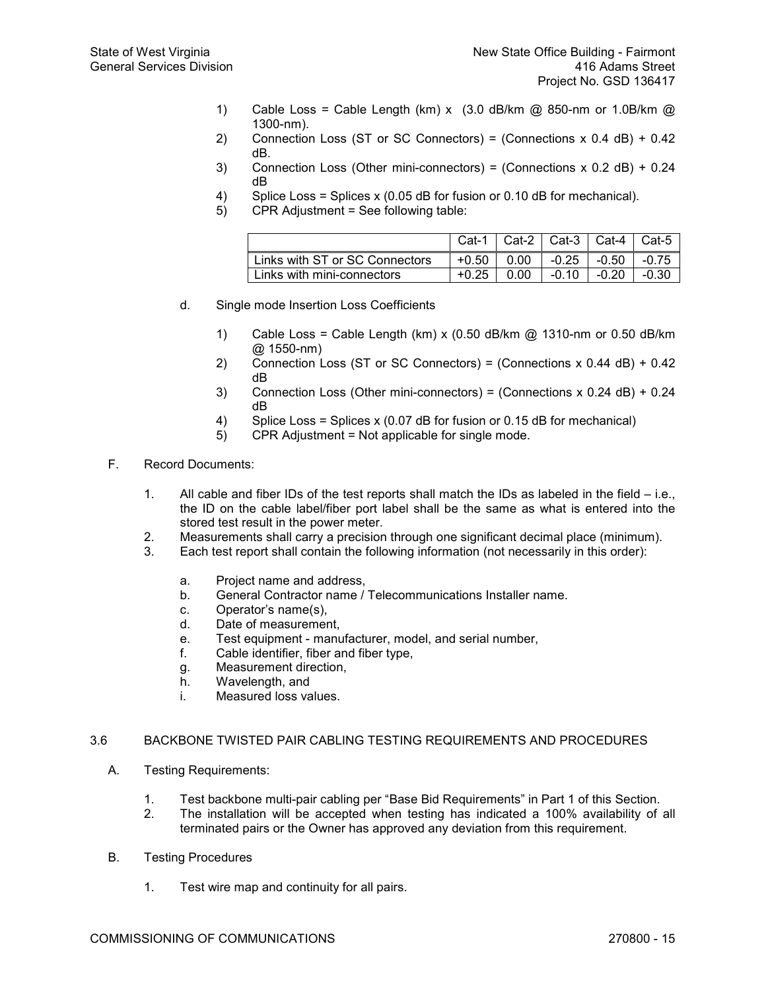- 1) Cable Loss = Cable Length (km) x  $(3.0 \text{ dB/km} \textcircled{2} 850 \text{--} \text{nm} \text{ or } 1.0 \text{B/km} \textcircled{2}$  $1300 - nm$ ).
- 2) Connection Loss (ST or SC Connectors) = (Connections x 0.4 dB) + 0.42 dB.
- 3) Connection Loss (Other mini-connectors) = (Connections  $x$  0.2 dB) + 0.24 dB
- 4) Splice Loss = Splices x (0.05 dB for fusion or 0.10 dB for mechanical).
- 5) CPR Adjustment = See following table:

|                                |         | Cat-1   Cat-2   Cat-3   Cat-4   Cat-5  |                  |         |
|--------------------------------|---------|----------------------------------------|------------------|---------|
| Links with ST or SC Connectors |         | $+0.50$   0.00   -0.25   -0.50   -0.75 |                  |         |
| Links with mini-connectors     | $+0.25$ | 0.00                                   | ⊢-0.10 I -0.20 I | $-0.30$ |

- d. Single mode Insertion Loss Coefficients
	- 1) Cable Loss = Cable Length (km) x  $(0.50 \text{ dB/km} \text{ @ } 1310 \text{--} \text{nm} \text{ or } 0.50 \text{ dB/km}$  $@.1550-nm)$
	- 2) Connection Loss (ST or SC Connectors) = (Connections  $x$  0.44 dB) + 0.42 dB
	- 3) Connection Loss (Other mini-connectors) = (Connections x  $0.24$  dB) +  $0.24$ dB
	- 4) Splice Loss = Splices x (0.07 dB for fusion or 0.15 dB for mechanical)
	- 5) CPR Adjustment = Not applicable for single mode.
- F. Record Documents:
	- 1. All cable and fiber IDs of the test reports shall match the IDs as labeled in the field i.e., the ID on the cable label/fiber port label shall be the same as what is entered into the stored test result in the power meter.
	- 2. Measurements shall carry a precision through one significant decimal place (minimum).<br>3. Each test report shall contain the following information (not necessarily in this order):
	- Each test report shall contain the following information (not necessarily in this order):
		- a. Project name and address,
		- b. General Contractor name / Telecommunications Installer name.
		- c. Operator's name(s),
		- d. Date of measurement,<br>e. Test equipment manu
		- e. Test equipment manufacturer, model, and serial number,<br>f. Cable identifier, fiber and fiber type.
		- Cable identifier, fiber and fiber type,
		- g. Measurement direction,
		- h. Wavelength, and<br>i. Measured loss va
		- Measured loss values.

# 3.6 BACKBONE TWISTED PAIR CABLING TESTING REQUIREMENTS AND PROCEDURES

- A. Testing Requirements:
	- 1. Test backbone multi-pair cabling per "Base Bid Requirements" in Part 1 of this Section.
	- 2. The installation will be accepted when testing has indicated a 100% availability of all terminated pairs or the Owner has approved any deviation from this requirement.
- B. Testing Procedures
	- 1. Test wire map and continuity for all pairs.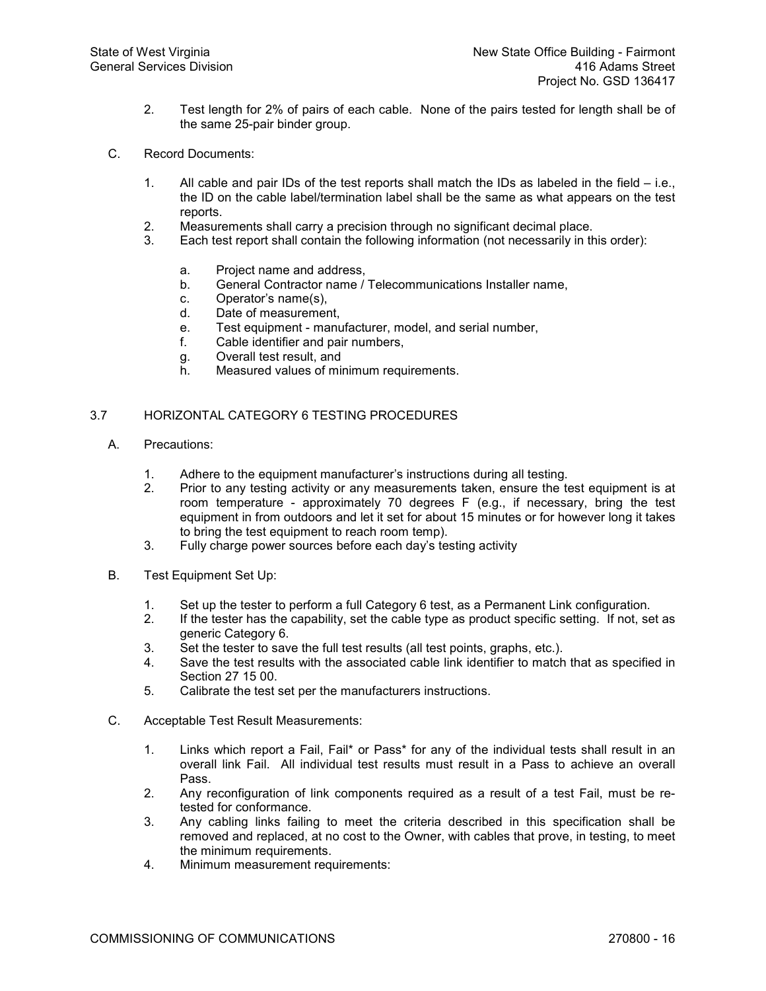- 2. Test length for 2% of pairs of each cable. None of the pairs tested for length shall be of the same 25-pair binder group.
- C. Record Documents:
	- 1. All cable and pair IDs of the test reports shall match the IDs as labeled in the field i.e., the ID on the cable label/termination label shall be the same as what appears on the test reports.
	- 2. Measurements shall carry a precision through no significant decimal place.<br>3. Each test report shall contain the following information (not necessarily in th
	- Each test report shall contain the following information (not necessarily in this order):
		- a. Project name and address,
		- b. General Contractor name / Telecommunications Installer name,
		- c. Operator's name(s),
		- d. Date of measurement,
		- e. Test equipment manufacturer, model, and serial number,
		- f. Cable identifier and pair numbers,
		- g. Overall test result, and
		- h. Measured values of minimum requirements.

# 3.7 HORIZONTAL CATEGORY 6 TESTING PROCEDURES

- A. Precautions:
	- 1. Adhere to the equipment manufacturer's instructions during all testing.<br>2. Prior to any testing activity or any measurements taken, ensure the to
	- 2. Prior to any testing activity or any measurements taken, ensure the test equipment is at room temperature - approximately 70 degrees F (e.g., if necessary, bring the test equipment in from outdoors and let it set for about 15 minutes or for however long it takes to bring the test equipment to reach room temp).
	- 3. Fully charge power sources before each day's testing activity
- B. Test Equipment Set Up:
	- 1. Set up the tester to perform a full Category 6 test, as a Permanent Link configuration.<br>2. If the tester has the capability, set the cable type as product specific setting. If not, se
	- If the tester has the capability, set the cable type as product specific setting. If not, set as generic Category 6.
	- 3. Set the tester to save the full test results (all test points, graphs, etc.).<br>4. Save the test results with the associated cable link identifier to match
	- Save the test results with the associated cable link identifier to match that as specified in Section 27 15 00.
	- 5. Calibrate the test set per the manufacturers instructions.
- C. Acceptable Test Result Measurements:
	- 1. Links which report a Fail, Fail\* or Pass\* for any of the individual tests shall result in an overall link Fail. All individual test results must result in a Pass to achieve an overall Pass.
	- 2. Any reconfiguration of link components required as a result of a test Fail, must be re tested for conformance.
	- 3. Any cabling links failing to meet the criteria described in this specification shall be removed and replaced, at no cost to the Owner, with cables that prove, in testing, to meet the minimum requirements.
	- 4. Minimum measurement requirements: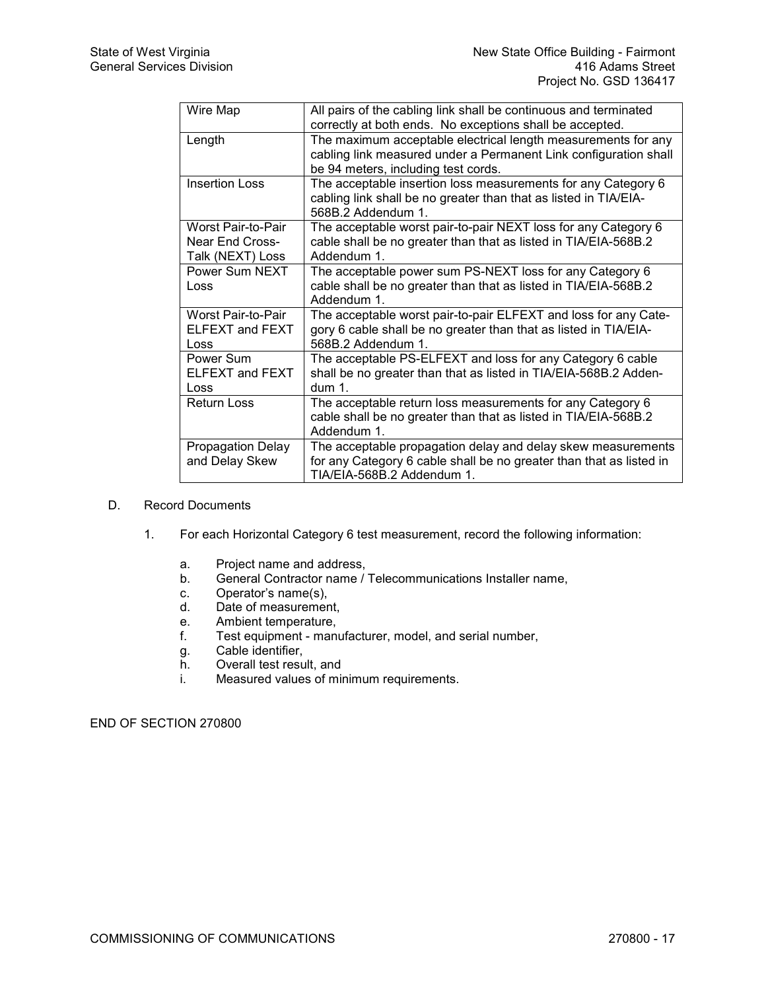| Wire Map                                             | All pairs of the cabling link shall be continuous and terminated                                                                                                         |
|------------------------------------------------------|--------------------------------------------------------------------------------------------------------------------------------------------------------------------------|
|                                                      | correctly at both ends. No exceptions shall be accepted.                                                                                                                 |
| Length                                               | The maximum acceptable electrical length measurements for any<br>cabling link measured under a Permanent Link configuration shall<br>be 94 meters, including test cords. |
| <b>Insertion Loss</b>                                | The acceptable insertion loss measurements for any Category 6<br>cabling link shall be no greater than that as listed in TIA/EIA-<br>568B.2 Addendum 1.                  |
| Worst Pair-to-Pair<br>Near End Cross-                | The acceptable worst pair-to-pair NEXT loss for any Category 6<br>cable shall be no greater than that as listed in TIA/EIA-568B.2<br>Addendum 1.                         |
| Talk (NEXT) Loss                                     |                                                                                                                                                                          |
| Power Sum NEXT                                       | The acceptable power sum PS-NEXT loss for any Category 6                                                                                                                 |
| Loss                                                 | cable shall be no greater than that as listed in TIA/EIA-568B.2<br>Addendum 1.                                                                                           |
| Worst Pair-to-Pair<br><b>ELFEXT and FEXT</b><br>Loss | The acceptable worst pair-to-pair ELFEXT and loss for any Cate-<br>gory 6 cable shall be no greater than that as listed in TIA/EIA-<br>568B.2 Addendum 1.                |
| Power Sum<br>ELFEXT and FEXT<br>Loss                 | The acceptable PS-ELFEXT and loss for any Category 6 cable<br>shall be no greater than that as listed in TIA/EIA-568B.2 Adden-<br>$d$ um 1.                              |
| <b>Return Loss</b>                                   | The acceptable return loss measurements for any Category 6<br>cable shall be no greater than that as listed in TIA/EIA-568B.2<br>Addendum 1.                             |
| <b>Propagation Delay</b><br>and Delay Skew           | The acceptable propagation delay and delay skew measurements<br>for any Category 6 cable shall be no greater than that as listed in<br>TIA/EIA-568B.2 Addendum 1.        |
|                                                      |                                                                                                                                                                          |

- D. Record Documents
	- 1. For each Horizontal Category 6 test measurement, record the following information:
		- a. Project name and address,<br>b. General Contractor name /
		- b. General Contractor name / Telecommunications Installer name,<br>c. Operator's name(s),
		- Operator's name(s),
		- d. Date of measurement,
		- e. Ambient temperature,<br>f. Test equipment manu
		- Test equipment manufacturer, model, and serial number,
		- g. Cable identifier,<br>h. Overall test resu
		- h. Overall test result, and<br>i. Measured values of mir
		- Measured values of minimum requirements.

END OF SECTION 270800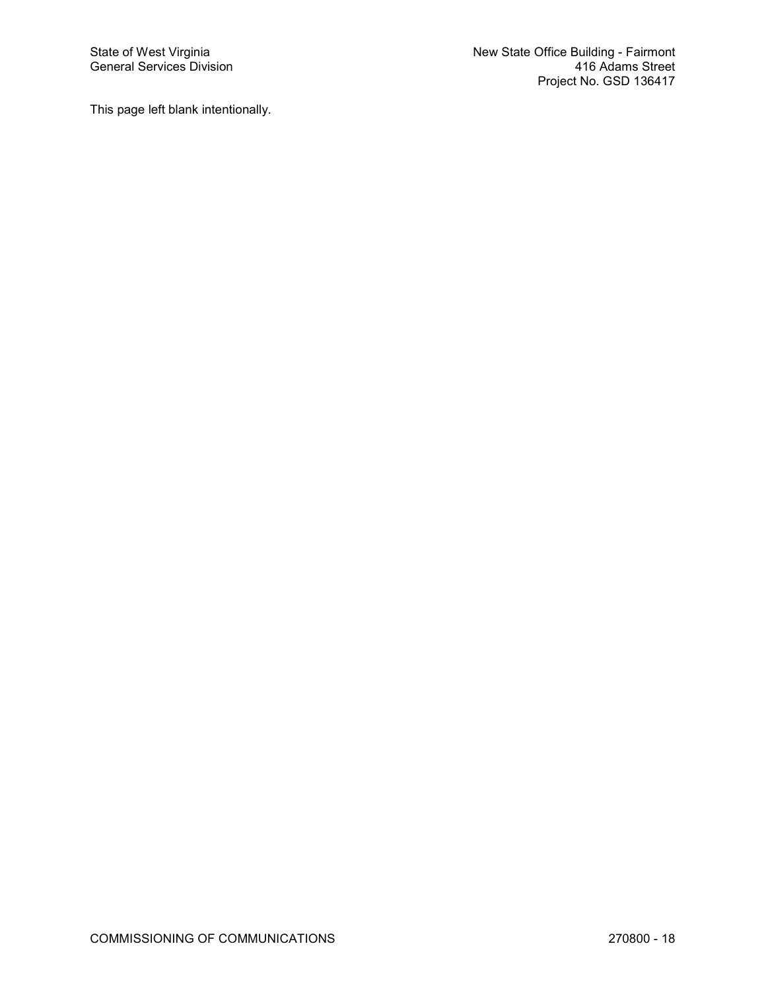This page left blank intentionally.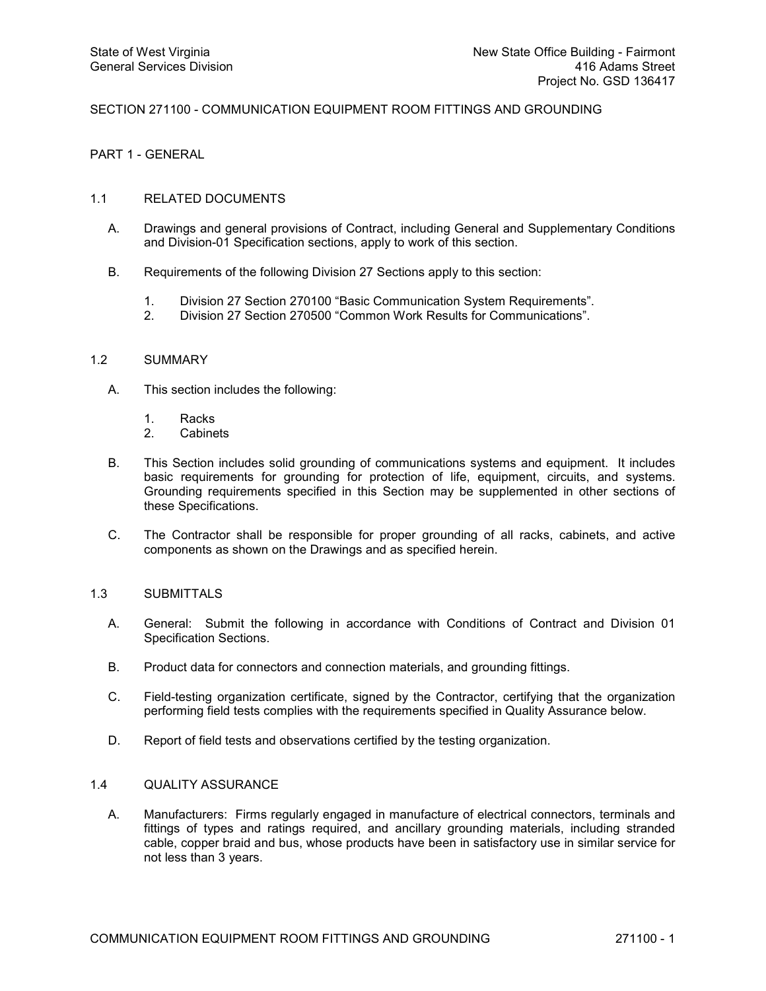# SECTION 271100 - COMMUNICATION EQUIPMENT ROOM FITTINGS AND GROUNDING

PART 1 GENERAL

# 1.1 RELATED DOCUMENTS

- A. Drawings and general provisions of Contract, including General and Supplementary Conditions and Division-01 Specification sections, apply to work of this section.
- B. Requirements of the following Division 27 Sections apply to this section:
	- 1. Division 27 Section 270100 "Basic Communication System Requirements".
	- 2. Division 27 Section 270500 "Common Work Results for Communications".

#### 1.2 SUMMARY

- A. This section includes the following:
	- 1. Racks<br>2 Cabine
	- **Cabinets**
- B. This Section includes solid grounding of communications systems and equipment. It includes basic requirements for grounding for protection of life, equipment, circuits, and systems. Grounding requirements specified in this Section may be supplemented in other sections of these Specifications.
- C. The Contractor shall be responsible for proper grounding of all racks, cabinets, and active components as shown on the Drawings and as specified herein.

## 1.3 SUBMITTALS

- A. General: Submit the following in accordance with Conditions of Contract and Division 01 Specification Sections.
- B. Product data for connectors and connection materials, and grounding fittings.
- C. Field-testing organization certificate, signed by the Contractor, certifying that the organization performing field tests complies with the requirements specified in Quality Assurance below.
- D. Report of field tests and observations certified by the testing organization.

# 1.4 QUALITY ASSURANCE

A. Manufacturers: Firms regularly engaged in manufacture of electrical connectors, terminals and fittings of types and ratings required, and ancillary grounding materials, including stranded cable, copper braid and bus, whose products have been in satisfactory use in similar service for not less than 3 years.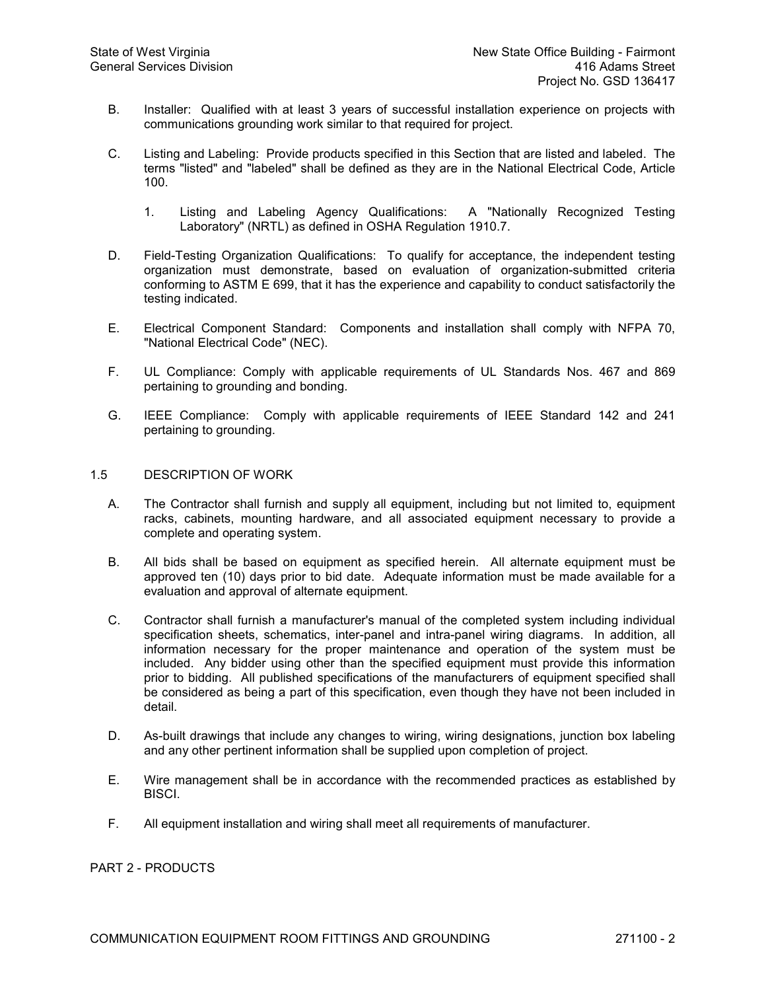- B. Installer: Qualified with at least 3 years of successful installation experience on projects with communications grounding work similar to that required for project.
- C. Listing and Labeling: Provide products specified in this Section that are listed and labeled. The terms "listed" and "labeled" shall be defined as they are in the National Electrical Code, Article 100.
	- 1. Listing and Labeling Agency Qualifications: A "Nationally Recognized Testing Laboratory" (NRTL) as defined in OSHA Regulation 1910.7.
- D. Field-Testing Organization Qualifications: To qualify for acceptance, the independent testing organization must demonstrate, based on evaluation of organization-submitted criteria conforming to ASTM E 699, that it has the experience and capability to conduct satisfactorily the testing indicated.
- E. Electrical Component Standard: Components and installation shall comply with NFPA 70, "National Electrical Code" (NEC).
- F. UL Compliance: Comply with applicable requirements of UL Standards Nos. 467 and 869 pertaining to grounding and bonding.
- G. IEEE Compliance: Comply with applicable requirements of IEEE Standard 142 and 241 pertaining to grounding.

# 1.5 DESCRIPTION OF WORK

- A. The Contractor shall furnish and supply all equipment, including but not limited to, equipment racks, cabinets, mounting hardware, and all associated equipment necessary to provide a complete and operating system.
- B. All bids shall be based on equipment as specified herein. All alternate equipment must be approved ten (10) days prior to bid date. Adequate information must be made available for a evaluation and approval of alternate equipment.
- C. Contractor shall furnish a manufacturer's manual of the completed system including individual specification sheets, schematics, inter-panel and intra-panel wiring diagrams. In addition, all information necessary for the proper maintenance and operation of the system must be included. Any bidder using other than the specified equipment must provide this information prior to bidding. All published specifications of the manufacturers of equipment specified shall be considered as being a part of this specification, even though they have not been included in detail.
- D. As-built drawings that include any changes to wiring, wiring designations, junction box labeling and any other pertinent information shall be supplied upon completion of project.
- E. Wire management shall be in accordance with the recommended practices as established by BISCI.
- F. All equipment installation and wiring shall meet all requirements of manufacturer.

PART 2 - PRODUCTS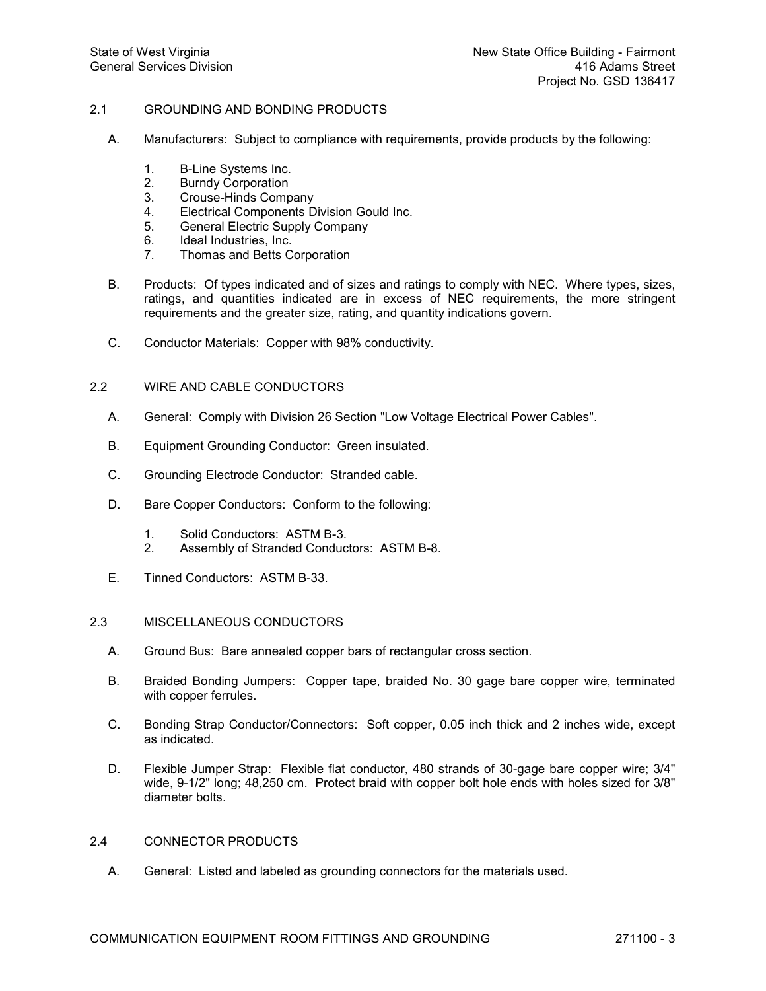# 2.1 GROUNDING AND BONDING PRODUCTS

- A. Manufacturers: Subject to compliance with requirements, provide products by the following:
	- 1. BLine Systems Inc.
	- 2. Burndy Corporation
	- 3. Crouse-Hinds Company
	- 4. Electrical Components Division Gould Inc.
	- 5. General Electric Supply Company
	- 6. Ideal Industries, Inc.<br>7. Thomas and Betts C
	- 7. Thomas and Betts Corporation
- B. Products: Of types indicated and of sizes and ratings to comply with NEC. Where types, sizes, ratings, and quantities indicated are in excess of NEC requirements, the more stringent requirements and the greater size, rating, and quantity indications govern.
- C. Conductor Materials: Copper with 98% conductivity.

# 2.2 WIRE AND CABLE CONDUCTORS

- A. General: Comply with Division 26 Section "Low Voltage Electrical Power Cables".
- B. Equipment Grounding Conductor: Green insulated.
- C. Grounding Electrode Conductor: Stranded cable.
- D. Bare Copper Conductors: Conform to the following:
	- 1. Solid Conductors: ASTM B-3.
	- 2. Assembly of Stranded Conductors: ASTM B-8.
- E. Tinned Conductors: ASTM B-33.

# 2.3 MISCELLANEOUS CONDUCTORS

- A. Ground Bus: Bare annealed copper bars of rectangular cross section.
- B. Braided Bonding Jumpers: Copper tape, braided No. 30 gage bare copper wire, terminated with copper ferrules.
- C. Bonding Strap Conductor/Connectors: Soft copper, 0.05 inch thick and 2 inches wide, except as indicated.
- D. Flexible Jumper Strap: Flexible flat conductor, 480 strands of 30-gage bare copper wire; 3/4" wide, 9-1/2" long; 48,250 cm. Protect braid with copper bolt hole ends with holes sized for 3/8" diameter bolts.

# 2.4 CONNECTOR PRODUCTS

A. General: Listed and labeled as grounding connectors for the materials used.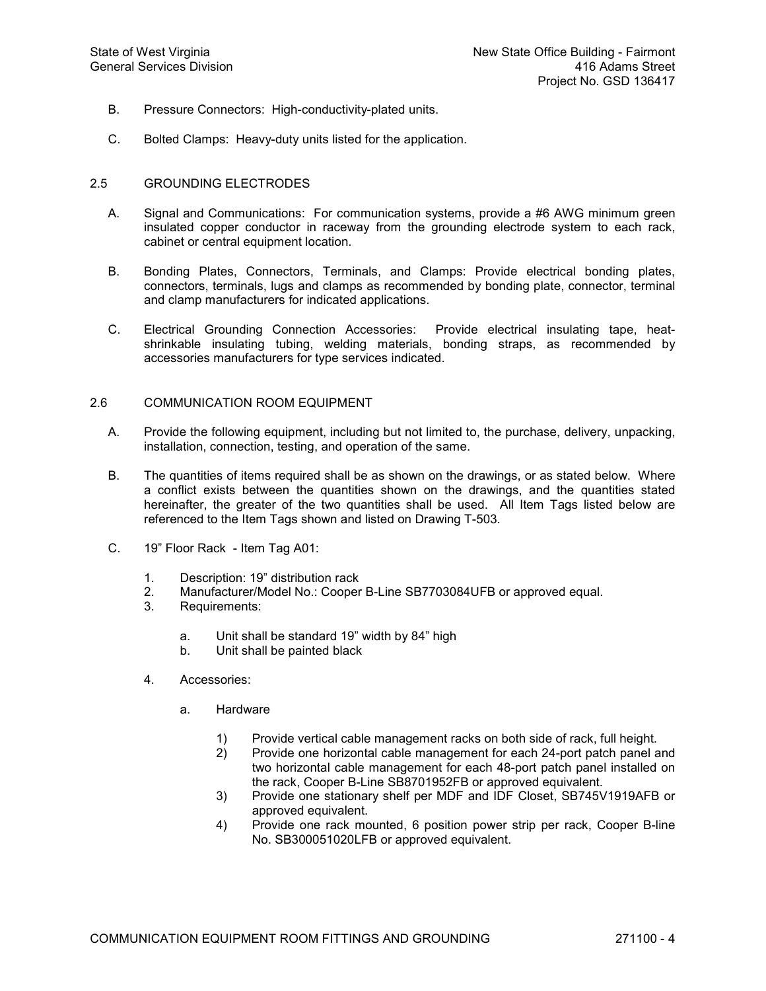- B. Pressure Connectors: High-conductivity-plated units.
- C. Bolted Clamps: Heavy-duty units listed for the application.

# 2.5 GROUNDING ELECTRODES

- A. Signal and Communications: For communication systems, provide a #6 AWG minimum green insulated copper conductor in raceway from the grounding electrode system to each rack, cabinet or central equipment location.
- B. Bonding Plates, Connectors, Terminals, and Clamps: Provide electrical bonding plates, connectors, terminals, lugs and clamps as recommended by bonding plate, connector, terminal and clamp manufacturers for indicated applications.
- C. Electrical Grounding Connection Accessories: Provide electrical insulating tape, heat shrinkable insulating tubing, welding materials, bonding straps, as recommended by accessories manufacturers for type services indicated.

# 2.6 COMMUNICATION ROOM EQUIPMENT

- A. Provide the following equipment, including but not limited to, the purchase, delivery, unpacking, installation, connection, testing, and operation of the same.
- B. The quantities of items required shall be as shown on the drawings, or as stated below. Where a conflict exists between the quantities shown on the drawings, and the quantities stated hereinafter, the greater of the two quantities shall be used. All Item Tags listed below are referenced to the Item Tags shown and listed on Drawing T-503.
- C. 19" Floor Rack Item Tag A01:
	- 1. Description: 19" distribution rack
	- 2. Manufacturer/Model No.: Cooper B-Line SB7703084UFB or approved equal.
	- 3. Requirements:
		- a. Unit shall be standard 19" width by 84" high
		- b. Unit shall be painted black
	- 4. Accessories:
		- a. Hardware
			- 1) Provide vertical cable management racks on both side of rack, full height.
			- 2) Provide one horizontal cable management for each 24-port patch panel and two horizontal cable management for each 48-port patch panel installed on the rack, Cooper BLine SB8701952FB or approved equivalent.
			- 3) Provide one stationary shelf per MDF and IDF Closet, SB745V1919AFB or approved equivalent.
			- 4) Provide one rack mounted, 6 position power strip per rack, Cooper B-line No. SB300051020LFB or approved equivalent.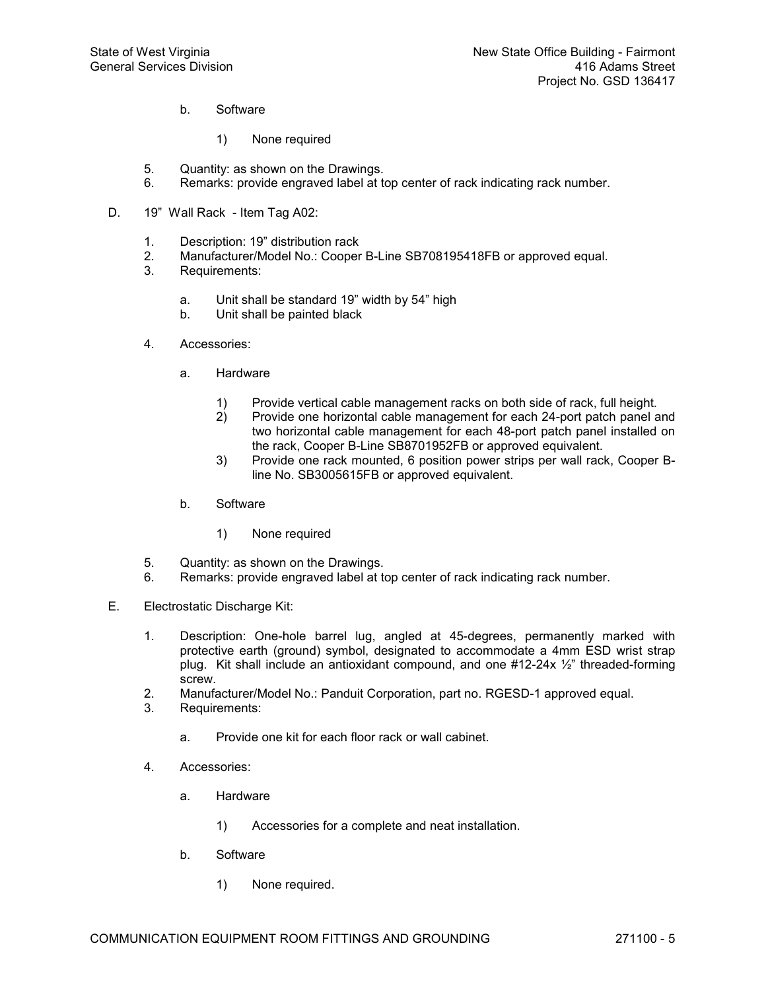- b. Software
	- 1) None required
- 5. Quantity: as shown on the Drawings.
- 6. Remarks: provide engraved label at top center of rack indicating rack number.
- D. 19" Wall Rack Item Tag A02:
	- 1. Description: 19" distribution rack<br>2. Manufacturer/Model No.: Cooper
	- 2. Manufacturer/Model No.: Cooper B-Line SB708195418FB or approved equal.<br>3. Requirements:
	- Requirements:
		- a. Unit shall be standard 19" width by 54" high
		- b. Unit shall be painted black
	- 4. Accessories:
		- a. Hardware
			- 1) Provide vertical cable management racks on both side of rack, full height.
			- 2) Provide one horizontal cable management for each 24-port patch panel and two horizontal cable management for each 48-port patch panel installed on the rack, Cooper BLine SB8701952FB or approved equivalent.
			- 3) Provide one rack mounted, 6 position power strips per wall rack, Cooper B line No. SB3005615FB or approved equivalent.
		- b. Software
			- 1) None required
	- 5. Quantity: as shown on the Drawings.<br>6. Remarks: provide engraved label at to
	- Remarks: provide engraved label at top center of rack indicating rack number.
- E. Electrostatic Discharge Kit:
	- 1. Description: One-hole barrel lug, angled at 45-degrees, permanently marked with protective earth (ground) symbol, designated to accommodate a 4mm ESD wrist strap plug. Kit shall include an antioxidant compound, and one  $#12-24x \frac{1}{2}$ " threaded-forming screw.
	- 2. Manufacturer/Model No.: Panduit Corporation, part no. RGESD-1 approved equal.
	- 3. Requirements:
		- a. Provide one kit for each floor rack or wall cabinet.
	- 4. Accessories:
		- a. Hardware
			- 1) Accessories for a complete and neat installation.
		- b. Software
			- 1) None required.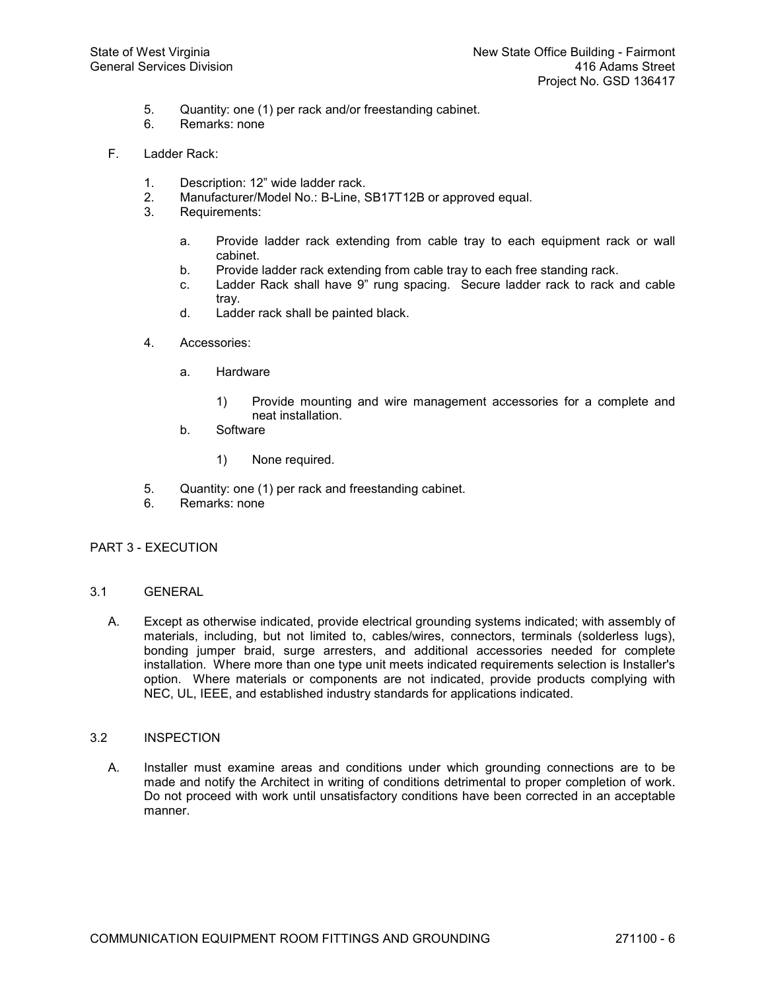- 5. Quantity: one (1) per rack and/or freestanding cabinet.
- Remarks: none
- F. Ladder Rack:
	- 1. Description: 12" wide ladder rack.
	- 2. Manufacturer/Model No.: B-Line, SB17T12B or approved equal.<br>3. Requirements:
	- Requirements:
		- a. Provide ladder rack extending from cable tray to each equipment rack or wall cabinet.
		- b. Provide ladder rack extending from cable tray to each free standing rack.
		- c. Ladder Rack shall have 9" rung spacing. Secure ladder rack to rack and cable tray.
		- d. Ladder rack shall be painted black.
	- 4. Accessories:
		- a. Hardware
			- 1) Provide mounting and wire management accessories for a complete and neat installation.
		- b. Software
			- 1) None required.
	- 5. Quantity: one (1) per rack and freestanding cabinet.
	- 6. Remarks: none

# PART 3 - EXECUTION

# 3.1 GENERAL

A. Except as otherwise indicated, provide electrical grounding systems indicated; with assembly of materials, including, but not limited to, cables/wires, connectors, terminals (solderless lugs), bonding jumper braid, surge arresters, and additional accessories needed for complete installation. Where more than one type unit meets indicated requirements selection is Installer's option. Where materials or components are not indicated, provide products complying with NEC, UL, IEEE, and established industry standards for applications indicated.

# 3.2 INSPECTION

A. Installer must examine areas and conditions under which grounding connections are to be made and notify the Architect in writing of conditions detrimental to proper completion of work. Do not proceed with work until unsatisfactory conditions have been corrected in an acceptable manner.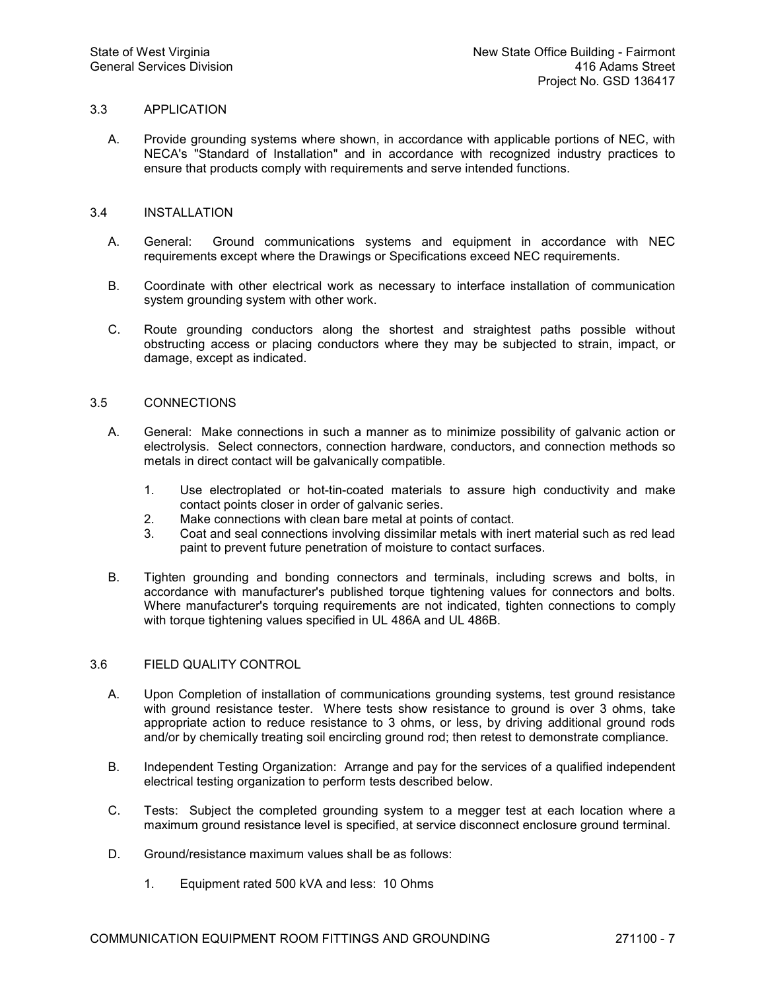# 3.3 APPLICATION

A. Provide grounding systems where shown, in accordance with applicable portions of NEC, with NECA's "Standard of Installation" and in accordance with recognized industry practices to ensure that products comply with requirements and serve intended functions.

# 3.4 INSTALLATION

- A. General: Ground communications systems and equipment in accordance with NEC requirements except where the Drawings or Specifications exceed NEC requirements.
- B. Coordinate with other electrical work as necessary to interface installation of communication system grounding system with other work.
- C. Route grounding conductors along the shortest and straightest paths possible without obstructing access or placing conductors where they may be subjected to strain, impact, or damage, except as indicated.

# 3.5 CONNECTIONS

- A. General: Make connections in such a manner as to minimize possibility of galvanic action or electrolysis. Select connectors, connection hardware, conductors, and connection methods so metals in direct contact will be galvanically compatible.
	- 1. Use electroplated or hot-tin-coated materials to assure high conductivity and make contact points closer in order of galvanic series.
	- 2. Make connections with clean bare metal at points of contact.
	- 3. Coat and seal connections involving dissimilar metals with inert material such as red lead paint to prevent future penetration of moisture to contact surfaces.
- B. Tighten grounding and bonding connectors and terminals, including screws and bolts, in accordance with manufacturer's published torque tightening values for connectors and bolts. Where manufacturer's torquing requirements are not indicated, tighten connections to comply with torque tightening values specified in UL 486A and UL 486B.

# 3.6 FIELD QUALITY CONTROL

- A. Upon Completion of installation of communications grounding systems, test ground resistance with ground resistance tester. Where tests show resistance to ground is over 3 ohms, take appropriate action to reduce resistance to 3 ohms, or less, by driving additional ground rods and/or by chemically treating soil encircling ground rod; then retest to demonstrate compliance.
- B. Independent Testing Organization: Arrange and pay for the services of a qualified independent electrical testing organization to perform tests described below.
- C. Tests: Subject the completed grounding system to a megger test at each location where a maximum ground resistance level is specified, at service disconnect enclosure ground terminal.
- D. Ground/resistance maximum values shall be as follows:
	- 1. Equipment rated 500 kVA and less: 10 Ohms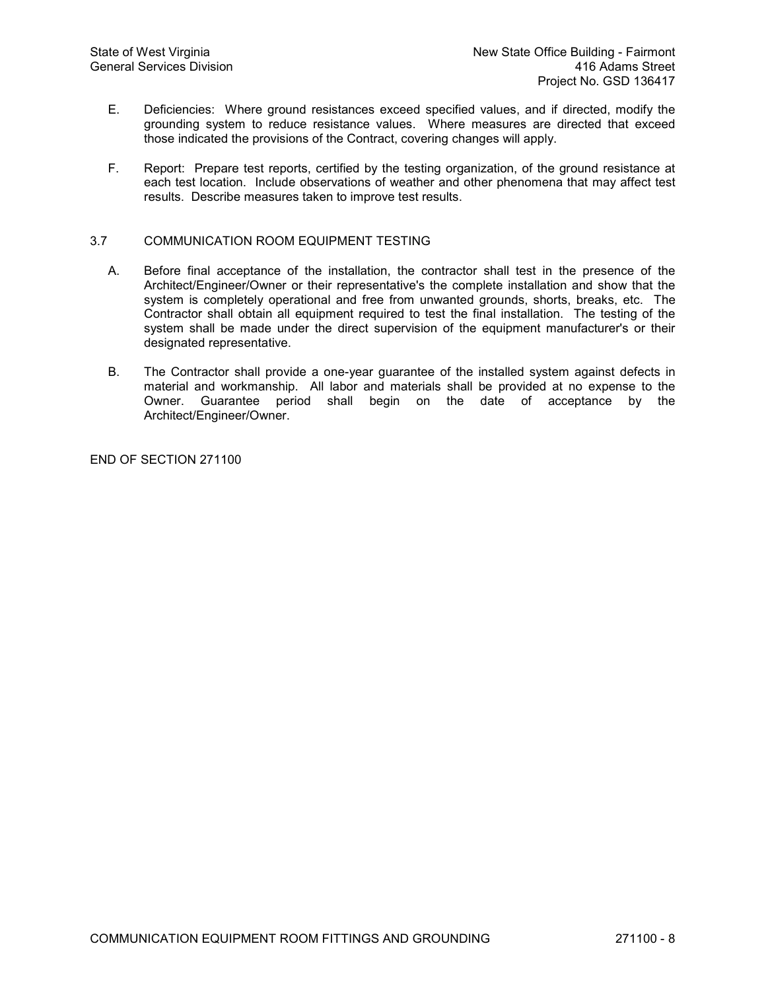- E. Deficiencies: Where ground resistances exceed specified values, and if directed, modify the grounding system to reduce resistance values. Where measures are directed that exceed those indicated the provisions of the Contract, covering changes will apply.
- F. Report: Prepare test reports, certified by the testing organization, of the ground resistance at each test location. Include observations of weather and other phenomena that may affect test results. Describe measures taken to improve test results.

# 3.7 COMMUNICATION ROOM EQUIPMENT TESTING

- A. Before final acceptance of the installation, the contractor shall test in the presence of the Architect/Engineer/Owner or their representative's the complete installation and show that the system is completely operational and free from unwanted grounds, shorts, breaks, etc. The Contractor shall obtain all equipment required to test the final installation. The testing of the system shall be made under the direct supervision of the equipment manufacturer's or their designated representative.
- B. The Contractor shall provide a one-year guarantee of the installed system against defects in material and workmanship. All labor and materials shall be provided at no expense to the Owner. Guarantee period shall begin on the date of acceptance by the Architect/Engineer/Owner.

END OF SECTION 271100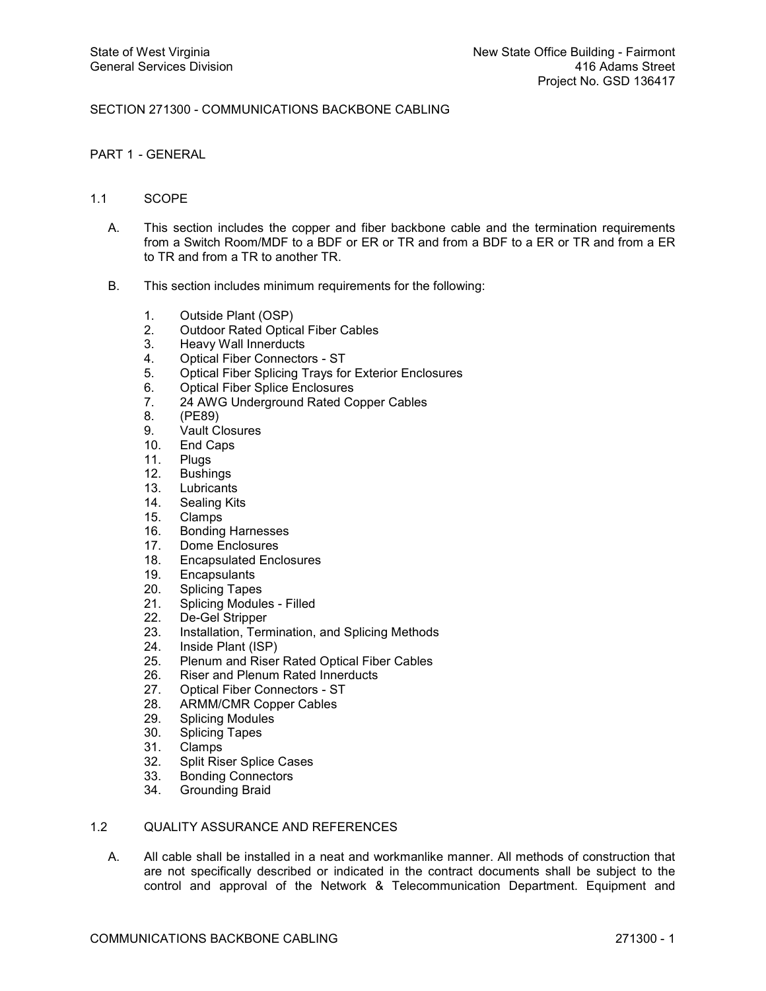# SECTION 271300 - COMMUNICATIONS BACKBONE CABLING

# PART 1 GENERAL

# 1.1 SCOPE

- A. This section includes the copper and fiber backbone cable and the termination requirements from a Switch Room/MDF to a BDF or ER or TR and from a BDF to a ER or TR and from a ER to TR and from a TR to another TR.
- B. This section includes minimum requirements for the following:
	- 1. Outside Plant (OSP)
	- 2. Outdoor Rated Optical Fiber Cables<br>3. Heavy Wall Innerducts
	- Heavy Wall Innerducts
	- 4. Optical Fiber Connectors ST<br>5. Optical Fiber Splicing Trays for
	- 5. Optical Fiber Splicing Trays for Exterior Enclosures
	- 6. Optical Fiber Splice Enclosures
	- 7. 24 AWG Underground Rated Copper Cables
	- 8. (PE89)
	- 9. Vault Closures
	- 10. End Caps
	-
	- 11. Plugs<br>12. Bushii **Bushings**
	- 13. Lubricants
	- 14. Sealing Kits
	- 15. Clamps
	- 16. Bonding Harnesses
	- 17. Dome Enclosures
	- 18. Encapsulated Enclosures
	- 19. Encapsulants
	- 20. Splicing Tapes<br>21. Splicing Module
	- Splicing Modules Filled
	- 22. De-Gel Stripper
	- 23. Installation, Termination, and Splicing Methods<br>24. Inside Plant (ISP)
	- Inside Plant (ISP)
	- 25. Plenum and Riser Rated Optical Fiber Cables
	- 26. Riser and Plenum Rated Innerducts<br>27. Optical Fiber Connectors ST
	- Optical Fiber Connectors ST
	- 28. ARMM/CMR Copper Cables
	- 29. Splicing Modules
	- 30. Splicing Tapes
	- 31. Clamps<br>32. Split Ris
	- Split Riser Splice Cases
	- 33. Bonding Connectors
	- 34. Grounding Braid

# 1.2 QUALITY ASSURANCE AND REFERENCES

A. All cable shall be installed in a neat and workmanlike manner. All methods of construction that are not specifically described or indicated in the contract documents shall be subject to the control and approval of the Network & Telecommunication Department. Equipment and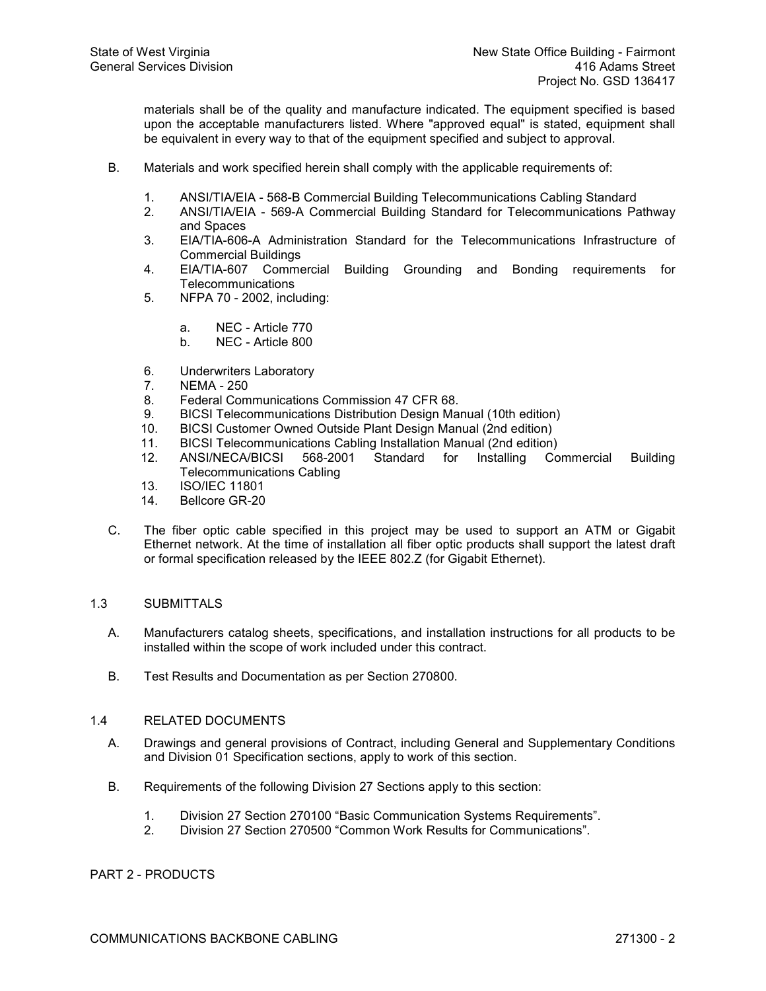materials shall be of the quality and manufacture indicated. The equipment specified is based upon the acceptable manufacturers listed. Where "approved equal" is stated, equipment shall be equivalent in every way to that of the equipment specified and subject to approval.

- B. Materials and work specified herein shall comply with the applicable requirements of:
	- 1. ANSI/TIA/EIA 568-B Commercial Building Telecommunications Cabling Standard
	- 2. ANSI/TIA/EIA 569-A Commercial Building Standard for Telecommunications Pathway and Spaces
	- 3. EIA/TIA606A Administration Standard for the Telecommunications Infrastructure of Commercial Buildings
	- 4. EIA/TIA-607 Commercial Building Grounding and Bonding requirements for **Telecommunications**
	- 5. NFPA 70 2002, including:
		- a. NEC Article 770
		- b. NEC Article 800
	- 6. Underwriters Laboratory
	- 7. NEMA 250
	-
	- 8. Federal Communications Commission 47 CFR 68.<br>9. BICSI Telecommunications Distribution Design Ma 9. BICSI Telecommunications Distribution Design Manual (10th edition)
	- 10. BICSI Customer Owned Outside Plant Design Manual (2nd edition)
	- 11. BICSI Telecommunications Cabling Installation Manual (2nd edition)
	- 12. ANSI/NECA/BICSI 5682001 Standard for Installing Commercial Building Telecommunications Cabling
	- 13. ISO/IEC 11801
	- 14. Bellcore GR-20
- C. The fiber optic cable specified in this project may be used to support an ATM or Gigabit Ethernet network. At the time of installation all fiber optic products shall support the latest draft or formal specification released by the IEEE 802.Z (for Gigabit Ethernet).

# 1.3 SUBMITTALS

- A. Manufacturers catalog sheets, specifications, and installation instructions for all products to be installed within the scope of work included under this contract.
- B. Test Results and Documentation as per Section 270800.

# 1.4 RELATED DOCUMENTS

- A. Drawings and general provisions of Contract, including General and Supplementary Conditions and Division 01 Specification sections, apply to work of this section.
- B. Requirements of the following Division 27 Sections apply to this section:
	- 1. Division 27 Section 270100 "Basic Communication Systems Requirements".
	- 2. Division 27 Section 270500 "Common Work Results for Communications".

# PART 2 - PRODUCTS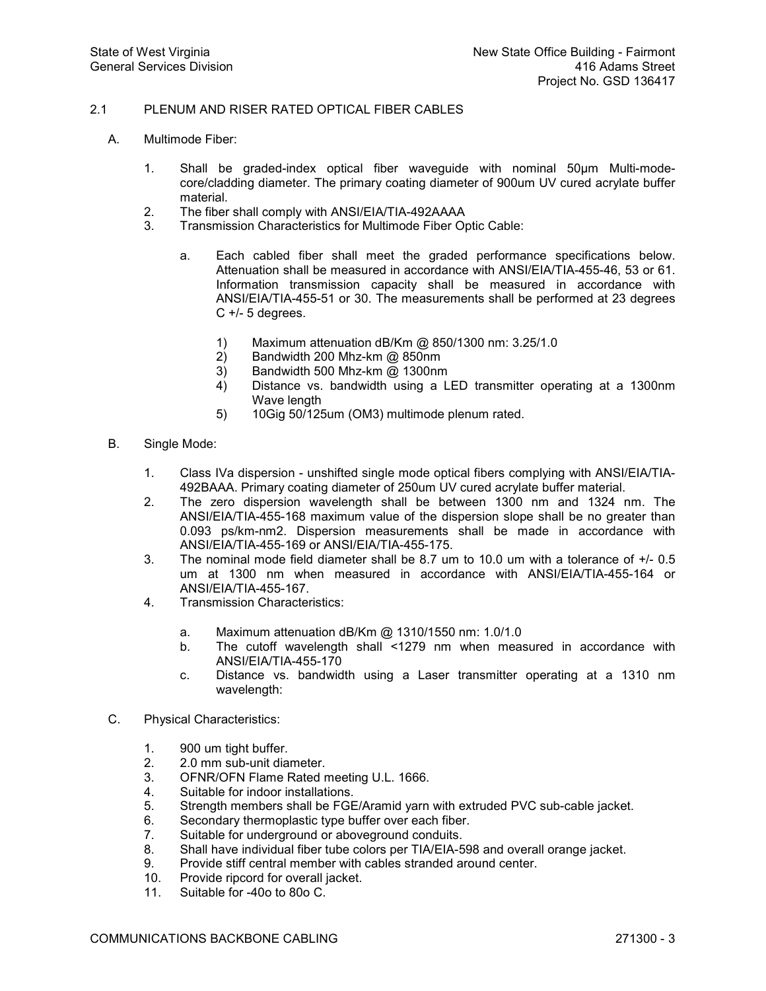# 2.1 PLENUM AND RISER RATED OPTICAL FIBER CABLES

- A. Multimode Fiber:
	- 1. Shall be graded-index optical fiber wavequide with nominal 50um Multi-modecore/cladding diameter. The primary coating diameter of 900um UV cured acrylate buffer material.
	- 2. The fiber shall comply with ANSI/EIA/TIA-492AAAA
	- 3. Transmission Characteristics for Multimode Fiber Optic Cable:
		- a. Each cabled fiber shall meet the graded performance specifications below. Attenuation shall be measured in accordance with ANSI/EIA/TIA-455-46, 53 or 61. Information transmission capacity shall be measured in accordance with ANSI/EIA/TIA-455-51 or 30. The measurements shall be performed at 23 degrees  $C +$  - 5 degrees.
			- 1) Maximum attenuation dB/Km @ 850/1300 nm: 3.25/1.0
			- 2) Bandwidth 200 Mhz-km  $@$  850nm
			- 3) Bandwidth 500 Mhz-km  $@$  1300nm
			- 4) Distance vs. bandwidth using a LED transmitter operating at a 1300nm Wave length
			- 5) 10Gig 50/125um (OM3) multimode plenum rated.
- B. Single Mode:
	- 1. Class IVa dispersion unshifted single mode optical fibers complying with ANSI/EIA/TIA 492BAAA. Primary coating diameter of 250um UV cured acrylate buffer material.
	- 2. The zero dispersion wavelength shall be between 1300 nm and 1324 nm. The ANSI/EIA/TIA-455-168 maximum value of the dispersion slope shall be no greater than 0.093 ps/km-nm2. Dispersion measurements shall be made in accordance with ANSI/EIA/TIA-455-169 or ANSI/EIA/TIA-455-175.
	- 3. The nominal mode field diameter shall be 8.7 um to 10.0 um with a tolerance of +/ 0.5 um at 1300 nm when measured in accordance with ANSI/EIA/TIA-455-164 or ANSI/EIA/TIA-455-167.
	- 4. Transmission Characteristics:
		- a. Maximum attenuation dB/Km @ 1310/1550 nm: 1.0/1.0
		- b. The cutoff wavelength shall <1279 nm when measured in accordance with ANSI/EIA/TIA-455-170
		- c. Distance vs. bandwidth using a Laser transmitter operating at a 1310 nm wavelength:
- C. Physical Characteristics:
	- 1. 900 um tight buffer.
	- 2. 2.0 mm sub-unit diameter.
	- 3. OFNR/OFN Flame Rated meeting U.L. 1666.
	- 4. Suitable for indoor installations.
	- 5. Strength members shall be FGE/Aramid yarn with extruded PVC sub-cable jacket.
	- 6. Secondary thermoplastic type buffer over each fiber.
	- 7. Suitable for underground or aboveground conduits.
	- 8. Shall have individual fiber tube colors per TIA/EIA-598 and overall orange jacket.
	- 9. Provide stiff central member with cables stranded around center.
	- 10. Provide ripcord for overall jacket.
	- 11. Suitable for -40o to 80o C.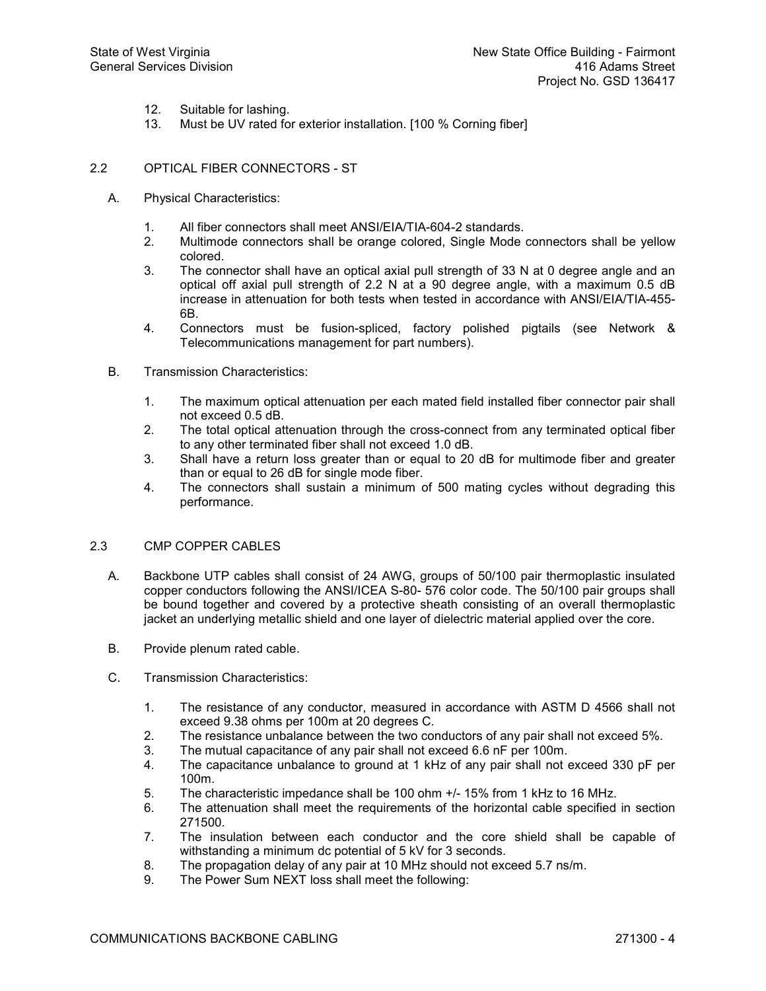- 12. Suitable for lashing.
- 13. Must be UV rated for exterior installation. [100 % Corning fiber]

# 2.2 OPTICAL FIBER CONNECTORS - ST

- A. Physical Characteristics:
	- 1. All fiber connectors shall meet ANSI/EIA/TIA-604-2 standards.<br>2. Multimode connectors shall be orange colored. Single Mode
	- 2. Multimode connectors shall be orange colored, Single Mode connectors shall be yellow colored.
	- 3. The connector shall have an optical axial pull strength of 33 N at 0 degree angle and an optical off axial pull strength of 2.2 N at a 90 degree angle, with a maximum 0.5 dB increase in attenuation for both tests when tested in accordance with ANSI/EIA/TIA-455-6B.
	- 4. Connectors must be fusion-spliced, factory polished pigtails (see Network & Telecommunications management for part numbers).
- B. Transmission Characteristics:
	- 1. The maximum optical attenuation per each mated field installed fiber connector pair shall not exceed 0.5 dB.
	- 2. The total optical attenuation through the cross-connect from any terminated optical fiber to any other terminated fiber shall not exceed 1.0 dB.
	- 3. Shall have a return loss greater than or equal to 20 dB for multimode fiber and greater than or equal to 26 dB for single mode fiber.
	- 4. The connectors shall sustain a minimum of 500 mating cycles without degrading this performance.

# 2.3 CMP COPPER CABLES

- A. Backbone UTP cables shall consist of 24 AWG, groups of 50/100 pair thermoplastic insulated copper conductors following the ANSI/ICEA S-80-576 color code. The 50/100 pair groups shall be bound together and covered by a protective sheath consisting of an overall thermoplastic jacket an underlying metallic shield and one layer of dielectric material applied over the core.
- B. Provide plenum rated cable.
- C. Transmission Characteristics:
	- 1. The resistance of any conductor, measured in accordance with ASTM D 4566 shall not exceed 9.38 ohms per 100m at 20 degrees C.
	- 2. The resistance unbalance between the two conductors of any pair shall not exceed 5%.
	- 3. The mutual capacitance of any pair shall not exceed 6.6 nF per 100m.
	- 4. The capacitance unbalance to ground at 1 kHz of any pair shall not exceed 330 pF per 100m.
	- 5. The characteristic impedance shall be 100 ohm  $+/-$  15% from 1 kHz to 16 MHz.
	- 6. The attenuation shall meet the requirements of the horizontal cable specified in section 271500.
	- 7. The insulation between each conductor and the core shield shall be capable of withstanding a minimum dc potential of 5 kV for 3 seconds.
	- 8. The propagation delay of any pair at 10 MHz should not exceed 5.7 ns/m.
	- 9. The Power Sum NEXT loss shall meet the following: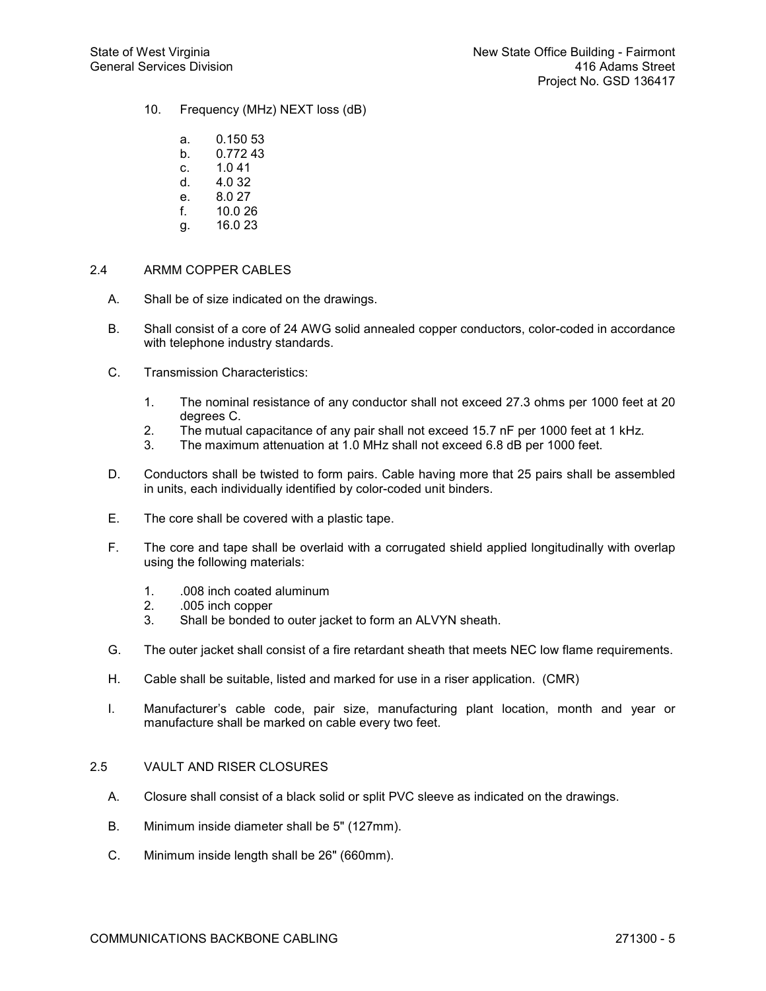- 10. Frequency (MHz) NEXT loss (dB)
	- a. 0.150 53
	- b. 0.772 43
	- c. 1.0 41
	- d.  $4.032$
	- e. 8.0 27
	- f. 10.0 26 g. 16.0 23

# 2.4 ARMM COPPER CABLES

- A. Shall be of size indicated on the drawings.
- B. Shall consist of a core of 24 AWG solid annealed copper conductors, color-coded in accordance with telephone industry standards.
- C. Transmission Characteristics:
	- 1. The nominal resistance of any conductor shall not exceed 27.3 ohms per 1000 feet at 20 degrees C.
	- 2. The mutual capacitance of any pair shall not exceed 15.7 nF per 1000 feet at 1 kHz.
	- 3. The maximum attenuation at 1.0 MHz shall not exceed 6.8 dB per 1000 feet.
- D. Conductors shall be twisted to form pairs. Cable having more that 25 pairs shall be assembled in units, each individually identified by color-coded unit binders.
- E. The core shall be covered with a plastic tape.
- F. The core and tape shall be overlaid with a corrugated shield applied longitudinally with overlap using the following materials:
	- 1. .008 inch coated aluminum
	- 2. .005 inch copper
	- 3. Shall be bonded to outer jacket to form an ALVYN sheath.
- G. The outer jacket shall consist of a fire retardant sheath that meets NEC low flame requirements.
- H. Cable shall be suitable, listed and marked for use in a riser application. (CMR)
- I. Manufacturer's cable code, pair size, manufacturing plant location, month and year or manufacture shall be marked on cable every two feet.

# 2.5 VAULT AND RISER CLOSURES

- A. Closure shall consist of a black solid or split PVC sleeve as indicated on the drawings.
- B. Minimum inside diameter shall be 5" (127mm).
- C. Minimum inside length shall be 26" (660mm).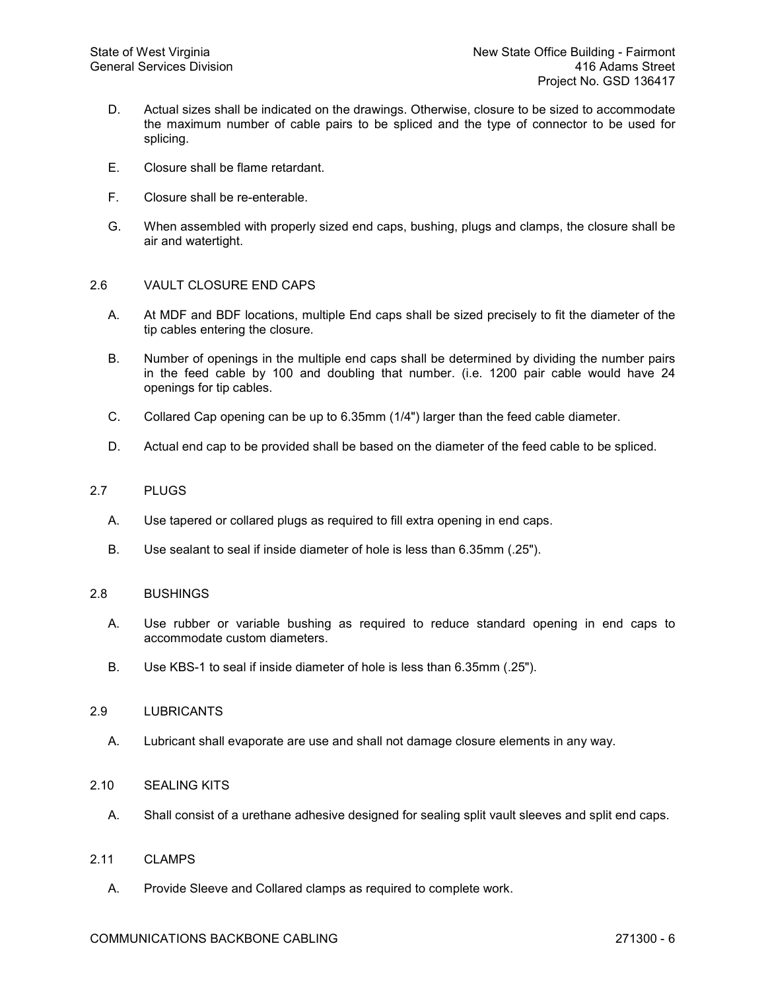- D. Actual sizes shall be indicated on the drawings. Otherwise, closure to be sized to accommodate the maximum number of cable pairs to be spliced and the type of connector to be used for splicing.
- E. Closure shall be flame retardant.
- F. Closure shall be re-enterable.
- G. When assembled with properly sized end caps, bushing, plugs and clamps, the closure shall be air and watertight.

# 2.6 VAULT CLOSURE END CAPS

- A. At MDF and BDF locations, multiple End caps shall be sized precisely to fit the diameter of the tip cables entering the closure.
- B. Number of openings in the multiple end caps shall be determined by dividing the number pairs in the feed cable by 100 and doubling that number. (i.e. 1200 pair cable would have 24 openings for tip cables.
- C. Collared Cap opening can be up to 6.35mm (1/4") larger than the feed cable diameter.
- D. Actual end cap to be provided shall be based on the diameter of the feed cable to be spliced.

#### 2.7 PLUGS

- A. Use tapered or collared plugs as required to fill extra opening in end caps.
- B. Use sealant to seal if inside diameter of hole is less than 6.35mm (.25").

# 2.8 BUSHINGS

- A. Use rubber or variable bushing as required to reduce standard opening in end caps to accommodate custom diameters.
- B. Use KBS-1 to seal if inside diameter of hole is less than 6.35mm (.25").

# 2.9 LUBRICANTS

A. Lubricant shall evaporate are use and shall not damage closure elements in any way.

# 2.10 SEALING KITS

A. Shall consist of a urethane adhesive designed for sealing split vault sleeves and split end caps.

#### 2.11 CLAMPS

A. Provide Sleeve and Collared clamps as required to complete work.

#### COMMUNICATIONS BACKBONE CABLING 271300 6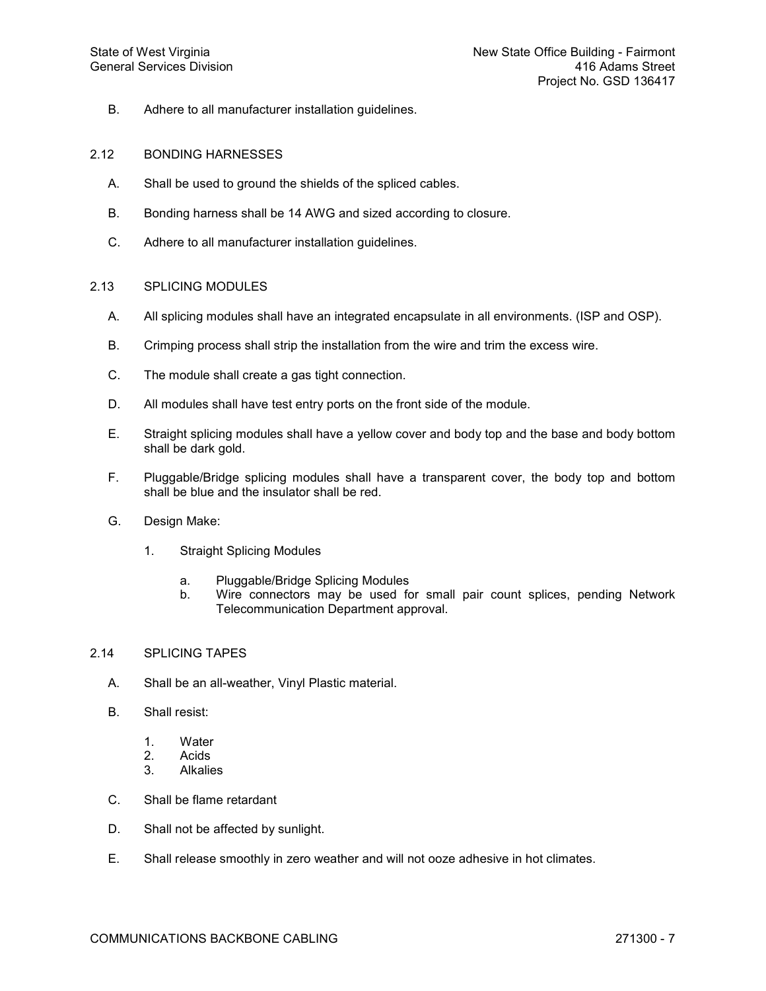B. Adhere to all manufacturer installation guidelines.

# 2.12 BONDING HARNESSES

- A. Shall be used to ground the shields of the spliced cables.
- B. Bonding harness shall be 14 AWG and sized according to closure.
- C. Adhere to all manufacturer installation guidelines.

#### 2.13 SPLICING MODULES

- A. All splicing modules shall have an integrated encapsulate in all environments. (ISP and OSP).
- B. Crimping process shall strip the installation from the wire and trim the excess wire.
- C. The module shall create a gas tight connection.
- D. All modules shall have test entry ports on the front side of the module.
- E. Straight splicing modules shall have a yellow cover and body top and the base and body bottom shall be dark gold.
- F. Pluggable/Bridge splicing modules shall have a transparent cover, the body top and bottom shall be blue and the insulator shall be red.
- G. Design Make:
	- 1. Straight Splicing Modules
		- a. Pluggable/Bridge Splicing Modules
		- b. Wire connectors may be used for small pair count splices, pending Network Telecommunication Department approval.

#### 2.14 SPLICING TAPES

- A. Shall be an all-weather, Vinyl Plastic material.
- B. Shall resist:
	- 1. Water
	- 2. Acids<br>3. Alkalie
	- **Alkalies**
- C. Shall be flame retardant
- D. Shall not be affected by sunlight.
- E. Shall release smoothly in zero weather and will not ooze adhesive in hot climates.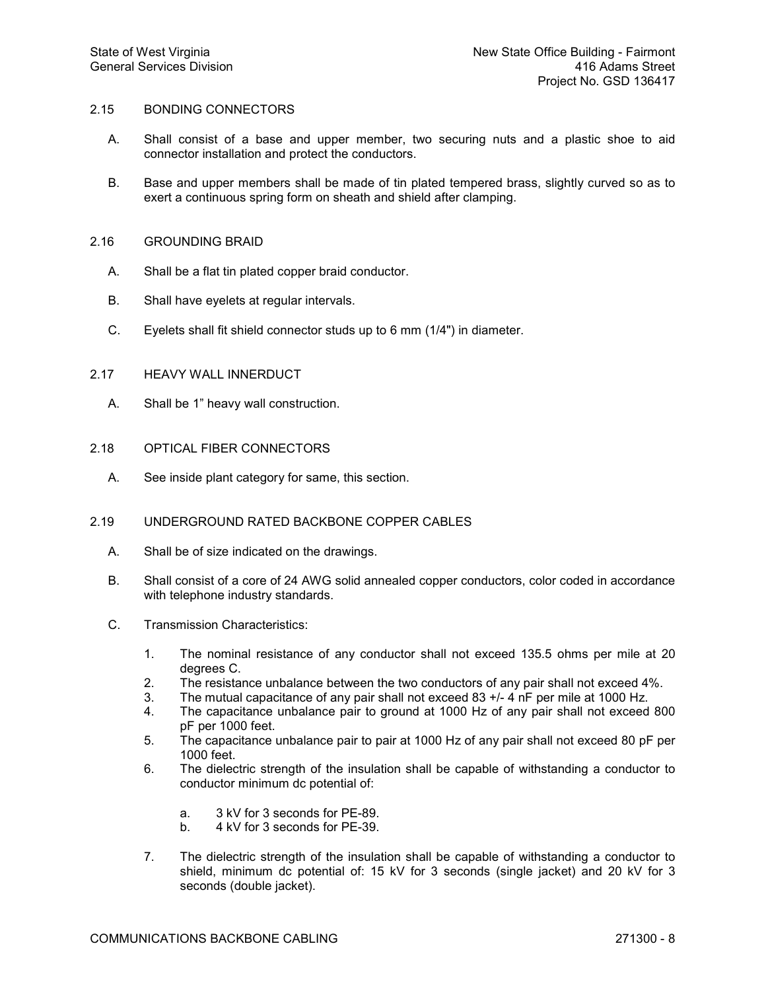# 2.15 BONDING CONNECTORS

- A. Shall consist of a base and upper member, two securing nuts and a plastic shoe to aid connector installation and protect the conductors.
- B. Base and upper members shall be made of tin plated tempered brass, slightly curved so as to exert a continuous spring form on sheath and shield after clamping.

#### 2.16 GROUNDING BRAID

- A. Shall be a flat tin plated copper braid conductor.
- B. Shall have eyelets at regular intervals.
- C. Eyelets shall fit shield connector studs up to 6 mm (1/4") in diameter.

# 2.17 HEAVY WALL INNERDUCT

- A. Shall be 1" heavy wall construction.
- 2.18 OPTICAL FIBER CONNECTORS
	- A. See inside plant category for same, this section.
- 2.19 UNDERGROUND RATED BACKBONE COPPER CABLES
	- A. Shall be of size indicated on the drawings.
	- B. Shall consist of a core of 24 AWG solid annealed copper conductors, color coded in accordance with telephone industry standards.
	- C. Transmission Characteristics:
		- 1. The nominal resistance of any conductor shall not exceed 135.5 ohms per mile at 20 degrees C.
		- 2. The resistance unbalance between the two conductors of any pair shall not exceed 4%.
		- 3. The mutual capacitance of any pair shall not exceed 83 +/ 4 nF per mile at 1000 Hz.
		- 4. The capacitance unbalance pair to ground at 1000 Hz of any pair shall not exceed 800 pF per 1000 feet.
		- 5. The capacitance unbalance pair to pair at 1000 Hz of any pair shall not exceed 80 pF per 1000 feet.
		- 6. The dielectric strength of the insulation shall be capable of withstanding a conductor to conductor minimum dc potential of:
			- a. 3 kV for 3 seconds for PE-89.
			- b. 4 kV for 3 seconds for PE-39.
		- 7. The dielectric strength of the insulation shall be capable of withstanding a conductor to shield, minimum dc potential of: 15 kV for 3 seconds (single jacket) and 20 kV for 3 seconds (double jacket).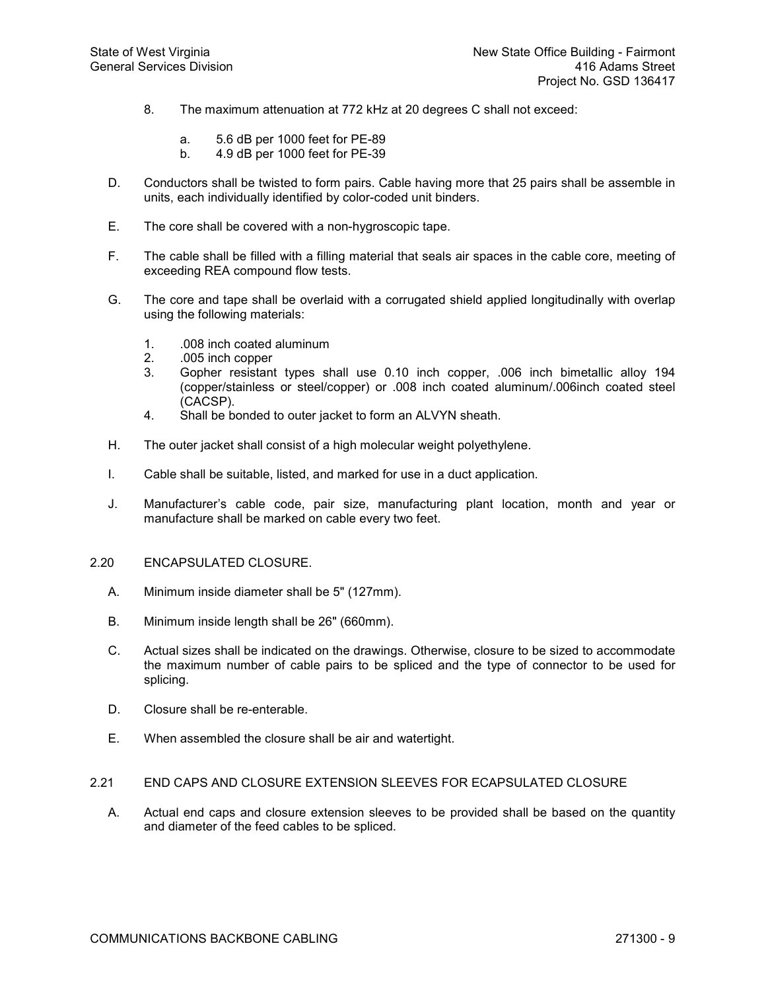- 8. The maximum attenuation at 772 kHz at 20 degrees C shall not exceed:
	- a. 5.6 dB per 1000 feet for PE-89
	- b. 4.9 dB per 1000 feet for PE-39
- D. Conductors shall be twisted to form pairs. Cable having more that 25 pairs shall be assemble in units, each individually identified by color-coded unit binders.
- E. The core shall be covered with a non-hygroscopic tape.
- F. The cable shall be filled with a filling material that seals air spaces in the cable core, meeting of exceeding REA compound flow tests.
- G. The core and tape shall be overlaid with a corrugated shield applied longitudinally with overlap using the following materials:
	- 1. .008 inch coated aluminum<br>2. .005 inch copper
	- 2. .005 inch copper
	- 3. Gopher resistant types shall use 0.10 inch copper, .006 inch bimetallic alloy 194 (copper/stainless or steel/copper) or .008 inch coated aluminum/.006inch coated steel (CACSP).
	- 4. Shall be bonded to outer jacket to form an ALVYN sheath.
- H. The outer jacket shall consist of a high molecular weight polyethylene.
- I. Cable shall be suitable, listed, and marked for use in a duct application.
- J. Manufacturer's cable code, pair size, manufacturing plant location, month and year or manufacture shall be marked on cable every two feet.

#### 2.20 ENCAPSULATED CLOSURE.

- A. Minimum inside diameter shall be 5" (127mm).
- B. Minimum inside length shall be 26" (660mm).
- C. Actual sizes shall be indicated on the drawings. Otherwise, closure to be sized to accommodate the maximum number of cable pairs to be spliced and the type of connector to be used for splicing.
- D. Closure shall be re-enterable.
- E. When assembled the closure shall be air and watertight.

#### 2.21 END CAPS AND CLOSURE EXTENSION SLEEVES FOR ECAPSULATED CLOSURE

A. Actual end caps and closure extension sleeves to be provided shall be based on the quantity and diameter of the feed cables to be spliced.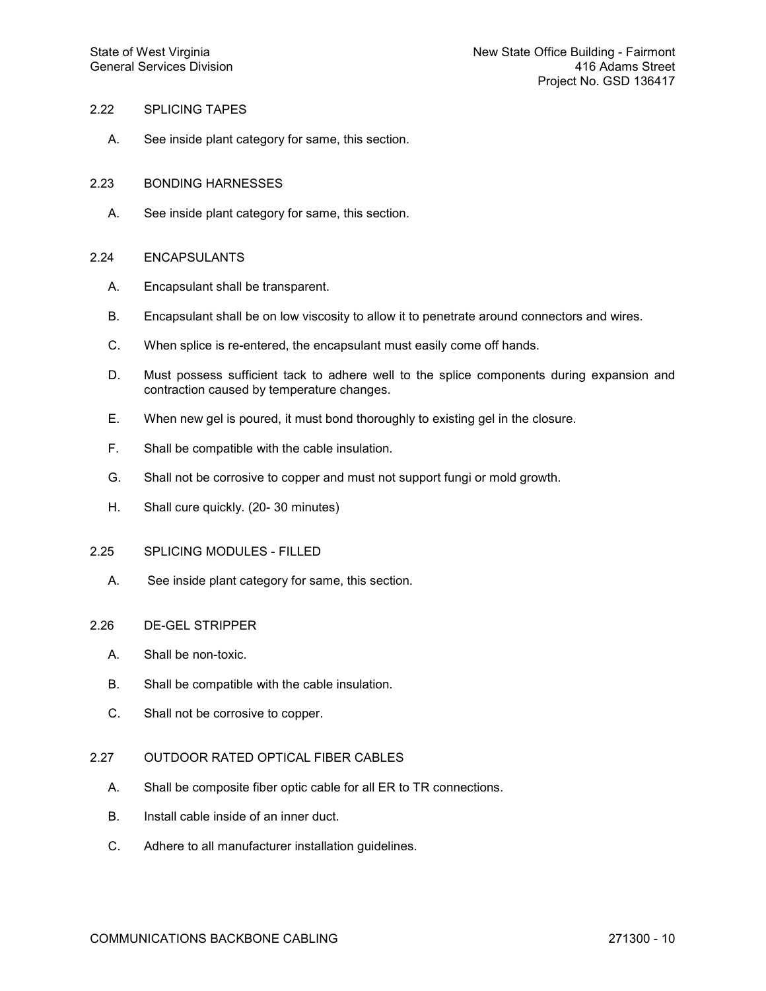# 2.22 SPLICING TAPES

- A. See inside plant category for same, this section.
- 2.23 BONDING HARNESSES
	- A. See inside plant category for same, this section.

# 2.24 ENCAPSULANTS

- A. Encapsulant shall be transparent.
- B. Encapsulant shall be on low viscosity to allow it to penetrate around connectors and wires.
- C. When splice is re-entered, the encapsulant must easily come off hands.
- D. Must possess sufficient tack to adhere well to the splice components during expansion and contraction caused by temperature changes.
- E. When new gel is poured, it must bond thoroughly to existing gel in the closure.
- F. Shall be compatible with the cable insulation.
- G. Shall not be corrosive to copper and must not support fungi or mold growth.
- H. Shall cure quickly. (20-30 minutes)

# 2.25 SPLICING MODULES FILLED

A. See inside plant category for same, this section.

# 2.26 DE-GEL STRIPPER

- A. Shall be non-toxic.
- B. Shall be compatible with the cable insulation.
- C. Shall not be corrosive to copper.

# 2.27 OUTDOOR RATED OPTICAL FIBER CABLES

- A. Shall be composite fiber optic cable for all ER to TR connections.
- B. Install cable inside of an inner duct.
- C. Adhere to all manufacturer installation guidelines.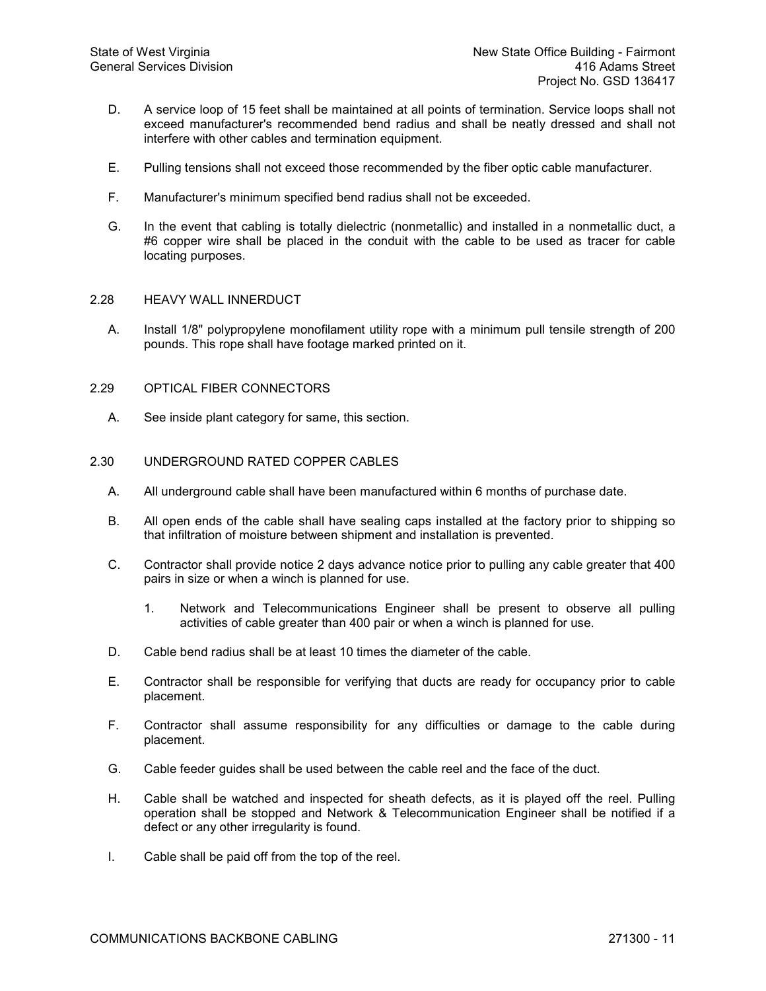- D. A service loop of 15 feet shall be maintained at all points of termination. Service loops shall not exceed manufacturer's recommended bend radius and shall be neatly dressed and shall not interfere with other cables and termination equipment.
- E. Pulling tensions shall not exceed those recommended by the fiber optic cable manufacturer.
- F. Manufacturer's minimum specified bend radius shall not be exceeded.
- G. In the event that cabling is totally dielectric (nonmetallic) and installed in a nonmetallic duct, a #6 copper wire shall be placed in the conduit with the cable to be used as tracer for cable locating purposes.

# 2.28 HEAVY WALL INNERDUCT

A. Install 1/8" polypropylene monofilament utility rope with a minimum pull tensile strength of 200 pounds. This rope shall have footage marked printed on it.

#### 2.29 OPTICAL FIBER CONNECTORS

A. See inside plant category for same, this section.

# 2.30 UNDERGROUND RATED COPPER CABLES

- A. All underground cable shall have been manufactured within 6 months of purchase date.
- B. All open ends of the cable shall have sealing caps installed at the factory prior to shipping so that infiltration of moisture between shipment and installation is prevented.
- C. Contractor shall provide notice 2 days advance notice prior to pulling any cable greater that 400 pairs in size or when a winch is planned for use.
	- 1. Network and Telecommunications Engineer shall be present to observe all pulling activities of cable greater than 400 pair or when a winch is planned for use.
- D. Cable bend radius shall be at least 10 times the diameter of the cable.
- E. Contractor shall be responsible for verifying that ducts are ready for occupancy prior to cable placement.
- F. Contractor shall assume responsibility for any difficulties or damage to the cable during placement.
- G. Cable feeder guides shall be used between the cable reel and the face of the duct.
- H. Cable shall be watched and inspected for sheath defects, as it is played off the reel. Pulling operation shall be stopped and Network & Telecommunication Engineer shall be notified if a defect or any other irregularity is found.
- I. Cable shall be paid off from the top of the reel.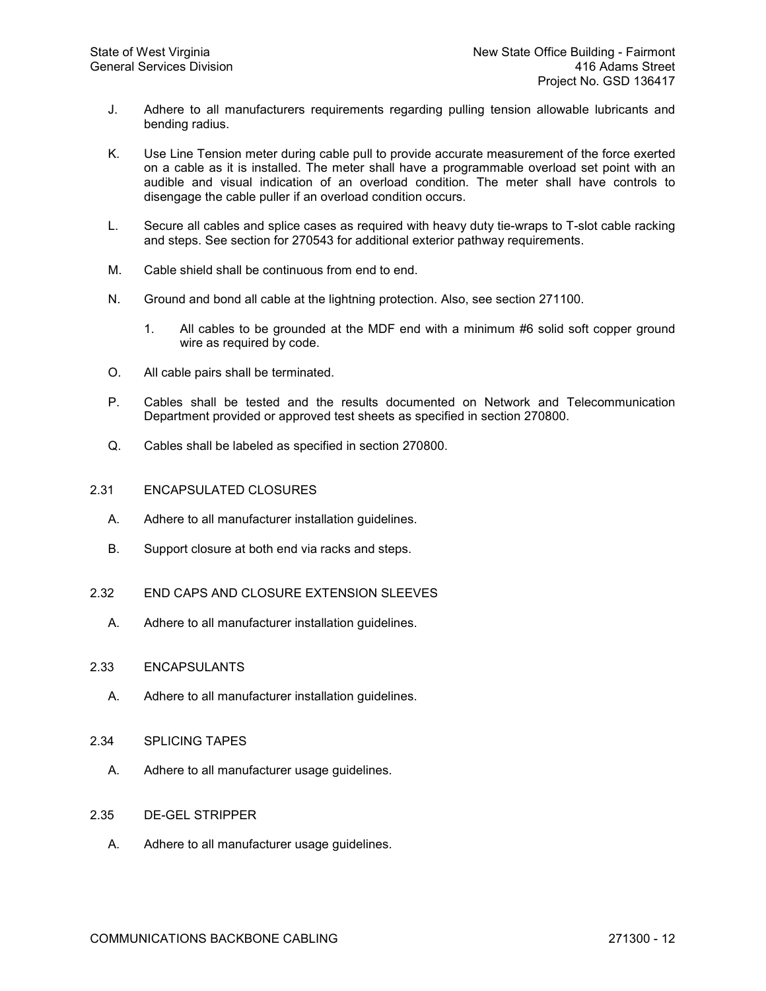- J. Adhere to all manufacturers requirements regarding pulling tension allowable lubricants and bending radius.
- K. Use Line Tension meter during cable pull to provide accurate measurement of the force exerted on a cable as it is installed. The meter shall have a programmable overload set point with an audible and visual indication of an overload condition. The meter shall have controls to disengage the cable puller if an overload condition occurs.
- L. Secure all cables and splice cases as required with heavy duty tie-wraps to T-slot cable racking and steps. See section for 270543 for additional exterior pathway requirements.
- M. Cable shield shall be continuous from end to end.
- N. Ground and bond all cable at the lightning protection. Also, see section 271100.
	- 1. All cables to be grounded at the MDF end with a minimum #6 solid soft copper ground wire as required by code.
- O. All cable pairs shall be terminated.
- P. Cables shall be tested and the results documented on Network and Telecommunication Department provided or approved test sheets as specified in section 270800.
- Q. Cables shall be labeled as specified in section 270800.
- 2.31 ENCAPSULATED CLOSURES
	- A. Adhere to all manufacturer installation guidelines.
	- B. Support closure at both end via racks and steps.
- 2.32 END CAPS AND CLOSURE EXTENSION SLEEVES
	- A. Adhere to all manufacturer installation guidelines.
- 2.33 ENCAPSULANTS
	- A. Adhere to all manufacturer installation guidelines.
- 2.34 SPLICING TAPES
	- A. Adhere to all manufacturer usage guidelines.
- 2.35 DE-GEL STRIPPER
	- A. Adhere to all manufacturer usage guidelines.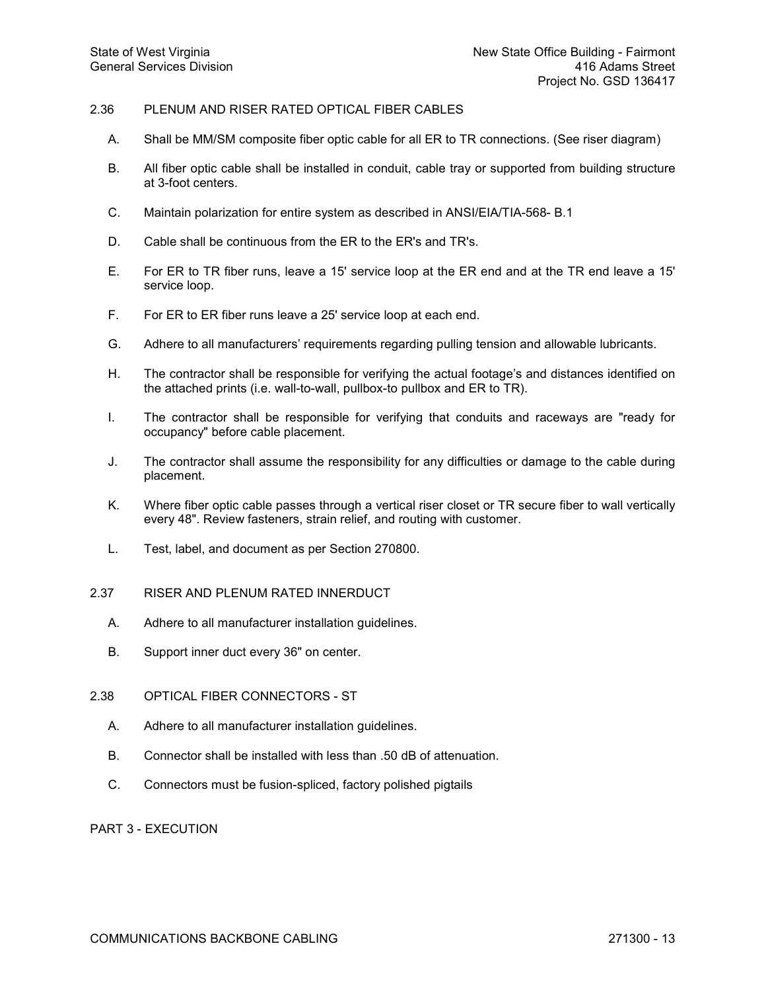# 2.36 PLENUM AND RISER RATED OPTICAL FIBER CABLES

- A. Shall be MM/SM composite fiber optic cable for all ER to TR connections. (See riser diagram)
- B. All fiber optic cable shall be installed in conduit, cable tray or supported from building structure at 3-foot centers.
- C. Maintain polarization for entire system as described in ANSI/EIA/TIA-568-B.1
- D. Cable shall be continuous from the ER to the ER's and TR's.
- E. For ER to TR fiber runs, leave a 15' service loop at the ER end and at the TR end leave a 15' service loop.
- F. For ER to ER fiber runs leave a 25' service loop at each end.
- G. Adhere to all manufacturers' requirements regarding pulling tension and allowable lubricants.
- H. The contractor shall be responsible for verifying the actual footage's and distances identified on the attached prints (i.e. wall-to-wall, pullbox-to pullbox and ER to TR).
- I. The contractor shall be responsible for verifying that conduits and raceways are "ready for occupancy" before cable placement.
- J. The contractor shall assume the responsibility for any difficulties or damage to the cable during placement.
- K. Where fiber optic cable passes through a vertical riser closet or TR secure fiber to wall vertically every 48". Review fasteners, strain relief, and routing with customer.
- L. Test, label, and document as per Section 270800.

#### 2.37 RISER AND PLENUM RATED INNERDUCT

- A. Adhere to all manufacturer installation guidelines.
- B. Support inner duct every 36" on center.
- 2.38 OPTICAL FIBER CONNECTORS ST
	- A. Adhere to all manufacturer installation guidelines.
	- B. Connector shall be installed with less than .50 dB of attenuation.
	- C. Connectors must be fusion-spliced, factory polished pigtails

PART 3 - EXECUTION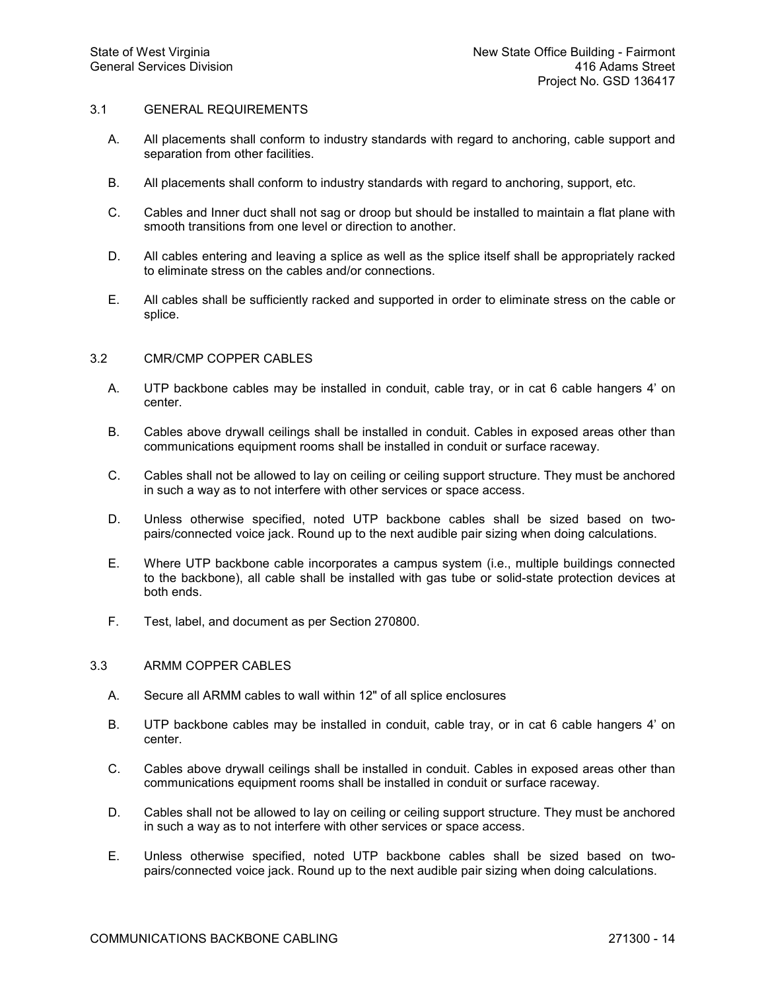# 3.1 GENERAL REQUIREMENTS

- A. All placements shall conform to industry standards with regard to anchoring, cable support and separation from other facilities.
- B. All placements shall conform to industry standards with regard to anchoring, support, etc.
- C. Cables and Inner duct shall not sag or droop but should be installed to maintain a flat plane with smooth transitions from one level or direction to another.
- D. All cables entering and leaving a splice as well as the splice itself shall be appropriately racked to eliminate stress on the cables and/or connections.
- E. All cables shall be sufficiently racked and supported in order to eliminate stress on the cable or splice.

#### 3.2 CMR/CMP COPPER CABLES

- A. UTP backbone cables may be installed in conduit, cable tray, or in cat 6 cable hangers 4' on center.
- B. Cables above drywall ceilings shall be installed in conduit. Cables in exposed areas other than communications equipment rooms shall be installed in conduit or surface raceway.
- C. Cables shall not be allowed to lay on ceiling or ceiling support structure. They must be anchored in such a way as to not interfere with other services or space access.
- D. Unless otherwise specified, noted UTP backbone cables shall be sized based on two pairs/connected voice jack. Round up to the next audible pair sizing when doing calculations.
- E. Where UTP backbone cable incorporates a campus system (i.e., multiple buildings connected to the backbone), all cable shall be installed with gas tube or solid-state protection devices at both ends.
- F. Test, label, and document as per Section 270800.

# 3.3 ARMM COPPER CABLES

- A. Secure all ARMM cables to wall within 12" of all splice enclosures
- B. UTP backbone cables may be installed in conduit, cable tray, or in cat 6 cable hangers 4' on center.
- C. Cables above drywall ceilings shall be installed in conduit. Cables in exposed areas other than communications equipment rooms shall be installed in conduit or surface raceway.
- D. Cables shall not be allowed to lay on ceiling or ceiling support structure. They must be anchored in such a way as to not interfere with other services or space access.
- E. Unless otherwise specified, noted UTP backbone cables shall be sized based on two pairs/connected voice jack. Round up to the next audible pair sizing when doing calculations.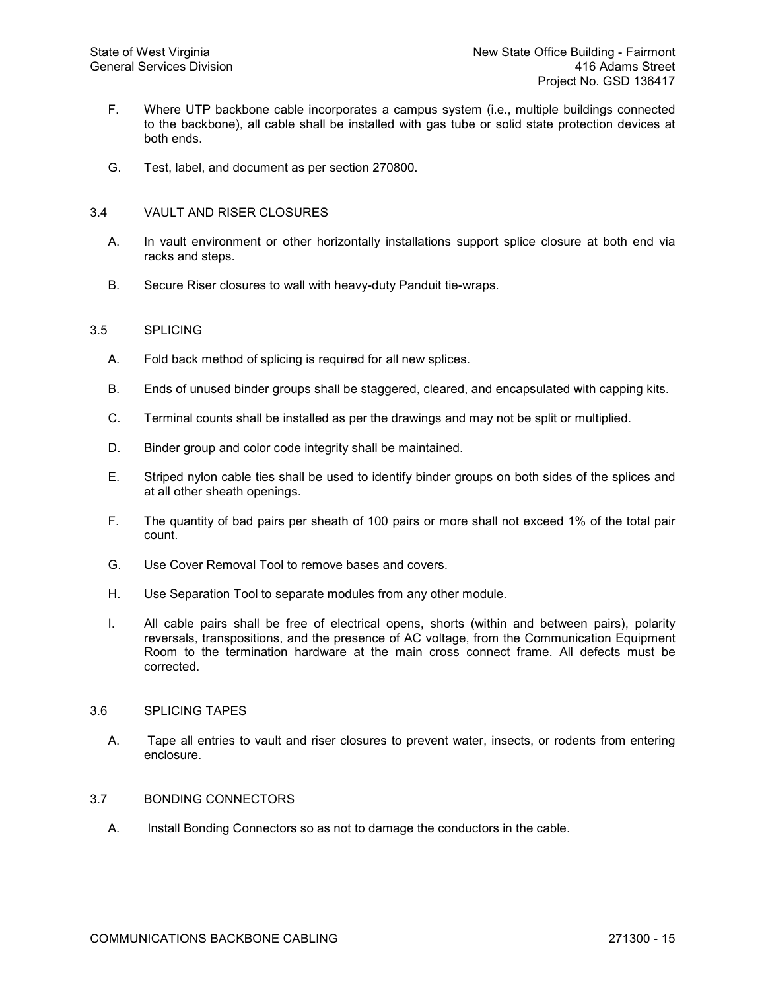- F. Where UTP backbone cable incorporates a campus system (i.e., multiple buildings connected to the backbone), all cable shall be installed with gas tube or solid state protection devices at both ends.
- G. Test, label, and document as per section 270800.

# 3.4 VAULT AND RISER CLOSURES

- A. In vault environment or other horizontally installations support splice closure at both end via racks and steps.
- B. Secure Riser closures to wall with heavy-duty Panduit tie-wraps.

# 3.5 SPLICING

- A. Fold back method of splicing is required for all new splices.
- B. Ends of unused binder groups shall be staggered, cleared, and encapsulated with capping kits.
- C. Terminal counts shall be installed as per the drawings and may not be split or multiplied.
- D. Binder group and color code integrity shall be maintained.
- E. Striped nylon cable ties shall be used to identify binder groups on both sides of the splices and at all other sheath openings.
- F. The quantity of bad pairs per sheath of 100 pairs or more shall not exceed 1% of the total pair count.
- G. Use Cover Removal Tool to remove bases and covers.
- H. Use Separation Tool to separate modules from any other module.
- I. All cable pairs shall be free of electrical opens, shorts (within and between pairs), polarity reversals, transpositions, and the presence of AC voltage, from the Communication Equipment Room to the termination hardware at the main cross connect frame. All defects must be corrected.

# 3.6 SPLICING TAPES

A. Tape all entries to vault and riser closures to prevent water, insects, or rodents from entering enclosure.

# 3.7 BONDING CONNECTORS

A. Install Bonding Connectors so as not to damage the conductors in the cable.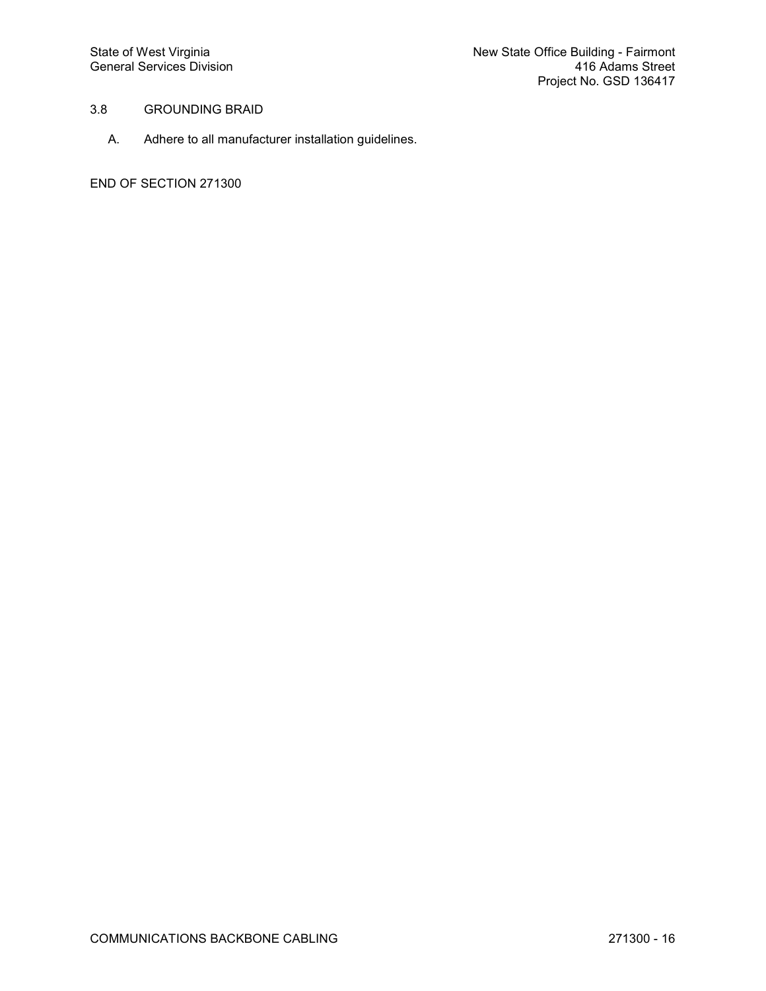# 3.8 GROUNDING BRAID

A. Adhere to all manufacturer installation guidelines.

END OF SECTION 271300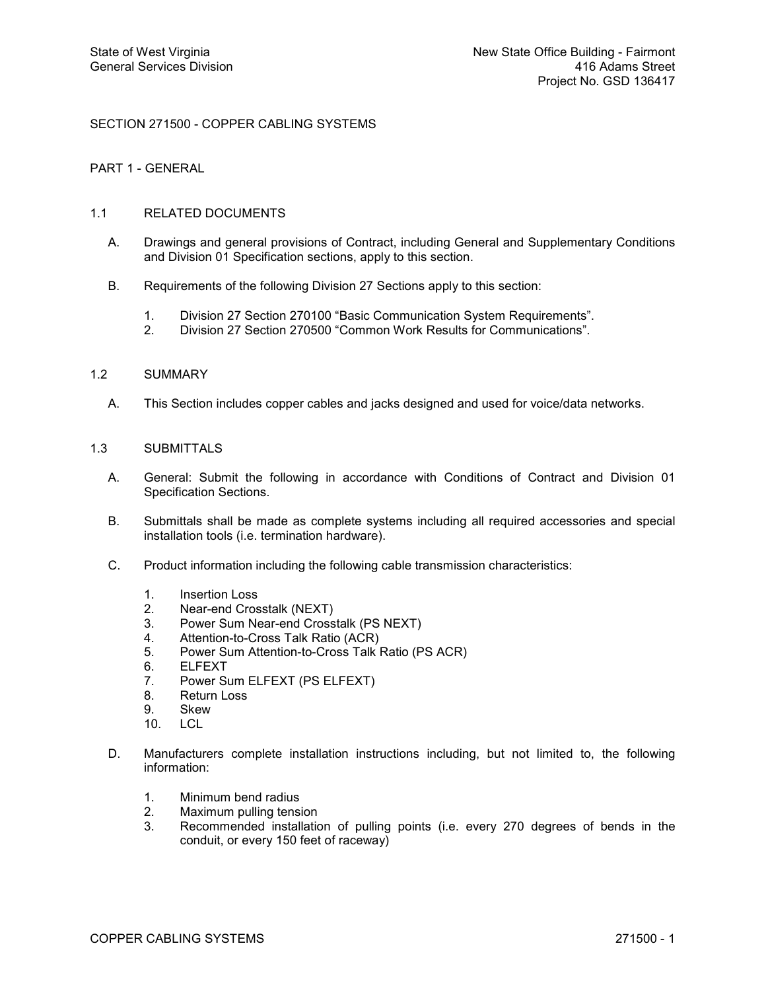# SECTION 271500 - COPPER CABLING SYSTEMS

# PART 1 GENERAL

# 1.1 RELATED DOCUMENTS

- A. Drawings and general provisions of Contract, including General and Supplementary Conditions and Division 01 Specification sections, apply to this section.
- B. Requirements of the following Division 27 Sections apply to this section:
	- 1. Division 27 Section 270100 "Basic Communication System Requirements".<br>2. Division 27 Section 270500 "Common Work Results for Communications".
	- 2. Division 27 Section 270500 "Common Work Results for Communications".

# 1.2 SUMMARY

A. This Section includes copper cables and jacks designed and used for voice/data networks.

# 1.3 SUBMITTALS

- A. General: Submit the following in accordance with Conditions of Contract and Division 01 Specification Sections.
- B. Submittals shall be made as complete systems including all required accessories and special installation tools (i.e. termination hardware).
- C. Product information including the following cable transmission characteristics:
	- 1. Insertion Loss
	- 2. Near-end Crosstalk (NEXT)
	- 3. Power Sum Near-end Crosstalk (PS NEXT)
	- 4. Attention-to-Cross Talk Ratio (ACR)
	- 5. Power Sum Attention-to-Cross Talk Ratio (PS ACR)
	- 6. ELFEXT
	- 7. Power Sum ELFEXT (PS ELFEXT)
	- 8. Return Loss
	- 9. Skew
	- 10. LCL
- D. Manufacturers complete installation instructions including, but not limited to, the following information:
	- 1. Minimum bend radius
	- 2. Maximum pulling tension
	- 3. Recommended installation of pulling points (i.e. every 270 degrees of bends in the conduit, or every 150 feet of raceway)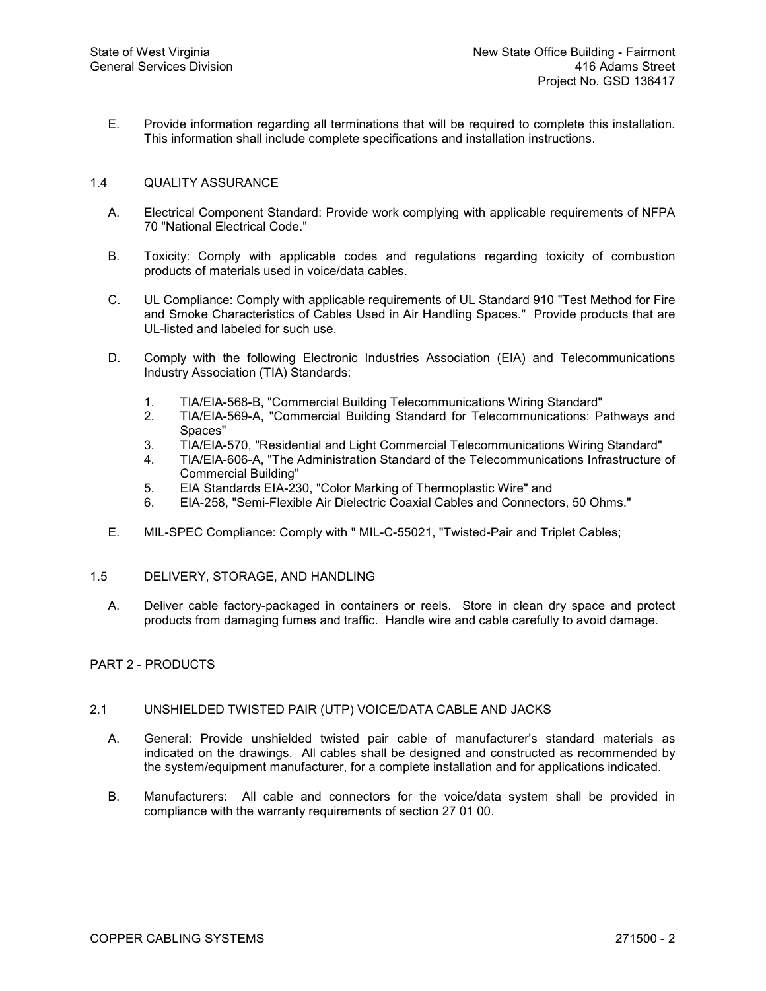E. Provide information regarding all terminations that will be required to complete this installation. This information shall include complete specifications and installation instructions.

# 1.4 QUALITY ASSURANCE

- A. Electrical Component Standard: Provide work complying with applicable requirements of NFPA 70 "National Electrical Code."
- B. Toxicity: Comply with applicable codes and regulations regarding toxicity of combustion products of materials used in voice/data cables.
- C. UL Compliance: Comply with applicable requirements of UL Standard 910 "Test Method for Fire and Smoke Characteristics of Cables Used in Air Handling Spaces." Provide products that are UL-listed and labeled for such use.
- D. Comply with the following Electronic Industries Association (EIA) and Telecommunications Industry Association (TIA) Standards:
	- 1. TIA/EIA-568-B, "Commercial Building Telecommunications Wiring Standard"
	- 2. TIA/EIA-569-A, "Commercial Building Standard for Telecommunications: Pathways and Spaces"
	- 3. TIA/EIA-570, "Residential and Light Commercial Telecommunications Wiring Standard"
	- 4. TIA/EIA-606-A, "The Administration Standard of the Telecommunications Infrastructure of Commercial Building"
	- 5. EIA Standards EIA-230, "Color Marking of Thermoplastic Wire" and
	- 6. EIA258, "SemiFlexible Air Dielectric Coaxial Cables and Connectors, 50 Ohms."
- E. MIL-SPEC Compliance: Comply with " MIL-C-55021, "Twisted-Pair and Triplet Cables;

#### 1.5 DELIVERY, STORAGE, AND HANDLING

A. Deliver cable factory-packaged in containers or reels. Store in clean dry space and protect products from damaging fumes and traffic. Handle wire and cable carefully to avoid damage.

# PART 2 - PRODUCTS

# 2.1 UNSHIELDED TWISTED PAIR (UTP) VOICE/DATA CABLE AND JACKS

- A. General: Provide unshielded twisted pair cable of manufacturer's standard materials as indicated on the drawings. All cables shall be designed and constructed as recommended by the system/equipment manufacturer, for a complete installation and for applications indicated.
- B. Manufacturers: All cable and connectors for the voice/data system shall be provided in compliance with the warranty requirements of section 27 01 00.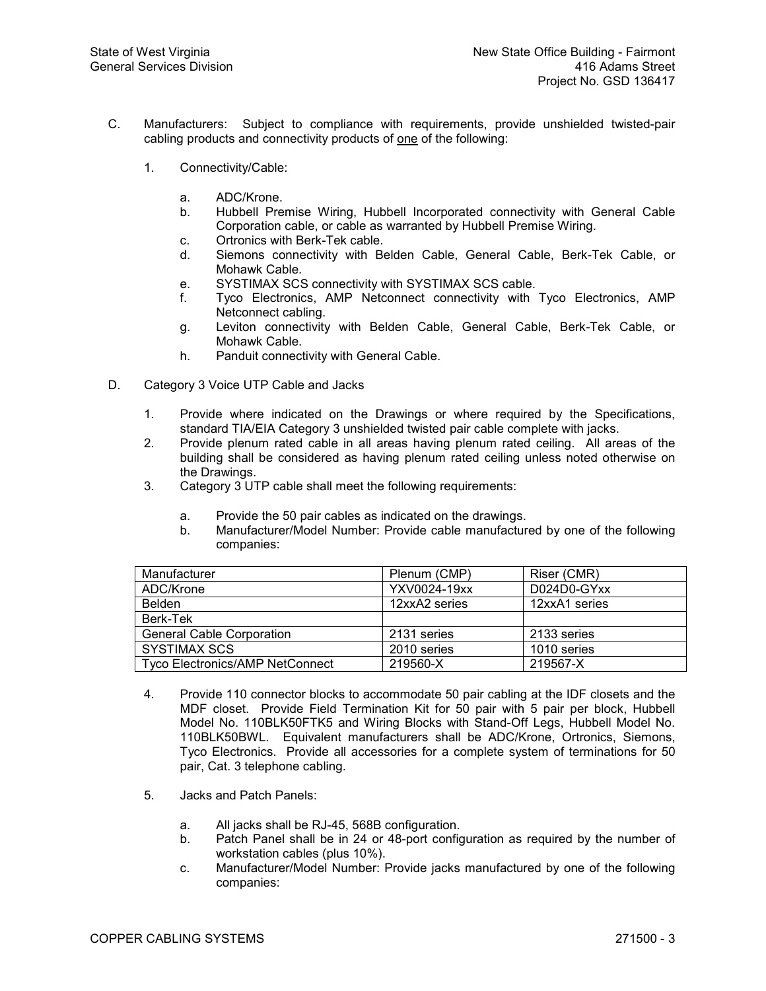- C. Manufacturers: Subject to compliance with requirements, provide unshielded twisted-pair cabling products and connectivity products of one of the following:
	- 1. Connectivity/Cable:
		- a. ADC/Krone.
		- b. Hubbell Premise Wiring, Hubbell Incorporated connectivity with General Cable Corporation cable, or cable as warranted by Hubbell Premise Wiring.
		- c. Ortronics with Berk-Tek cable.
		- d. Siemons connectivity with Belden Cable, General Cable, Berk-Tek Cable, or Mohawk Cable.
		- e. SYSTIMAX SCS connectivity with SYSTIMAX SCS cable.
		- f. Tyco Electronics, AMP Netconnect connectivity with Tyco Electronics, AMP Netconnect cabling.
		- g. Leviton connectivity with Belden Cable, General Cable, BerkTek Cable, or Mohawk Cable.
		- h. Panduit connectivity with General Cable.
- D. Category 3 Voice UTP Cable and Jacks
	- 1. Provide where indicated on the Drawings or where required by the Specifications, standard TIA/EIA Category 3 unshielded twisted pair cable complete with jacks.
	- 2. Provide plenum rated cable in all areas having plenum rated ceiling. All areas of the building shall be considered as having plenum rated ceiling unless noted otherwise on the Drawings.
	- 3. Category 3 UTP cable shall meet the following requirements:
		- a. Provide the 50 pair cables as indicated on the drawings.
		- b. Manufacturer/Model Number: Provide cable manufactured by one of the following companies:

| Manufacturer                           | Plenum (CMP)  | Riser (CMR)   |
|----------------------------------------|---------------|---------------|
| ADC/Krone                              | YXV0024-19xx  | D024D0-GYxx   |
| Belden                                 | 12xxA2 series | 12xxA1 series |
| Berk-Tek                               |               |               |
| <b>General Cable Corporation</b>       | 2131 series   | 2133 series   |
| <b>SYSTIMAX SCS</b>                    | 2010 series   | 1010 series   |
| <b>Tyco Electronics/AMP NetConnect</b> | 219560-X      | 219567-X      |

- 4. Provide 110 connector blocks to accommodate 50 pair cabling at the IDF closets and the MDF closet. Provide Field Termination Kit for 50 pair with 5 pair per block, Hubbell Model No. 110BLK50FTK5 and Wiring Blocks with Stand-Off Legs, Hubbell Model No. 110BLK50BWL. Equivalent manufacturers shall be ADC/Krone, Ortronics, Siemons, Tyco Electronics. Provide all accessories for a complete system of terminations for 50 pair, Cat. 3 telephone cabling.
- 5. Jacks and Patch Panels:
	- a. All jacks shall be RJ-45, 568B configuration.
	- b. Patch Panel shall be in 24 or 48-port configuration as required by the number of workstation cables (plus 10%).
	- c. Manufacturer/Model Number: Provide jacks manufactured by one of the following companies: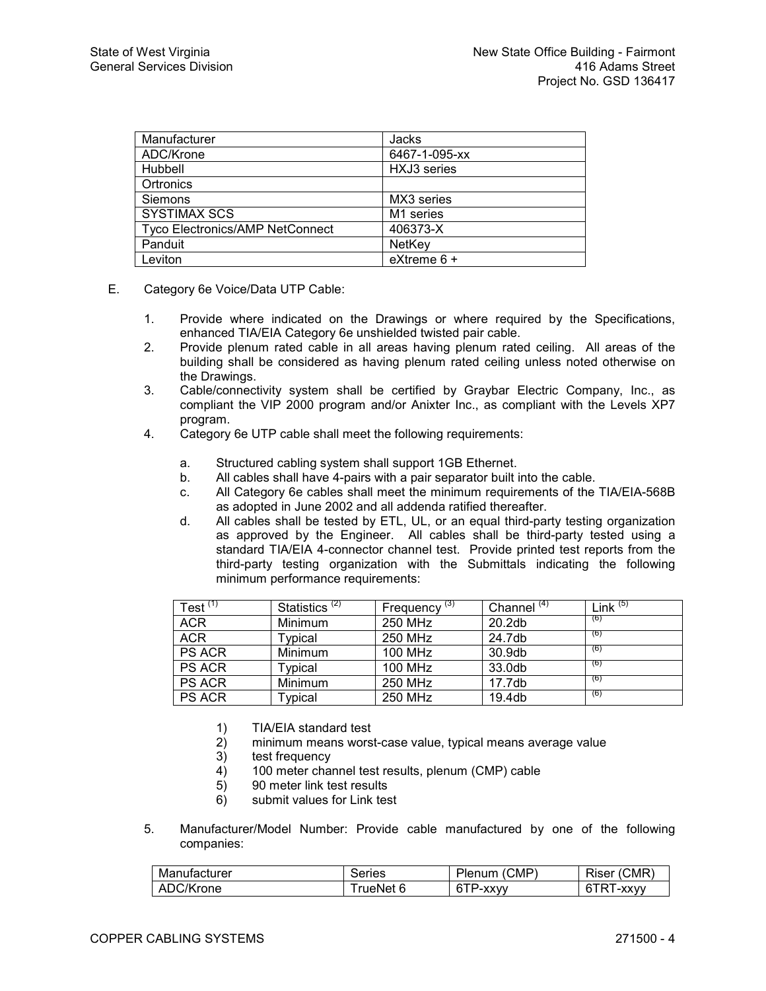| Manufacturer                           | Jacks                 |
|----------------------------------------|-----------------------|
| ADC/Krone                              | 6467-1-095-xx         |
| Hubbell                                | HXJ3 series           |
| Ortronics                              |                       |
| Siemons                                | MX3 series            |
| <b>SYSTIMAX SCS</b>                    | M <sub>1</sub> series |
| <b>Tyco Electronics/AMP NetConnect</b> | 406373-X              |
| Panduit                                | NetKey                |
| Leviton                                | $extreme 6 +$         |

- E. Category 6e Voice/Data UTP Cable:
	- 1. Provide where indicated on the Drawings or where required by the Specifications, enhanced TIA/EIA Category 6e unshielded twisted pair cable.
	- 2. Provide plenum rated cable in all areas having plenum rated ceiling. All areas of the building shall be considered as having plenum rated ceiling unless noted otherwise on the Drawings.
	- 3. Cable/connectivity system shall be certified by Graybar Electric Company, Inc., as compliant the VIP 2000 program and/or Anixter Inc., as compliant with the Levels XP7 program.
	- 4. Category 6e UTP cable shall meet the following requirements:
		- a. Structured cabling system shall support 1GB Ethernet.
		- b. All cables shall have 4-pairs with a pair separator built into the cable.
		- c. All Category 6e cables shall meet the minimum requirements of the TIA/EIA-568B as adopted in June 2002 and all addenda ratified thereafter.
		- d. All cables shall be tested by ETL, UL, or an equal third-party testing organization as approved by the Engineer. All cables shall be third-party tested using a standard TIA/EIA 4connector channel test. Provide printed test reports from the third-party testing organization with the Submittals indicating the following minimum performance requirements:

| Test $^{\text{\tiny{(1)}}}$ | Statistics <sup>(2)</sup> | $F$ requency <sup>(3)</sup> | Channel <sup>(4)</sup> | Link $(5)$ |
|-----------------------------|---------------------------|-----------------------------|------------------------|------------|
| <b>ACR</b>                  | Minimum                   | 250 MHz                     | 20.2 <sub>db</sub>     | (6)        |
| <b>ACR</b>                  | Typical                   | 250 MHz                     | 24.7db                 | (6)        |
| <b>PS ACR</b>               | Minimum                   | 100 MHz                     | 30.9db                 | (6)        |
| <b>PS ACR</b>               | Typical                   | 100 MHz                     | 33.0db                 | (6)        |
| <b>PS ACR</b>               | Minimum                   | 250 MHz                     | 17.7db                 | (6)        |
| PS ACR                      | Typical                   | 250 MHz                     | 19.4db                 | (6)        |

- 1) TIA/EIA standard test<br>2) minimum means worst
- minimum means worst-case value, typical means average value
- 3) test frequency
- 4) 100 meter channel test results, plenum (CMP) cable
- 5) 90 meter link test results
- 6) submit values for Link test
- 5. Manufacturer/Model Number: Provide cable manufactured by one of the following companies:

| Manufacturer | Series   | (CMP)<br>Plenum | CMR,<br>Riser |
|--------------|----------|-----------------|---------------|
| ADC/Krone    | rueNet 6 | 6TP-xxvv        | . -XXVV<br>-  |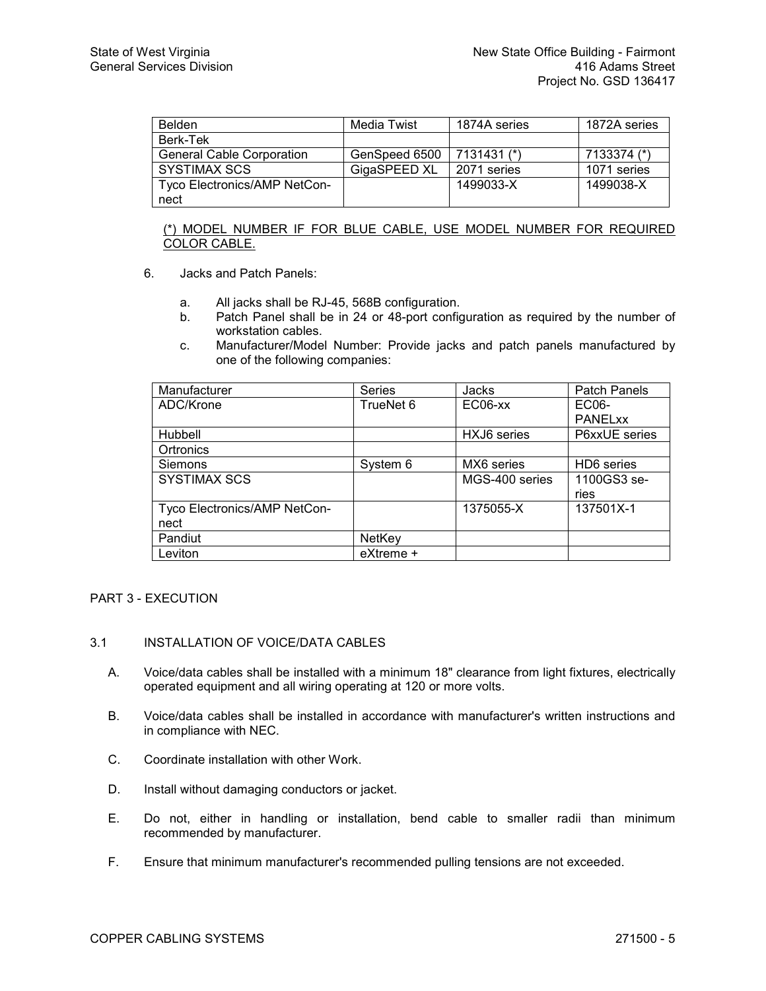| Belden                              | Media Twist   | 1874A series | 1872A series |
|-------------------------------------|---------------|--------------|--------------|
| Berk-Tek                            |               |              |              |
| <b>General Cable Corporation</b>    | GenSpeed 6500 | 7131431 (*)  | 7133374 (*)  |
| <b>SYSTIMAX SCS</b>                 | GigaSPEED XL  | 2071 series  | 1071 series  |
| <b>Tyco Electronics/AMP NetCon-</b> |               | 1499033-X    | 1499038-X    |
| nect                                |               |              |              |

(\*) MODEL NUMBER IF FOR BLUE CABLE, USE MODEL NUMBER FOR REQUIRED COLOR CABLE.

- 6. Jacks and Patch Panels:
	- a. All jacks shall be RJ-45, 568B configuration.
	- b. Patch Panel shall be in 24 or 48-port configuration as required by the number of workstation cables.
	- c. Manufacturer/Model Number: Provide jacks and patch panels manufactured by one of the following companies:

| Manufacturer                 | <b>Series</b> | Jacks          | <b>Patch Panels</b> |
|------------------------------|---------------|----------------|---------------------|
| ADC/Krone                    | TrueNet 6     | EC06-xx        | EC06-               |
|                              |               |                | <b>PANELXX</b>      |
| Hubbell                      |               | HXJ6 series    | P6xxUE series       |
| Ortronics                    |               |                |                     |
| Siemons                      | System 6      | MX6 series     | HD6 series          |
| <b>SYSTIMAX SCS</b>          |               | MGS-400 series | 1100GS3 se-         |
|                              |               |                | ries                |
| Tyco Electronics/AMP NetCon- |               | 1375055-X      | 137501X-1           |
| nect                         |               |                |                     |
| Pandiut                      | NetKey        |                |                     |
| Leviton                      | eXtreme +     |                |                     |

# PART 3 - EXECUTION

# 3.1 INSTALLATION OF VOICE/DATA CABLES

- A. Voice/data cables shall be installed with a minimum 18" clearance from light fixtures, electrically operated equipment and all wiring operating at 120 or more volts.
- B. Voice/data cables shall be installed in accordance with manufacturer's written instructions and in compliance with NEC.
- C. Coordinate installation with other Work.
- D. Install without damaging conductors or jacket.
- E. Do not, either in handling or installation, bend cable to smaller radii than minimum recommended by manufacturer.
- F. Ensure that minimum manufacturer's recommended pulling tensions are not exceeded.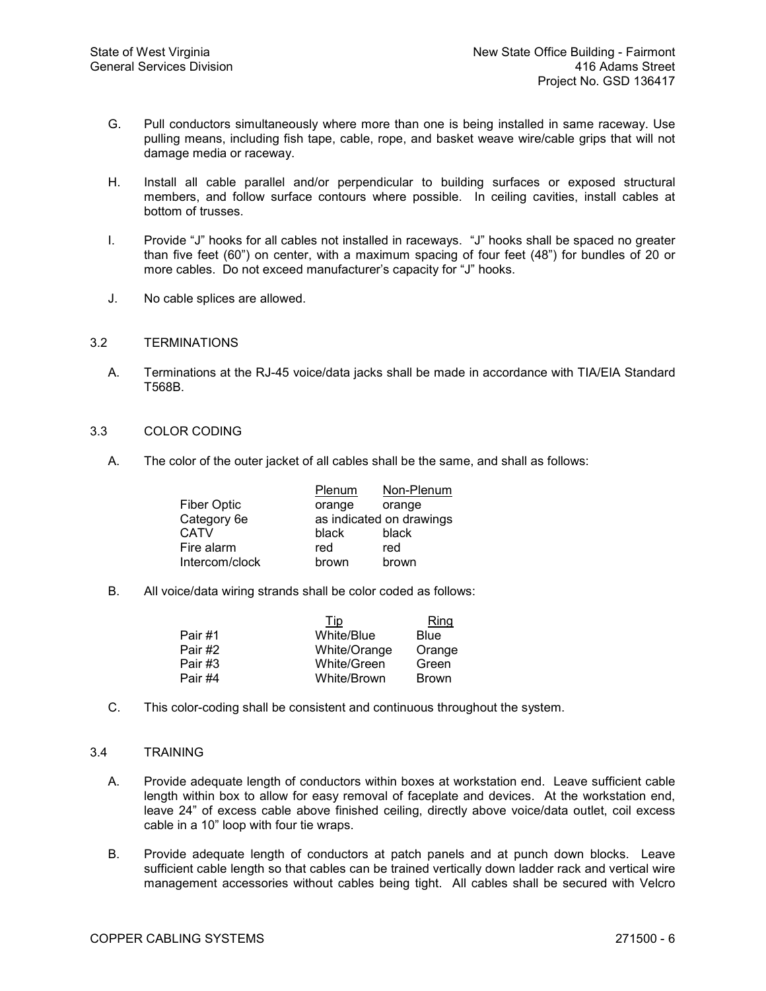- G. Pull conductors simultaneously where more than one is being installed in same raceway. Use pulling means, including fish tape, cable, rope, and basket weave wire/cable grips that will not damage media or raceway.
- H. Install all cable parallel and/or perpendicular to building surfaces or exposed structural members, and follow surface contours where possible. In ceiling cavities, install cables at bottom of trusses.
- I. Provide "J" hooks for all cables not installed in raceways. "J" hooks shall be spaced no greater than five feet (60") on center, with a maximum spacing of four feet (48") for bundles of 20 or more cables. Do not exceed manufacturer's capacity for "J" hooks.
- J. No cable splices are allowed.

# 3.2 TERMINATIONS

A. Terminations at the RJ-45 voice/data jacks shall be made in accordance with TIA/EIA Standard T568B.

# 3.3 COLOR CODING

A. The color of the outer jacket of all cables shall be the same, and shall as follows:

|                | Plenum | Non-Plenum               |
|----------------|--------|--------------------------|
| Fiber Optic    | orange | orange                   |
| Category 6e    |        | as indicated on drawings |
| CATV           | black  | black                    |
| Fire alarm     | red    | red                      |
| Intercom/clock | brown  | brown                    |

B. All voice/data wiring strands shall be color coded as follows:

|         | Tip          | <b>Ring</b>  |
|---------|--------------|--------------|
| Pair #1 | White/Blue   | <b>Blue</b>  |
| Pair #2 | White/Orange | Orange       |
| Pair #3 | White/Green  | Green        |
| Pair #4 | White/Brown  | <b>Brown</b> |

C. This color-coding shall be consistent and continuous throughout the system.

# 3.4 TRAINING

- A. Provide adequate length of conductors within boxes at workstation end. Leave sufficient cable length within box to allow for easy removal of faceplate and devices. At the workstation end, leave 24" of excess cable above finished ceiling, directly above voice/data outlet, coil excess cable in a 10" loop with four tie wraps.
- B. Provide adequate length of conductors at patch panels and at punch down blocks. Leave sufficient cable length so that cables can be trained vertically down ladder rack and vertical wire management accessories without cables being tight. All cables shall be secured with Velcro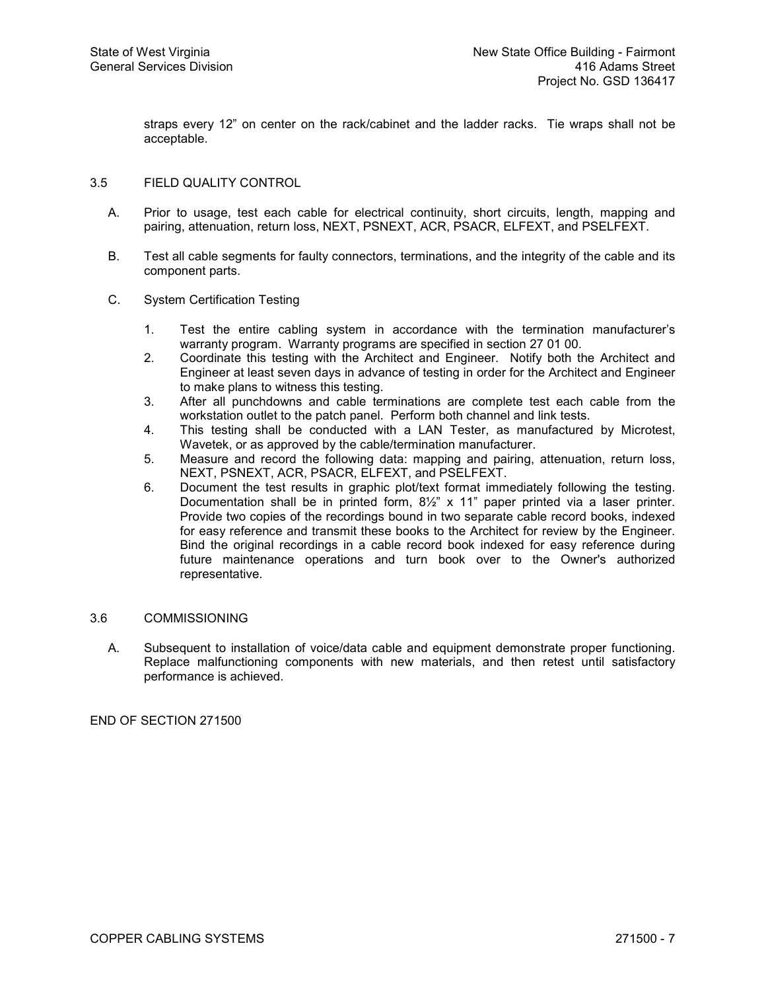straps every 12" on center on the rack/cabinet and the ladder racks. Tie wraps shall not be acceptable.

# 3.5 FIELD QUALITY CONTROL

- A. Prior to usage, test each cable for electrical continuity, short circuits, length, mapping and pairing, attenuation, return loss, NEXT, PSNEXT, ACR, PSACR, ELFEXT, and PSELFEXT.
- B. Test all cable segments for faulty connectors, terminations, and the integrity of the cable and its component parts.
- C. System Certification Testing
	- 1. Test the entire cabling system in accordance with the termination manufacturer's warranty program. Warranty programs are specified in section 27 01 00.
	- 2. Coordinate this testing with the Architect and Engineer. Notify both the Architect and Engineer at least seven days in advance of testing in order for the Architect and Engineer to make plans to witness this testing.
	- 3. After all punchdowns and cable terminations are complete test each cable from the workstation outlet to the patch panel. Perform both channel and link tests.
	- 4. This testing shall be conducted with a LAN Tester, as manufactured by Microtest, Wavetek, or as approved by the cable/termination manufacturer.
	- 5. Measure and record the following data: mapping and pairing, attenuation, return loss, NEXT, PSNEXT, ACR, PSACR, ELFEXT, and PSELFEXT.
	- 6. Document the test results in graphic plot/text format immediately following the testing. Documentation shall be in printed form, 8½" x 11" paper printed via a laser printer. Provide two copies of the recordings bound in two separate cable record books, indexed for easy reference and transmit these books to the Architect for review by the Engineer. Bind the original recordings in a cable record book indexed for easy reference during future maintenance operations and turn book over to the Owner's authorized representative.

# 3.6 COMMISSIONING

A. Subsequent to installation of voice/data cable and equipment demonstrate proper functioning. Replace malfunctioning components with new materials, and then retest until satisfactory performance is achieved.

END OF SECTION 271500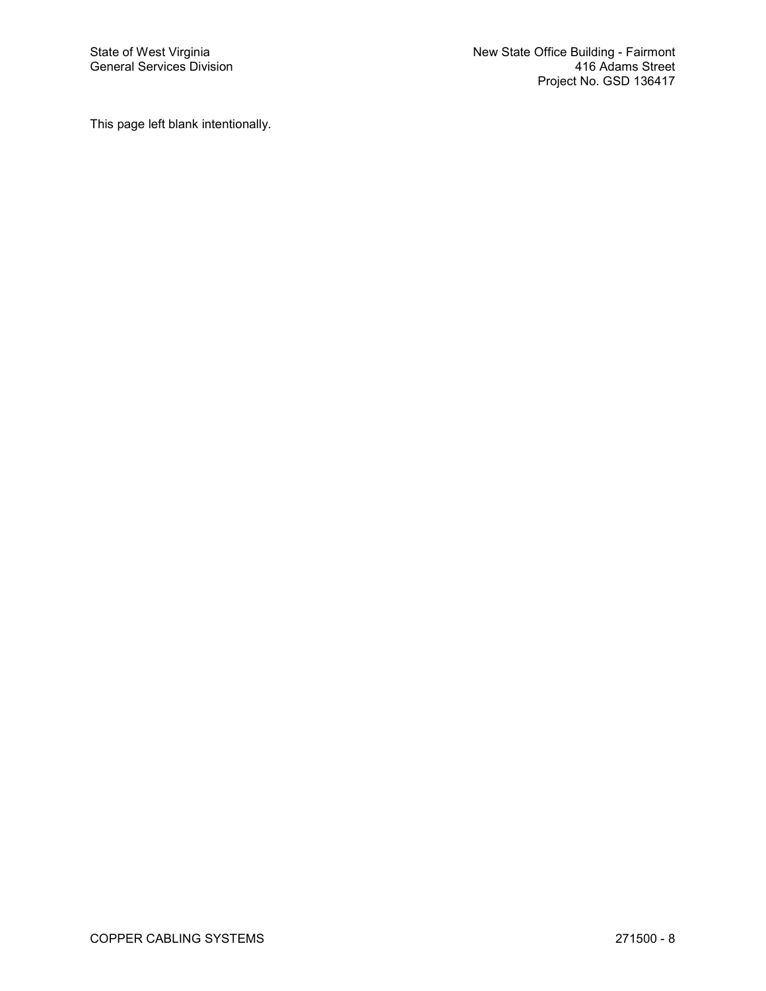This page left blank intentionally.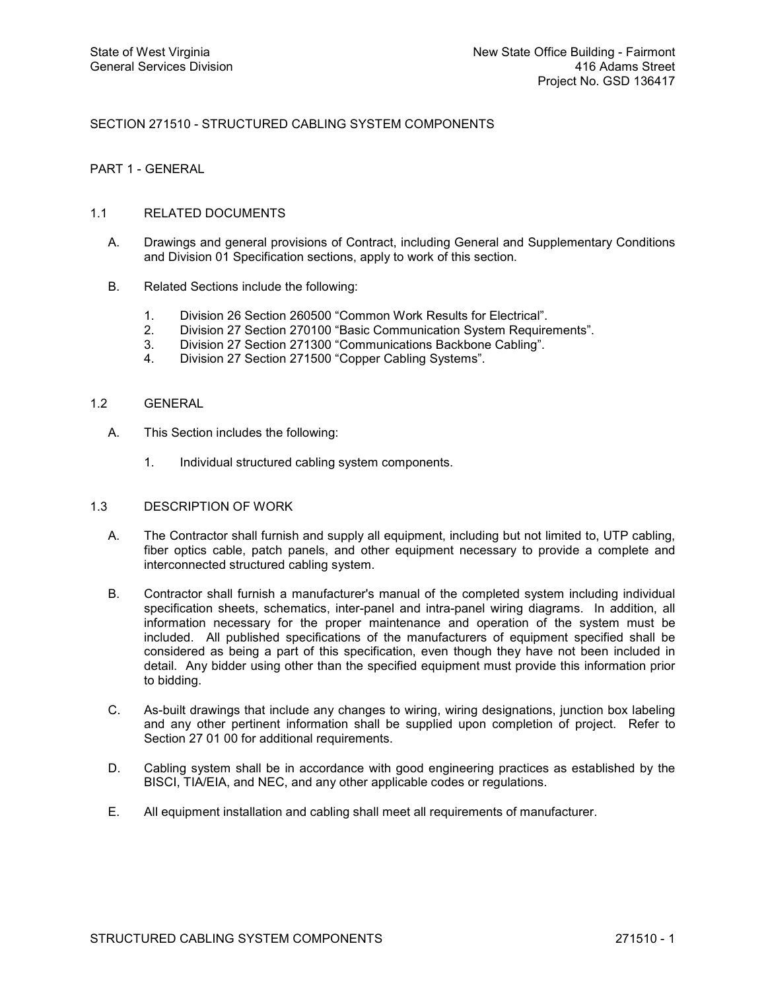# SECTION 271510 - STRUCTURED CABLING SYSTEM COMPONENTS

# PART 1 GENERAL

# 1.1 RELATED DOCUMENTS

- A. Drawings and general provisions of Contract, including General and Supplementary Conditions and Division 01 Specification sections, apply to work of this section.
- B. Related Sections include the following:
	-
	- 1. Division 26 Section 260500 "Common Work Results for Electrical". 2. Division 27 Section 270100 "Basic Communication System Requirements".<br>3. Division 27 Section 271300 "Communications Backbone Cabling".
	- Division 27 Section 271300 "Communications Backbone Cabling".
	- 4. Division 27 Section 271500 "Copper Cabling Systems".

# 1.2 GENERAL

- A. This Section includes the following:
	- 1. Individual structured cabling system components.

#### 1.3 DESCRIPTION OF WORK

- A. The Contractor shall furnish and supply all equipment, including but not limited to, UTP cabling, fiber optics cable, patch panels, and other equipment necessary to provide a complete and interconnected structured cabling system.
- B. Contractor shall furnish a manufacturer's manual of the completed system including individual specification sheets, schematics, inter-panel and intra-panel wiring diagrams. In addition, all information necessary for the proper maintenance and operation of the system must be included. All published specifications of the manufacturers of equipment specified shall be considered as being a part of this specification, even though they have not been included in detail. Any bidder using other than the specified equipment must provide this information prior to bidding.
- C. As-built drawings that include any changes to wiring, wiring designations, junction box labeling and any other pertinent information shall be supplied upon completion of project. Refer to Section 27 01 00 for additional requirements.
- D. Cabling system shall be in accordance with good engineering practices as established by the BISCI, TIA/EIA, and NEC, and any other applicable codes or regulations.
- E. All equipment installation and cabling shall meet all requirements of manufacturer.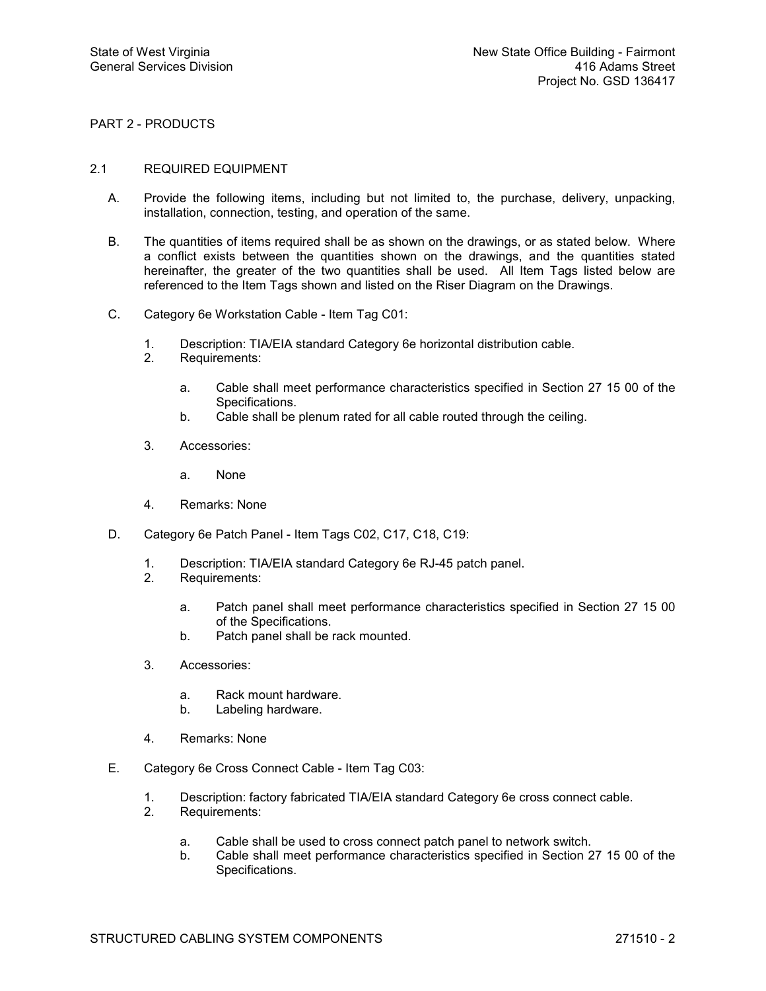PART 2 - PRODUCTS

# 2.1 REQUIRED EQUIPMENT

- A. Provide the following items, including but not limited to, the purchase, delivery, unpacking, installation, connection, testing, and operation of the same.
- B. The quantities of items required shall be as shown on the drawings, or as stated below. Where a conflict exists between the quantities shown on the drawings, and the quantities stated hereinafter, the greater of the two quantities shall be used. All Item Tags listed below are referenced to the Item Tags shown and listed on the Riser Diagram on the Drawings.
- C. Category 6e Workstation Cable Item Tag C01:
	- 1. Description: TIA/EIA standard Category 6e horizontal distribution cable.<br>2. Requirements:
	- Requirements:
		- a. Cable shall meet performance characteristics specified in Section 27 15 00 of the Specifications.
		- b. Cable shall be plenum rated for all cable routed through the ceiling.
	- 3. Accessories:
		- a. None
	- 4. Remarks: None
- D. Category 6e Patch Panel Item Tags C02, C17, C18, C19:
	- 1. Description: TIA/EIA standard Category 6e RJ-45 patch panel.<br>2. Requirements:
	- Requirements:
		- a. Patch panel shall meet performance characteristics specified in Section 27 15 00 of the Specifications.
		- b. Patch panel shall be rack mounted.
	- 3. Accessories:
		- a. Rack mount hardware.<br>b. Labeling hardware.
		- Labeling hardware.
	- 4. Remarks: None
- E. Category 6e Cross Connect Cable Item Tag C03:
	- 1. Description: factory fabricated TIA/EIA standard Category 6e cross connect cable.<br>2. Requirements:
	- Requirements:
		- a. Cable shall be used to cross connect patch panel to network switch.
		- b. Cable shall meet performance characteristics specified in Section 27 15 00 of the Specifications.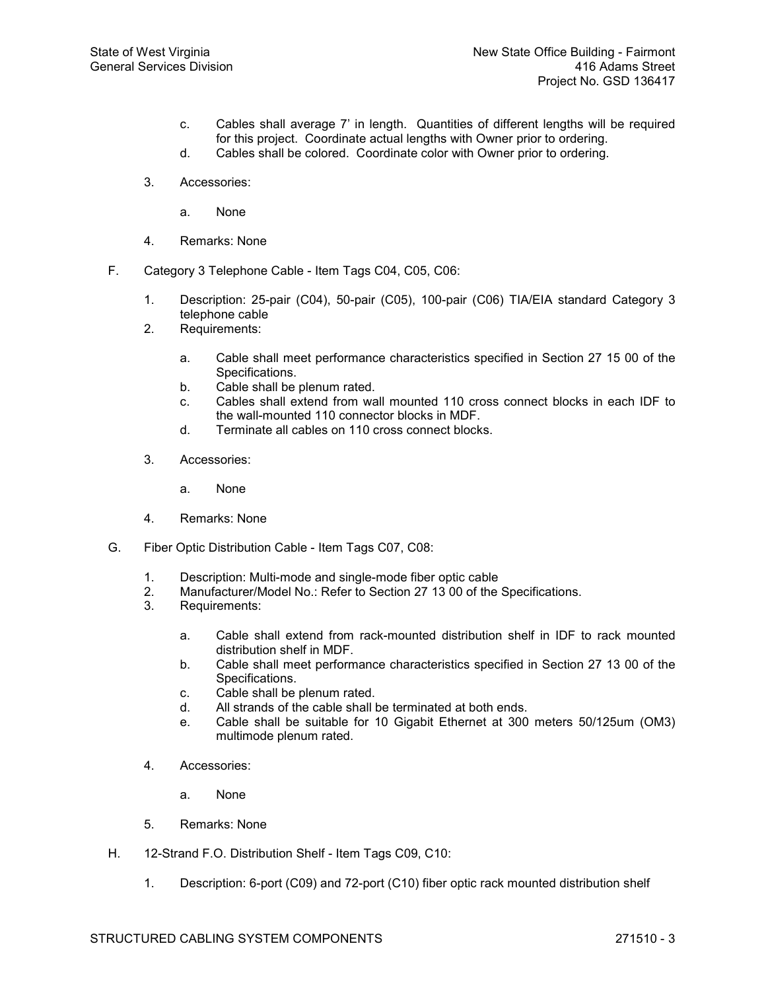- c. Cables shall average 7' in length. Quantities of different lengths will be required for this project. Coordinate actual lengths with Owner prior to ordering.
- d. Cables shall be colored. Coordinate color with Owner prior to ordering.
- 3. Accessories:
	- a. None
- 4. Remarks: None
- F. Category 3 Telephone Cable Item Tags C04, C05, C06:
	- 1. Description: 25-pair (C04), 50-pair (C05), 100-pair (C06) TIA/EIA standard Category 3 telephone cable
	- 2. Requirements:
		- a. Cable shall meet performance characteristics specified in Section 27 15 00 of the Specifications.
		- b. Cable shall be plenum rated.
		- c. Cables shall extend from wall mounted 110 cross connect blocks in each IDF to the wall-mounted 110 connector blocks in MDF.
		- d. Terminate all cables on 110 cross connect blocks.
	- 3. Accessories:
		- a. None
	- 4. Remarks: None
- G. Fiber Optic Distribution Cable Item Tags C07, C08:
	- 1. Description: Multi-mode and single-mode fiber optic cable
	- 2. Manufacturer/Model No.: Refer to Section 27 13 00 of the Specifications.<br>3. Requirements:
	- Requirements:
		- a. Cable shall extend from rack-mounted distribution shelf in IDF to rack mounted distribution shelf in MDF.
		- b. Cable shall meet performance characteristics specified in Section 27 13 00 of the Specifications.
		- c. Cable shall be plenum rated.
		- d. All strands of the cable shall be terminated at both ends.
		- e. Cable shall be suitable for 10 Gigabit Ethernet at 300 meters 50/125um (OM3) multimode plenum rated.
	- 4. Accessories:
		- a. None
	- 5. Remarks: None
- H. 12-Strand F.O. Distribution Shelf Item Tags C09, C10:
	- 1. Description: 6-port (C09) and 72-port (C10) fiber optic rack mounted distribution shelf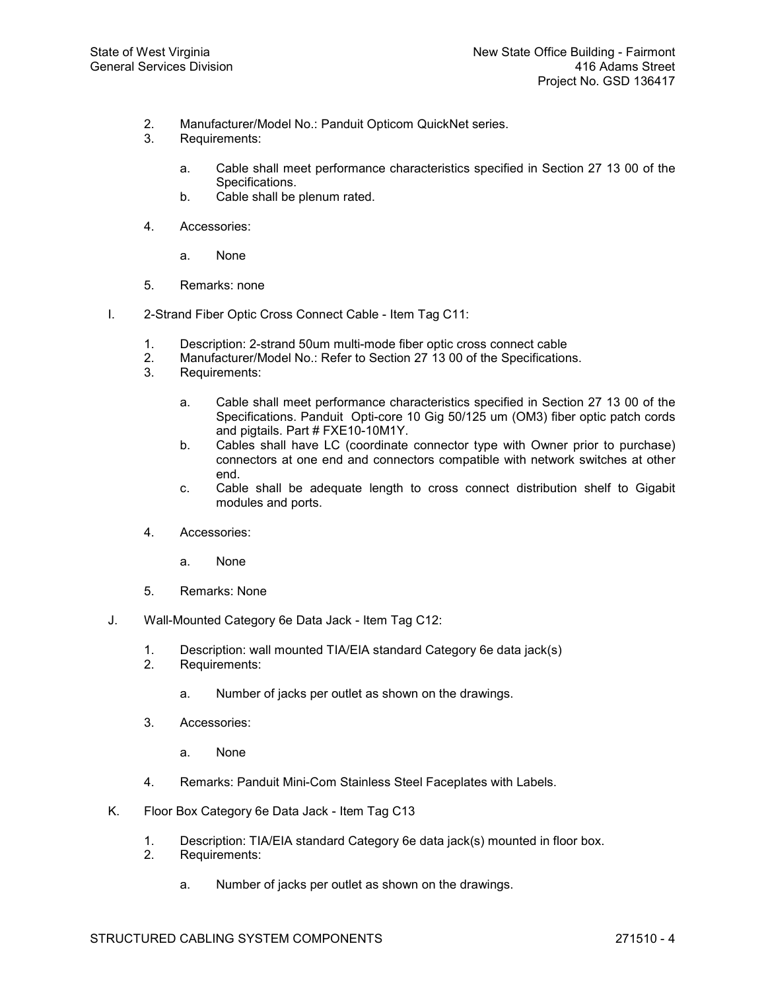- 2. Manufacturer/Model No.: Panduit Opticom QuickNet series.<br>3. Requirements:
- Requirements:
	- a. Cable shall meet performance characteristics specified in Section 27 13 00 of the Specifications.
	- b. Cable shall be plenum rated.
- 4. Accessories:
	- a. None
- 5. Remarks: none
- I. 2-Strand Fiber Optic Cross Connect Cable Item Tag C11:
	- 1. Description: 2-strand 50um multi-mode fiber optic cross connect cable<br>2. Manufacturer/Model No.: Refer to Section 27 13 00 of the Specification
	- 2. Manufacturer/Model No.: Refer to Section 27 13 00 of the Specifications.<br>3. Requirements:
	- Requirements:
		- a. Cable shall meet performance characteristics specified in Section 27 13 00 of the Specifications. Panduit Opti-core 10 Gig 50/125 um (OM3) fiber optic patch cords and pigtails. Part # FXE10-10M1Y.
		- b. Cables shall have LC (coordinate connector type with Owner prior to purchase) connectors at one end and connectors compatible with network switches at other end.
		- c. Cable shall be adequate length to cross connect distribution shelf to Gigabit modules and ports.
	- 4. Accessories:
		- a. None
	- 5. Remarks: None
- J. Wall-Mounted Category 6e Data Jack Item Tag C12:
	- 1. Description: wall mounted TIA/EIA standard Category 6e data jack(s)<br>2. Requirements:
	- Requirements:
		- a. Number of jacks per outlet as shown on the drawings.
	- 3. Accessories:
		- a. None
	- 4. Remarks: Panduit Mini-Com Stainless Steel Faceplates with Labels.
- K. Floor Box Category 6e Data Jack Item Tag C13
	- 1. Description: TIA/EIA standard Category 6e data jack(s) mounted in floor box.<br>2. Requirements:
	- Requirements:
		- a. Number of jacks per outlet as shown on the drawings.